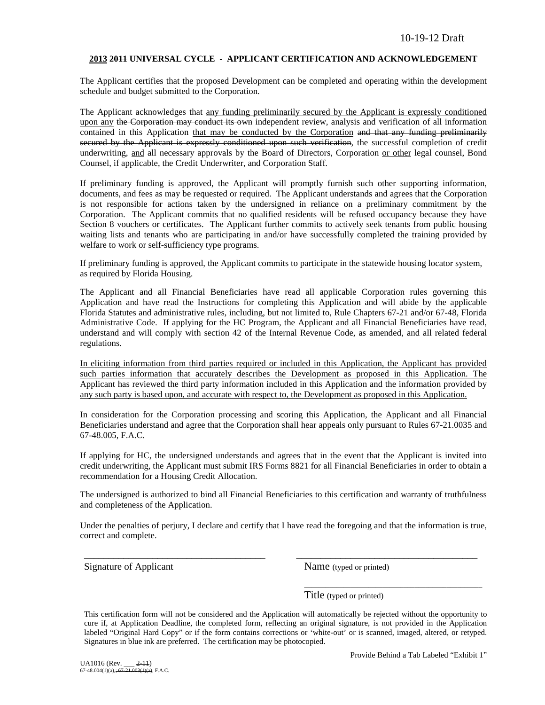### **2013 2011 UNIVERSAL CYCLE - APPLICANT CERTIFICATION AND ACKNOWLEDGEMENT**

The Applicant certifies that the proposed Development can be completed and operating within the development schedule and budget submitted to the Corporation.

The Applicant acknowledges that any funding preliminarily secured by the Applicant is expressly conditioned upon any the Corporation may conduct its own independent review, analysis and verification of all information contained in this Application that may be conducted by the Corporation and that any funding preliminarily secured by the Applicant is expressly conditioned upon such verification, the successful completion of credit underwriting, and all necessary approvals by the Board of Directors, Corporation or other legal counsel, Bond Counsel, if applicable, the Credit Underwriter, and Corporation Staff.

If preliminary funding is approved, the Applicant will promptly furnish such other supporting information, documents, and fees as may be requested or required. The Applicant understands and agrees that the Corporation is not responsible for actions taken by the undersigned in reliance on a preliminary commitment by the Corporation. The Applicant commits that no qualified residents will be refused occupancy because they have Section 8 vouchers or certificates. The Applicant further commits to actively seek tenants from public housing waiting lists and tenants who are participating in and/or have successfully completed the training provided by welfare to work or self-sufficiency type programs.

If preliminary funding is approved, the Applicant commits to participate in the statewide housing locator system, as required by Florida Housing.

The Applicant and all Financial Beneficiaries have read all applicable Corporation rules governing this Application and have read the Instructions for completing this Application and will abide by the applicable Florida Statutes and administrative rules, including, but not limited to, Rule Chapters 67-21 and/or 67-48, Florida Administrative Code. If applying for the HC Program, the Applicant and all Financial Beneficiaries have read, understand and will comply with section 42 of the Internal Revenue Code, as amended, and all related federal regulations.

In eliciting information from third parties required or included in this Application, the Applicant has provided such parties information that accurately describes the Development as proposed in this Application. The Applicant has reviewed the third party information included in this Application and the information provided by any such party is based upon, and accurate with respect to, the Development as proposed in this Application.

In consideration for the Corporation processing and scoring this Application, the Applicant and all Financial Beneficiaries understand and agree that the Corporation shall hear appeals only pursuant to Rules 67-21.0035 and 67-48.005, F.A.C.

If applying for HC, the undersigned understands and agrees that in the event that the Applicant is invited into credit underwriting, the Applicant must submit IRS Forms 8821 for all Financial Beneficiaries in order to obtain a recommendation for a Housing Credit Allocation.

The undersigned is authorized to bind all Financial Beneficiaries to this certification and warranty of truthfulness and completeness of the Application.

Under the penalties of perjury, I declare and certify that I have read the foregoing and that the information is true, correct and complete.

\_\_\_\_\_\_\_\_\_\_\_\_\_\_\_\_\_\_\_\_\_\_\_\_\_\_\_\_\_\_\_\_\_\_\_\_\_ \_\_\_\_\_\_\_\_\_\_\_\_\_\_\_\_\_\_\_\_\_\_\_\_\_\_\_\_\_\_\_\_\_\_\_\_\_

Signature of Applicant Name (typed or printed)

Title (typed or printed)

This certification form will not be considered and the Application will automatically be rejected without the opportunity to cure if, at Application Deadline, the completed form, reflecting an original signature, is not provided in the Application labeled "Original Hard Copy" or if the form contains corrections or 'white-out' or is scanned, imaged, altered, or retyped. Signatures in blue ink are preferred. The certification may be photocopied.

\_\_\_\_\_\_\_\_\_\_\_\_\_\_\_\_\_\_\_\_\_\_\_\_\_\_\_\_\_\_\_\_\_\_\_\_\_\_\_\_\_\_\_\_\_\_\_\_\_\_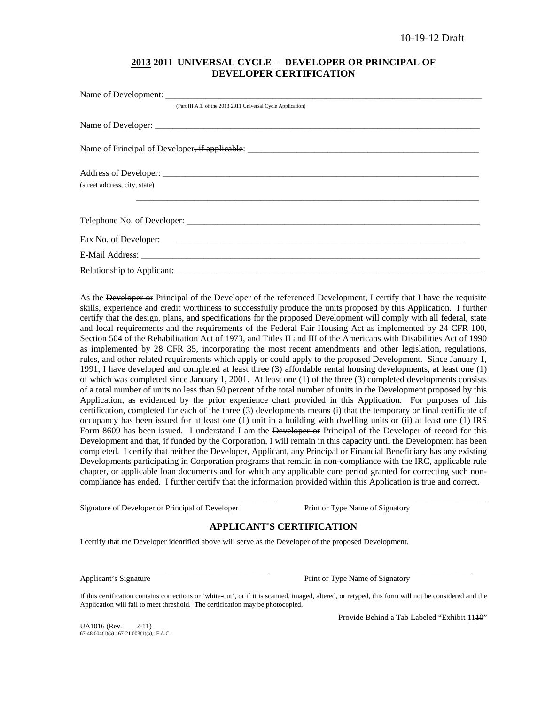## **2013 2011 UNIVERSAL CYCLE - DEVELOPER OR PRINCIPAL OF DEVELOPER CERTIFICATION**

| (Part III.A.1. of the 2013 2014 Universal Cycle Application) |
|--------------------------------------------------------------|
|                                                              |
|                                                              |
|                                                              |
| (street address, city, state)                                |
|                                                              |
|                                                              |
|                                                              |
|                                                              |

As the Developer or Principal of the Developer of the referenced Development, I certify that I have the requisite skills, experience and credit worthiness to successfully produce the units proposed by this Application. I further certify that the design, plans, and specifications for the proposed Development will comply with all federal, state and local requirements and the requirements of the Federal Fair Housing Act as implemented by 24 CFR 100, Section 504 of the Rehabilitation Act of 1973, and Titles II and III of the Americans with Disabilities Act of 1990 as implemented by 28 CFR 35, incorporating the most recent amendments and other legislation, regulations, rules, and other related requirements which apply or could apply to the proposed Development. Since January 1, 1991, I have developed and completed at least three (3) affordable rental housing developments, at least one (1) of which was completed since January 1, 2001. At least one (1) of the three (3) completed developments consists of a total number of units no less than 50 percent of the total number of units in the Development proposed by this Application, as evidenced by the prior experience chart provided in this Application. For purposes of this certification, completed for each of the three (3) developments means (i) that the temporary or final certificate of occupancy has been issued for at least one (1) unit in a building with dwelling units or (ii) at least one (1) IRS Form 8609 has been issued. I understand I am the Developer or Principal of the Developer of record for this Development and that, if funded by the Corporation, I will remain in this capacity until the Development has been completed. I certify that neither the Developer, Applicant, any Principal or Financial Beneficiary has any existing Developments participating in Corporation programs that remain in non-compliance with the IRC, applicable rule chapter, or applicable loan documents and for which any applicable cure period granted for correcting such noncompliance has ended. I further certify that the information provided within this Application is true and correct.

Signature of Developer or Principal of Developer Print or Type Name of Signatory

## **APPLICANT'S CERTIFICATION**

\_\_\_\_\_\_\_\_\_\_\_\_\_\_\_\_\_\_\_\_\_\_\_\_\_\_\_\_\_\_\_\_\_\_\_\_\_\_\_\_\_\_\_\_\_\_\_\_\_\_\_\_\_\_\_ \_\_\_\_\_\_\_\_\_\_\_\_\_\_\_\_\_\_\_\_\_\_\_\_\_\_\_\_\_\_\_\_\_\_\_\_\_\_\_\_\_\_\_\_\_\_\_\_\_\_\_

I certify that the Developer identified above will serve as the Developer of the proposed Development.

Applicant's Signature **Print of Type Name of Signatory** Print or Type Name of Signatory

If this certification contains corrections or 'white-out', or if it is scanned, imaged, altered, or retyped, this form will not be considered and the Application will fail to meet threshold. The certification may be photocopied.

\_\_\_\_\_\_\_\_\_\_\_\_\_\_\_\_\_\_\_\_\_\_\_\_\_\_\_\_\_\_\_\_\_\_\_\_\_\_\_\_\_\_\_\_\_\_\_\_\_\_\_\_\_ \_\_\_\_\_\_\_\_\_\_\_\_\_\_\_\_\_\_\_\_\_\_\_\_\_\_\_\_\_\_\_\_\_\_\_\_\_\_\_\_\_\_\_\_\_\_\_

UA1016 (Rev. \_\_\_ <del>2-11</del>)<br>67-48.004(1)(a) <del>; 67-21.003(1)(a)</del>,, F.A.C.

Provide Behind a Tab Labeled "Exhibit 1140"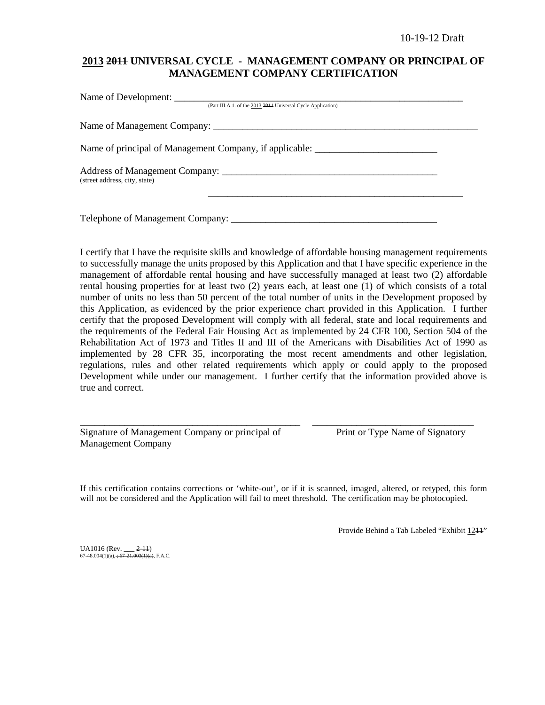## **2013 2011 UNIVERSAL CYCLE - MANAGEMENT COMPANY OR PRINCIPAL OF MANAGEMENT COMPANY CERTIFICATION**

| (Part III.A.1. of the 2013 2014 Universal Cycle Application)                      |  |
|-----------------------------------------------------------------------------------|--|
|                                                                                   |  |
| Name of principal of Management Company, if applicable: _________________________ |  |
| (street address, city, state)                                                     |  |
| Telephone of Management Company:                                                  |  |

I certify that I have the requisite skills and knowledge of affordable housing management requirements to successfully manage the units proposed by this Application and that I have specific experience in the management of affordable rental housing and have successfully managed at least two (2) affordable rental housing properties for at least two (2) years each, at least one (1) of which consists of a total number of units no less than 50 percent of the total number of units in the Development proposed by this Application, as evidenced by the prior experience chart provided in this Application. I further certify that the proposed Development will comply with all federal, state and local requirements and the requirements of the Federal Fair Housing Act as implemented by 24 CFR 100, Section 504 of the Rehabilitation Act of 1973 and Titles II and III of the Americans with Disabilities Act of 1990 as implemented by 28 CFR 35, incorporating the most recent amendments and other legislation, regulations, rules and other related requirements which apply or could apply to the proposed Development while under our management. I further certify that the information provided above is true and correct.

| Signature of Management Company or principal of |  |  |
|-------------------------------------------------|--|--|
| <b>Management Company</b>                       |  |  |

Print or Type Name of Signatory

If this certification contains corrections or 'white-out', or if it is scanned, imaged, altered, or retyped, this form will not be considered and the Application will fail to meet threshold. The certification may be photocopied.

\_\_\_\_\_\_\_\_\_\_\_\_\_\_\_\_\_\_\_\_\_\_\_\_\_\_\_\_\_\_\_\_\_\_\_\_\_\_\_\_\_\_\_\_\_ \_\_\_\_\_\_\_\_\_\_\_\_\_\_\_\_\_\_\_\_\_\_\_\_\_\_\_\_\_\_\_\_\_

Provide Behind a Tab Labeled "Exhibit 1211"

UA1016 (Rev. \_\_\_ <del>2-11</del>)<br>67-48.004(1)(a), <del>; 67-21.003(1)(a)</del>, F.A.C.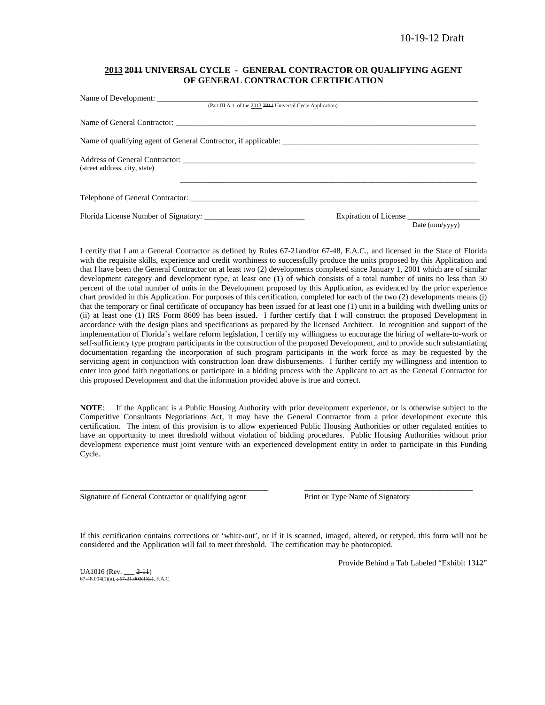### **2013 2011 UNIVERSAL CYCLE - GENERAL CONTRACTOR OR QUALIFYING AGENT OF GENERAL CONTRACTOR CERTIFICATION**

| (Part III.A.1. of the 2013 2014 Universal Cycle Application)   |                |
|----------------------------------------------------------------|----------------|
|                                                                |                |
| Name of qualifying agent of General Contractor, if applicable: |                |
|                                                                |                |
|                                                                |                |
| Expiration of License                                          | Date (mm/yyyy) |
|                                                                |                |

I certify that I am a General Contractor as defined by Rules 67-21and/or 67-48, F.A.C., and licensed in the State of Florida with the requisite skills, experience and credit worthiness to successfully produce the units proposed by this Application and that I have been the General Contractor on at least two (2) developments completed since January 1, 2001 which are of similar development category and development type, at least one (1) of which consists of a total number of units no less than 50 percent of the total number of units in the Development proposed by this Application, as evidenced by the prior experience chart provided in this Application. For purposes of this certification, completed for each of the two (2) developments means (i) that the temporary or final certificate of occupancy has been issued for at least one (1) unit in a building with dwelling units or (ii) at least one (1) IRS Form 8609 has been issued. I further certify that I will construct the proposed Development in accordance with the design plans and specifications as prepared by the licensed Architect. In recognition and support of the implementation of Florida's welfare reform legislation, I certify my willingness to encourage the hiring of welfare-to-work or self-sufficiency type program participants in the construction of the proposed Development, and to provide such substantiating documentation regarding the incorporation of such program participants in the work force as may be requested by the servicing agent in conjunction with construction loan draw disbursements. I further certify my willingness and intention to enter into good faith negotiations or participate in a bidding process with the Applicant to act as the General Contractor for this proposed Development and that the information provided above is true and correct.

**NOTE**: If the Applicant is a Public Housing Authority with prior development experience, or is otherwise subject to the Competitive Consultants Negotiations Act, it may have the General Contractor from a prior development execute this certification. The intent of this provision is to allow experienced Public Housing Authorities or other regulated entities to have an opportunity to meet threshold without violation of bidding procedures. Public Housing Authorities without prior development experience must joint venture with an experienced development entity in order to participate in this Funding Cycle.

Signature of General Contractor or qualifying agent Print or Type Name of Signatory

If this certification contains corrections or 'white-out', or if it is scanned, imaged, altered, or retyped, this form will not be considered and the Application will fail to meet threshold. The certification may be photocopied.

\_\_\_\_\_\_\_\_\_\_\_\_\_\_\_\_\_\_\_\_\_\_\_\_\_\_\_\_\_\_\_\_\_\_\_\_\_\_\_\_\_\_\_\_\_\_\_ \_\_\_\_\_\_\_\_\_\_\_\_\_\_\_\_\_\_\_\_\_\_\_\_\_\_\_\_\_\_\_\_\_\_\_\_\_\_\_\_\_\_

UA1016 (Rev. \_\_\_ <del>2-11</del>)<br>67-48.004(1)(a), <del>; 67-21.003(1)(a)</del>, F.A.C.

Provide Behind a Tab Labeled "Exhibit 1312"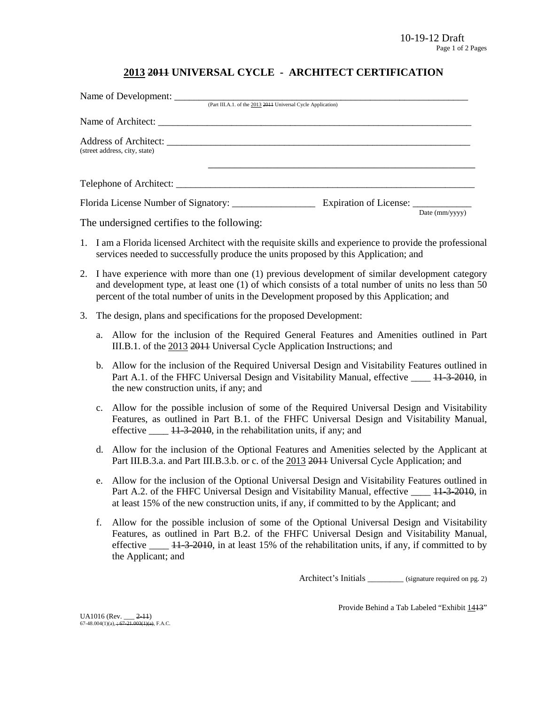## **2013 2011 UNIVERSAL CYCLE - ARCHITECT CERTIFICATION**

|                               | (Part III.A.1. of the 2013 2014 Universal Cycle Application) |                        |                        |
|-------------------------------|--------------------------------------------------------------|------------------------|------------------------|
|                               |                                                              |                        |                        |
| (street address, city, state) |                                                              |                        |                        |
| Telephone of Architect:       |                                                              |                        |                        |
|                               |                                                              | Expiration of License: | Date $\text{(mm/vyv)}$ |

The undersigned certifies to the following:

- 1. I am a Florida licensed Architect with the requisite skills and experience to provide the professional services needed to successfully produce the units proposed by this Application; and
- 2. I have experience with more than one (1) previous development of similar development category and development type, at least one (1) of which consists of a total number of units no less than 50 percent of the total number of units in the Development proposed by this Application; and
- 3. The design, plans and specifications for the proposed Development:
	- a. Allow for the inclusion of the Required General Features and Amenities outlined in Part III.B.1. of the 2013 2011 Universal Cycle Application Instructions; and
	- b. Allow for the inclusion of the Required Universal Design and Visitability Features outlined in Part A.1. of the FHFC Universal Design and Visitability Manual, effective \_\_\_\_ 11-3-2010, in the new construction units, if any; and
	- c. Allow for the possible inclusion of some of the Required Universal Design and Visitability Features, as outlined in Part B.1. of the FHFC Universal Design and Visitability Manual, effective  $\frac{11-3-2010}{11-3}$ , in the rehabilitation units, if any; and
	- d. Allow for the inclusion of the Optional Features and Amenities selected by the Applicant at Part III.B.3.a. and Part III.B.3.b. or c. of the 2013 2014 Universal Cycle Application; and
	- e. Allow for the inclusion of the Optional Universal Design and Visitability Features outlined in Part A.2. of the FHFC Universal Design and Visitability Manual, effective  $\frac{11-3-2010}{11-2010}$ , in at least 15% of the new construction units, if any, if committed to by the Applicant; and
	- f. Allow for the possible inclusion of some of the Optional Universal Design and Visitability Features, as outlined in Part B.2. of the FHFC Universal Design and Visitability Manual, effective  $\frac{11-3-2010}{11}$ , in at least 15% of the rehabilitation units, if any, if committed to by the Applicant; and

Architect's Initials \_\_\_\_\_\_\_\_ (signature required on pg. 2)

Provide Behind a Tab Labeled "Exhibit 1413"

UA1016 (Rev. \_\_\_ <del>2-11</del>)<br>67-48.004(1)(a), <del>; 67-21.003(1)(a)</del>, F.A.C.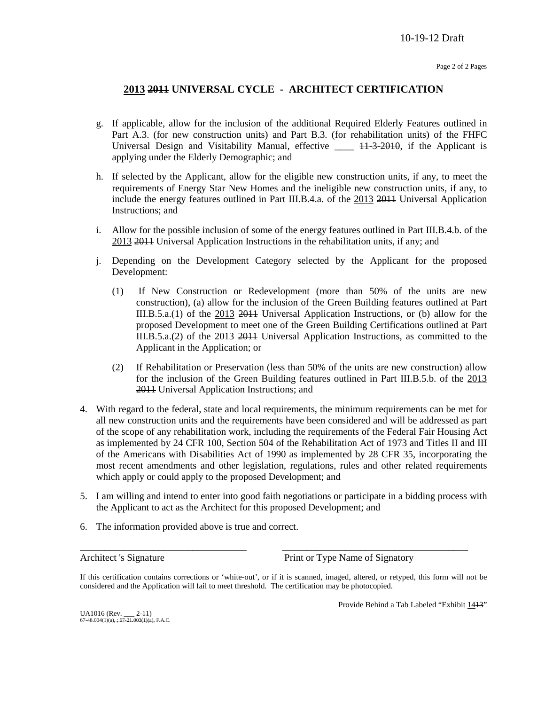## **2013 2011 UNIVERSAL CYCLE - ARCHITECT CERTIFICATION**

- g. If applicable, allow for the inclusion of the additional Required Elderly Features outlined in Part A.3. (for new construction units) and Part B.3. (for rehabilitation units) of the FHFC Universal Design and Visitability Manual, effective \_\_\_\_ 11-3-2010, if the Applicant is applying under the Elderly Demographic; and
- h. If selected by the Applicant, allow for the eligible new construction units, if any, to meet the requirements of Energy Star New Homes and the ineligible new construction units, if any, to include the energy features outlined in Part III.B.4.a. of the 2013 2011 Universal Application Instructions; and
- i. Allow for the possible inclusion of some of the energy features outlined in Part III.B.4.b. of the 2013 2011 Universal Application Instructions in the rehabilitation units, if any; and
- j. Depending on the Development Category selected by the Applicant for the proposed Development:
	- (1) If New Construction or Redevelopment (more than 50% of the units are new construction), (a) allow for the inclusion of the Green Building features outlined at Part III.B.5.a.(1) of the 2013 2011 Universal Application Instructions, or (b) allow for the proposed Development to meet one of the Green Building Certifications outlined at Part III.B.5.a.(2) of the 2013 2011 Universal Application Instructions, as committed to the Applicant in the Application; or
	- (2) If Rehabilitation or Preservation (less than 50% of the units are new construction) allow for the inclusion of the Green Building features outlined in Part III.B.5.b. of the 2013 2011 Universal Application Instructions; and
- 4. With regard to the federal, state and local requirements, the minimum requirements can be met for all new construction units and the requirements have been considered and will be addressed as part of the scope of any rehabilitation work, including the requirements of the Federal Fair Housing Act as implemented by 24 CFR 100, Section 504 of the Rehabilitation Act of 1973 and Titles II and III of the Americans with Disabilities Act of 1990 as implemented by 28 CFR 35, incorporating the most recent amendments and other legislation, regulations, rules and other related requirements which apply or could apply to the proposed Development; and
- 5. I am willing and intend to enter into good faith negotiations or participate in a bidding process with the Applicant to act as the Architect for this proposed Development; and
- 6. The information provided above is true and correct.

Architect 's Signature Print or Type Name of Signatory

If this certification contains corrections or 'white-out', or if it is scanned, imaged, altered, or retyped, this form will not be considered and the Application will fail to meet threshold. The certification may be photocopied.

\_\_\_\_\_\_\_\_\_\_\_\_\_\_\_\_\_\_\_\_\_\_\_\_\_\_\_\_\_\_\_\_\_\_ \_\_\_\_\_\_\_\_\_\_\_\_\_\_\_\_\_\_\_\_\_\_\_\_\_\_\_\_\_\_\_\_\_\_\_\_\_\_

Provide Behind a Tab Labeled "Exhibit 1413"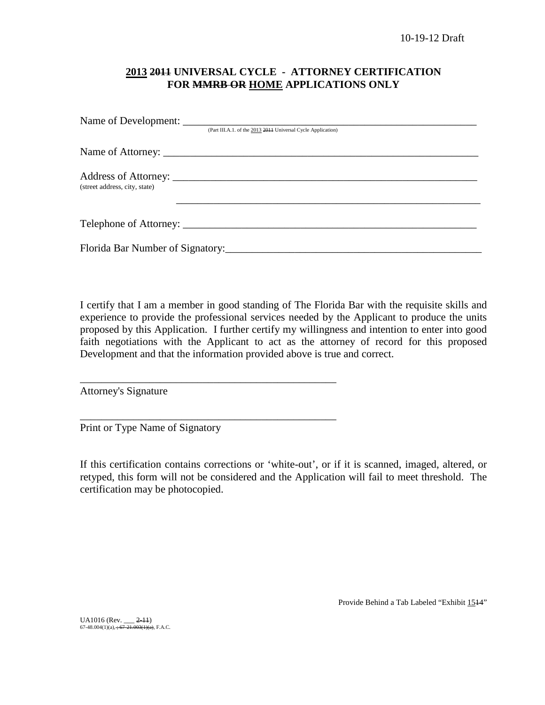## **2013 2011 UNIVERSAL CYCLE - ATTORNEY CERTIFICATION FOR MMRB OR HOME APPLICATIONS ONLY**

|                               | (Part III.A.1. of the 2013 2011 Universal Cycle Application) |
|-------------------------------|--------------------------------------------------------------|
|                               |                                                              |
| (street address, city, state) |                                                              |
|                               |                                                              |
|                               |                                                              |

I certify that I am a member in good standing of The Florida Bar with the requisite skills and experience to provide the professional services needed by the Applicant to produce the units proposed by this Application. I further certify my willingness and intention to enter into good faith negotiations with the Applicant to act as the attorney of record for this proposed Development and that the information provided above is true and correct.

Attorney's Signature

Print or Type Name of Signatory

\_\_\_\_\_\_\_\_\_\_\_\_\_\_\_\_\_\_\_\_\_\_\_\_\_\_\_\_\_\_\_\_\_\_\_\_\_\_\_\_\_\_\_\_\_\_\_\_

\_\_\_\_\_\_\_\_\_\_\_\_\_\_\_\_\_\_\_\_\_\_\_\_\_\_\_\_\_\_\_\_\_\_\_\_\_\_\_\_\_\_\_\_\_\_\_\_

If this certification contains corrections or 'white-out', or if it is scanned, imaged, altered, or retyped, this form will not be considered and the Application will fail to meet threshold. The certification may be photocopied.

Provide Behind a Tab Labeled "Exhibit 1514"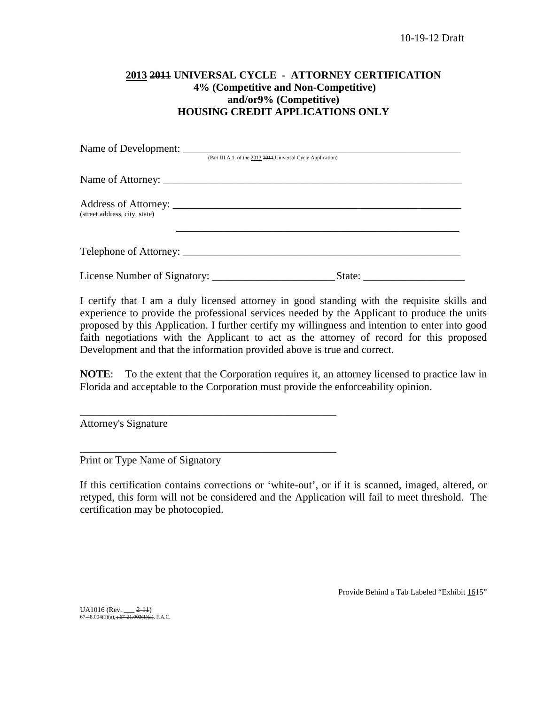## **2013 2011 UNIVERSAL CYCLE - ATTORNEY CERTIFICATION 4% (Competitive and Non-Competitive) and/or9% (Competitive) HOUSING CREDIT APPLICATIONS ONLY**

|                               | (Part III.A.1. of the 2013 2014 Universal Cycle Application) |                                                                                                                                                                                                                                                                                                                                                                                                                                                   |
|-------------------------------|--------------------------------------------------------------|---------------------------------------------------------------------------------------------------------------------------------------------------------------------------------------------------------------------------------------------------------------------------------------------------------------------------------------------------------------------------------------------------------------------------------------------------|
|                               |                                                              |                                                                                                                                                                                                                                                                                                                                                                                                                                                   |
| (street address, city, state) |                                                              |                                                                                                                                                                                                                                                                                                                                                                                                                                                   |
|                               |                                                              |                                                                                                                                                                                                                                                                                                                                                                                                                                                   |
|                               |                                                              | State: $\frac{1}{\sqrt{1-\frac{1}{2}} \cdot \frac{1}{2} \cdot \frac{1}{2} \cdot \frac{1}{2} \cdot \frac{1}{2} \cdot \frac{1}{2} \cdot \frac{1}{2} \cdot \frac{1}{2} \cdot \frac{1}{2} \cdot \frac{1}{2} \cdot \frac{1}{2} \cdot \frac{1}{2} \cdot \frac{1}{2} \cdot \frac{1}{2} \cdot \frac{1}{2} \cdot \frac{1}{2} \cdot \frac{1}{2} \cdot \frac{1}{2} \cdot \frac{1}{2} \cdot \frac{1}{2} \cdot \frac{1}{2} \cdot \frac{1}{2} \cdot \frac{1}{2$ |

I certify that I am a duly licensed attorney in good standing with the requisite skills and experience to provide the professional services needed by the Applicant to produce the units proposed by this Application. I further certify my willingness and intention to enter into good faith negotiations with the Applicant to act as the attorney of record for this proposed Development and that the information provided above is true and correct.

**NOTE**: To the extent that the Corporation requires it, an attorney licensed to practice law in Florida and acceptable to the Corporation must provide the enforceability opinion.

Attorney's Signature

Print or Type Name of Signatory

\_\_\_\_\_\_\_\_\_\_\_\_\_\_\_\_\_\_\_\_\_\_\_\_\_\_\_\_\_\_\_\_\_\_\_\_\_\_\_\_\_\_\_\_\_\_\_\_

\_\_\_\_\_\_\_\_\_\_\_\_\_\_\_\_\_\_\_\_\_\_\_\_\_\_\_\_\_\_\_\_\_\_\_\_\_\_\_\_\_\_\_\_\_\_\_\_

If this certification contains corrections or 'white-out', or if it is scanned, imaged, altered, or retyped, this form will not be considered and the Application will fail to meet threshold. The certification may be photocopied.

Provide Behind a Tab Labeled "Exhibit 1645"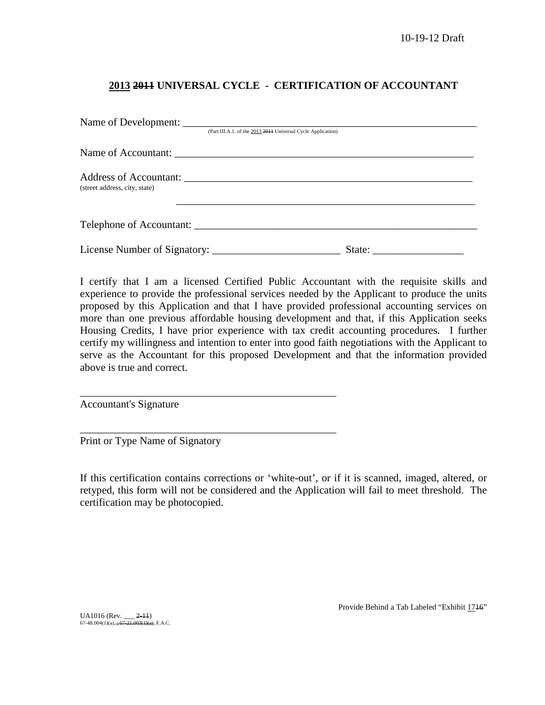## **2013 2011 UNIVERSAL CYCLE - CERTIFICATION OF ACCOUNTANT**

|                               | (Part III.A.1. of the 2013 2011 Universal Cycle Application) |  |
|-------------------------------|--------------------------------------------------------------|--|
|                               |                                                              |  |
| (street address, city, state) |                                                              |  |
|                               | Telephone of Accountant:                                     |  |
|                               |                                                              |  |

I certify that I am a licensed Certified Public Accountant with the requisite skills and experience to provide the professional services needed by the Applicant to produce the units proposed by this Application and that I have provided professional accounting services on more than one previous affordable housing development and that, if this Application seeks Housing Credits, I have prior experience with tax credit accounting procedures. I further certify my willingness and intention to enter into good faith negotiations with the Applicant to serve as the Accountant for this proposed Development and that the information provided above is true and correct.

Accountant's Signature

Print or Type Name of Signatory

\_\_\_\_\_\_\_\_\_\_\_\_\_\_\_\_\_\_\_\_\_\_\_\_\_\_\_\_\_\_\_\_\_\_\_\_\_\_\_\_\_\_\_\_\_\_\_\_

\_\_\_\_\_\_\_\_\_\_\_\_\_\_\_\_\_\_\_\_\_\_\_\_\_\_\_\_\_\_\_\_\_\_\_\_\_\_\_\_\_\_\_\_\_\_\_\_

If this certification contains corrections or 'white-out', or if it is scanned, imaged, altered, or retyped, this form will not be considered and the Application will fail to meet threshold. The certification may be photocopied.

UA1016 (Rev. \_\_\_ <del>2-11</del>)<br>67-48.004(1)(a), <del>; 67-21.003(1)(a)</del>, F.A.C.

Provide Behind a Tab Labeled "Exhibit 1716"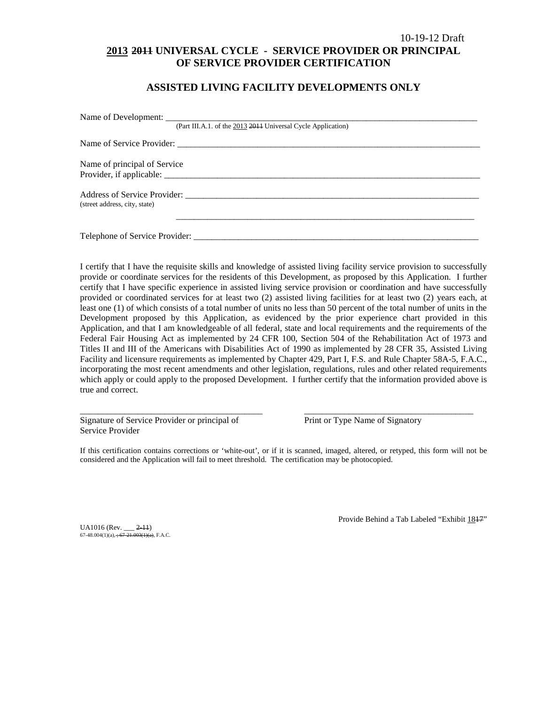## 10-19-12 Draft **2013 2011 UNIVERSAL CYCLE - SERVICE PROVIDER OR PRINCIPAL OF SERVICE PROVIDER CERTIFICATION**

## **ASSISTED LIVING FACILITY DEVELOPMENTS ONLY**

|                               | (Part III.A.1. of the 2013 2014 Universal Cycle Application) |
|-------------------------------|--------------------------------------------------------------|
|                               |                                                              |
| Name of principal of Service  |                                                              |
|                               |                                                              |
|                               |                                                              |
| (street address, city, state) |                                                              |
|                               |                                                              |
|                               |                                                              |

I certify that I have the requisite skills and knowledge of assisted living facility service provision to successfully provide or coordinate services for the residents of this Development, as proposed by this Application. I further certify that I have specific experience in assisted living service provision or coordination and have successfully provided or coordinated services for at least two (2) assisted living facilities for at least two (2) years each, at least one (1) of which consists of a total number of units no less than 50 percent of the total number of units in the Development proposed by this Application, as evidenced by the prior experience chart provided in this Application, and that I am knowledgeable of all federal, state and local requirements and the requirements of the Federal Fair Housing Act as implemented by 24 CFR 100, Section 504 of the Rehabilitation Act of 1973 and Titles II and III of the Americans with Disabilities Act of 1990 as implemented by 28 CFR 35, Assisted Living Facility and licensure requirements as implemented by Chapter 429, Part I, F.S. and Rule Chapter 58A-5, F.A.C., incorporating the most recent amendments and other legislation, regulations, rules and other related requirements which apply or could apply to the proposed Development. I further certify that the information provided above is true and correct.

Signature of Service Provider or principal of Print or Type Name of Signatory Service Provider

If this certification contains corrections or 'white-out', or if it is scanned, imaged, altered, or retyped, this form will not be considered and the Application will fail to meet threshold. The certification may be photocopied.

\_\_\_\_\_\_\_\_\_\_\_\_\_\_\_\_\_\_\_\_\_\_\_\_\_\_\_\_\_\_\_\_\_\_\_\_\_\_\_\_\_ \_\_\_\_\_\_\_\_\_\_\_\_\_\_\_\_\_\_\_\_\_\_\_\_\_\_\_\_\_\_\_\_\_\_\_\_\_\_

UA1016 (Rev. \_\_\_ <del>2-11</del>)<br>67-48.004(1)(a), <del>; 67-21.003(1)(a)</del>, F.A.C.

Provide Behind a Tab Labeled "Exhibit 1847"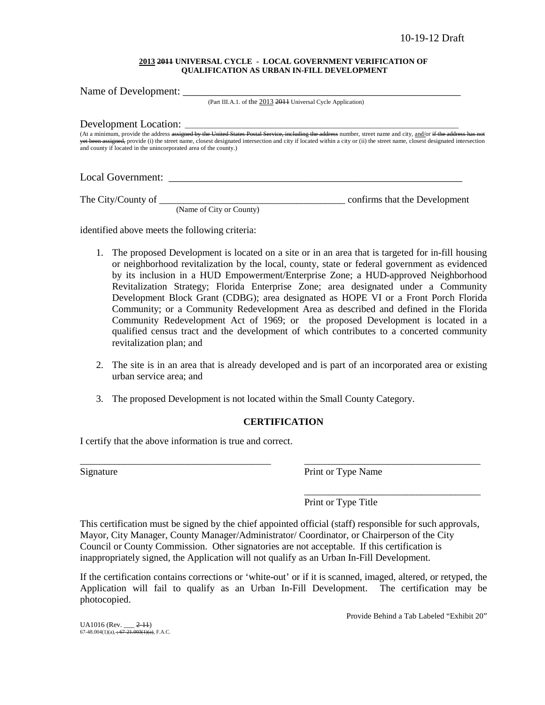#### **2013 2011 UNIVERSAL CYCLE - LOCAL GOVERNMENT VERIFICATION OF QUALIFICATION AS URBAN IN-FILL DEVELOPMENT**

| Name of Development: ________                                    |                                                                                                                                                                                                                                                                                                                                                             |
|------------------------------------------------------------------|-------------------------------------------------------------------------------------------------------------------------------------------------------------------------------------------------------------------------------------------------------------------------------------------------------------------------------------------------------------|
|                                                                  | (Part III.A.1. of the 2013 2014 Universal Cycle Application)                                                                                                                                                                                                                                                                                                |
|                                                                  |                                                                                                                                                                                                                                                                                                                                                             |
| and county if located in the unincorporated area of the county.) | (At a minimum, provide the address assigned by the United States Postal Service, including the address number, street name and city, and/or if the address has not<br><del>yet been assigned,</del> provide (i) the street name, closest designated intersection and city if located within a city or (ii) the street name, closest designated intersection |
|                                                                  |                                                                                                                                                                                                                                                                                                                                                             |
|                                                                  | confirms that the Development                                                                                                                                                                                                                                                                                                                               |

(Name of City or County)

identified above meets the following criteria:

- 1. The proposed Development is located on a site or in an area that is targeted for in-fill housing or neighborhood revitalization by the local, county, state or federal government as evidenced by its inclusion in a HUD Empowerment/Enterprise Zone; a HUD-approved Neighborhood Revitalization Strategy; Florida Enterprise Zone; area designated under a Community Development Block Grant (CDBG); area designated as HOPE VI or a Front Porch Florida Community; or a Community Redevelopment Area as described and defined in the Florida Community Redevelopment Act of 1969; or the proposed Development is located in a qualified census tract and the development of which contributes to a concerted community revitalization plan; and
- 2. The site is in an area that is already developed and is part of an incorporated area or existing urban service area; and
- 3. The proposed Development is not located within the Small County Category.

## **CERTIFICATION**

\_\_\_\_\_\_\_\_\_\_\_\_\_\_\_\_\_\_\_\_\_\_\_\_\_\_\_\_\_\_\_\_\_\_\_\_\_\_\_ \_\_\_\_\_\_\_\_\_\_\_\_\_\_\_\_\_\_\_\_\_\_\_\_\_\_\_\_\_\_\_\_\_\_\_\_

I certify that the above information is true and correct.

Signature Print or Type Name

\_\_\_\_\_\_\_\_\_\_\_\_\_\_\_\_\_\_\_\_\_\_\_\_\_\_\_\_\_\_\_\_\_\_\_\_ Print or Type Title

This certification must be signed by the chief appointed official (staff) responsible for such approvals, Mayor, City Manager, County Manager/Administrator/ Coordinator, or Chairperson of the City Council or County Commission. Other signatories are not acceptable. If this certification is inappropriately signed, the Application will not qualify as an Urban In-Fill Development.

If the certification contains corrections or 'white-out' or if it is scanned, imaged, altered, or retyped, the Application will fail to qualify as an Urban In-Fill Development. The certification may be photocopied.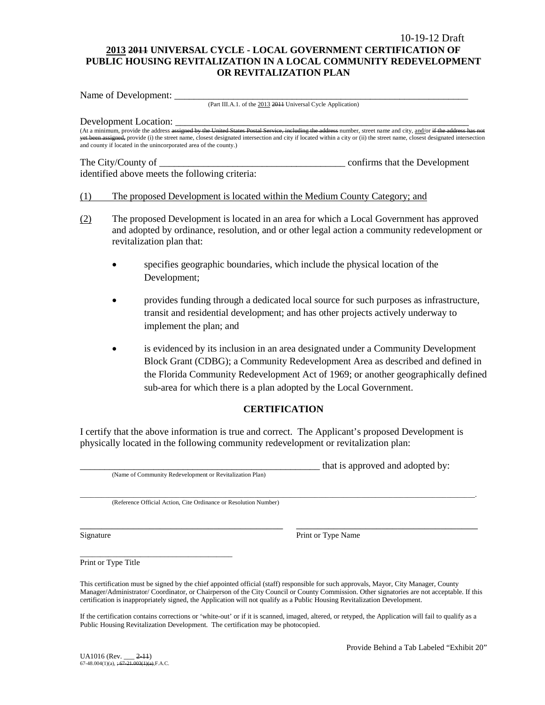## 10-19-12 Draft **2013 2011 UNIVERSAL CYCLE - LOCAL GOVERNMENT CERTIFICATION OF PUBLIC HOUSING REVITALIZATION IN A LOCAL COMMUNITY REDEVELOPMENT OR REVITALIZATION PLAN**

Name of Development:

(Part III.A.1. of the 2013 2011 Universal Cycle Application)

Development Location:

(At a minimum, provide the address assigned by the United States Postal Service, including the address number, street name and city, and/or if the address has not been alled the address has not been alled the address has n igned, provide (i) the street name, closest designated intersection and city if located within a city or (ii) the street name, closest designated intersection yet been assigned, provide (1) the street name, closest designated and county if located in the unincorporated area of the county.)

### The City/County of \_\_\_\_\_\_\_\_\_\_\_\_\_\_\_\_\_\_\_\_\_\_\_\_\_\_\_\_\_\_\_\_\_\_\_\_\_\_ confirms that the Development identified above meets the following criteria:

### (1) The proposed Development is located within the Medium County Category; and

- (2) The proposed Development is located in an area for which a Local Government has approved and adopted by ordinance, resolution, and or other legal action a community redevelopment or revitalization plan that:
	- specifies geographic boundaries, which include the physical location of the Development;
	- provides funding through a dedicated local source for such purposes as infrastructure, transit and residential development; and has other projects actively underway to implement the plan; and
	- is evidenced by its inclusion in an area designated under a Community Development Block Grant (CDBG); a Community Redevelopment Area as described and defined in the Florida Community Redevelopment Act of 1969; or another geographically defined sub-area for which there is a plan adopted by the Local Government.

## **CERTIFICATION**

I certify that the above information is true and correct. The Applicant's proposed Development is physically located in the following community redevelopment or revitalization plan:

(Name of Community Redevelopment or Revitalization Plan)

that is approved and adopted by:

\_\_\_\_\_\_\_\_\_\_\_\_\_\_\_\_\_\_\_\_\_\_\_\_\_\_\_\_\_\_\_\_\_\_\_\_\_\_\_\_\_\_\_\_\_\_\_\_\_\_\_\_\_\_\_\_\_\_\_\_\_\_\_\_\_\_\_\_\_\_\_\_\_\_\_\_\_\_\_\_\_\_\_\_\_\_\_\_\_\_\_\_\_\_\_\_\_\_\_\_\_\_\_\_\_\_\_\_\_\_\_. (Reference Official Action, Cite Ordinance or Resolution Number)

Signature Print or Type Name

\_\_\_\_\_\_\_\_\_\_\_\_\_\_\_\_\_\_\_\_\_\_\_\_\_\_\_\_\_\_\_\_\_\_\_\_\_\_ Print or Type Title

This certification must be signed by the chief appointed official (staff) responsible for such approvals, Mayor, City Manager, County Manager/Administrator/ Coordinator, or Chairperson of the City Council or County Commission. Other signatories are not acceptable. If this certification is inappropriately signed, the Application will not qualify as a Public Housing Revitalization Development.

\_\_\_\_\_\_\_\_\_\_\_\_\_\_\_\_\_\_\_\_\_\_\_\_\_\_\_\_\_\_\_\_\_\_\_\_\_\_ \_\_\_\_\_\_\_\_\_\_\_\_\_\_\_\_\_\_\_\_\_\_\_\_\_\_\_\_\_\_\_\_\_\_

If the certification contains corrections or 'white-out' or if it is scanned, imaged, altered, or retyped, the Application will fail to qualify as a Public Housing Revitalization Development. The certification may be photocopied.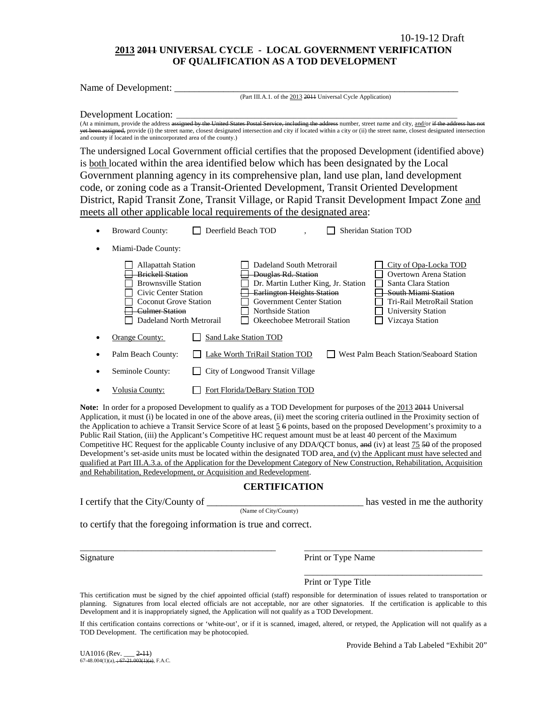## **2013 2011 UNIVERSAL CYCLE - LOCAL GOVERNMENT VERIFICATION OF QUALIFICATION AS A TOD DEVELOPMENT**

| Name of Development:<br>(Part III.A.1. of the 2013 2014 Universal Cycle Application)                                                                                                                                                                                                                                                                                                                                                                                                                                                                                                                                                                                                                                                                                                                                                                                                                                                                                                                                   |
|------------------------------------------------------------------------------------------------------------------------------------------------------------------------------------------------------------------------------------------------------------------------------------------------------------------------------------------------------------------------------------------------------------------------------------------------------------------------------------------------------------------------------------------------------------------------------------------------------------------------------------------------------------------------------------------------------------------------------------------------------------------------------------------------------------------------------------------------------------------------------------------------------------------------------------------------------------------------------------------------------------------------|
| Development Location:<br>(At a minimum, provide the address assigned by the United States Postal Service, including the address number, street name and city, and/or if the address has not<br>yet been assigned, provide (i) the street name, closest designated intersection and city if located within a city or (ii) the street name, closest designated intersection<br>and county if located in the unincorporated area of the county.)                                                                                                                                                                                                                                                                                                                                                                                                                                                                                                                                                                          |
| The undersigned Local Government official certifies that the proposed Development (identified above)                                                                                                                                                                                                                                                                                                                                                                                                                                                                                                                                                                                                                                                                                                                                                                                                                                                                                                                   |
| is both located within the area identified below which has been designated by the Local                                                                                                                                                                                                                                                                                                                                                                                                                                                                                                                                                                                                                                                                                                                                                                                                                                                                                                                                |
| Government planning agency in its comprehensive plan, land use plan, land development                                                                                                                                                                                                                                                                                                                                                                                                                                                                                                                                                                                                                                                                                                                                                                                                                                                                                                                                  |
| code, or zoning code as a Transit-Oriented Development, Transit Oriented Development                                                                                                                                                                                                                                                                                                                                                                                                                                                                                                                                                                                                                                                                                                                                                                                                                                                                                                                                   |
| District, Rapid Transit Zone, Transit Village, or Rapid Transit Development Impact Zone and                                                                                                                                                                                                                                                                                                                                                                                                                                                                                                                                                                                                                                                                                                                                                                                                                                                                                                                            |
| meets all other applicable local requirements of the designated area:                                                                                                                                                                                                                                                                                                                                                                                                                                                                                                                                                                                                                                                                                                                                                                                                                                                                                                                                                  |
| Deerfield Beach TOD<br><b>Sheridan Station TOD</b><br><b>Broward County:</b><br>$\bullet$                                                                                                                                                                                                                                                                                                                                                                                                                                                                                                                                                                                                                                                                                                                                                                                                                                                                                                                              |
| Miami-Dade County:                                                                                                                                                                                                                                                                                                                                                                                                                                                                                                                                                                                                                                                                                                                                                                                                                                                                                                                                                                                                     |
| Dadeland South Metrorail<br><b>Allapattah Station</b><br>City of Opa-Locka TOD<br>Overtown Arena Station<br><b>Brickell Station</b><br><b>Douglas Rd. Station</b><br><b>Brownsville Station</b><br>Dr. Martin Luther King, Jr. Station<br>Santa Clara Station<br>Civic Center Station<br><b>Earlington Heights Station</b><br><b>South Miami Station</b><br><b>Government Center Station</b><br><b>Coconut Grove Station</b><br>Tri-Rail MetroRail Station<br><b>Culmer Station</b><br><b>Northside Station</b><br><b>University Station</b><br>Dadeland North Metrorail<br>Okeechobee Metrorail Station<br>Vizcaya Station                                                                                                                                                                                                                                                                                                                                                                                            |
| Orange County:<br>Sand Lake Station TOD                                                                                                                                                                                                                                                                                                                                                                                                                                                                                                                                                                                                                                                                                                                                                                                                                                                                                                                                                                                |
| Palm Beach County:<br>Lake Worth TriRail Station TOD<br>West Palm Beach Station/Seaboard Station                                                                                                                                                                                                                                                                                                                                                                                                                                                                                                                                                                                                                                                                                                                                                                                                                                                                                                                       |
| Seminole County:<br>City of Longwood Transit Village                                                                                                                                                                                                                                                                                                                                                                                                                                                                                                                                                                                                                                                                                                                                                                                                                                                                                                                                                                   |
| Fort Florida/DeBary Station TOD<br>Volusia County:                                                                                                                                                                                                                                                                                                                                                                                                                                                                                                                                                                                                                                                                                                                                                                                                                                                                                                                                                                     |
| Note: In order for a proposed Development to qualify as a TOD Development for purposes of the 2013 2011 Universal<br>Application, it must (i) be located in one of the above areas, (ii) meet the scoring criteria outlined in the Proximity section of<br>the Application to achieve a Transit Service Score of at least $5\overline{6}$ points, based on the proposed Development's proximity to a<br>Public Rail Station, (iii) the Applicant's Competitive HC request amount must be at least 40 percent of the Maximum<br>Competitive HC Request for the applicable County inclusive of any DDA/QCT bonus, and (iv) at least 75 50 of the proposed<br>Development's set-aside units must be located within the designated TOD area, and (v) the Applicant must have selected and<br>qualified at Part III.A.3.a. of the Application for the Development Category of New Construction, Rehabilitation, Acquisition<br>and Rehabilitation, Redevelopment, or Acquisition and Redevelopment.<br><b>CERTIFICATION</b> |
| I certify that the City/County of<br>has vested in me the authority                                                                                                                                                                                                                                                                                                                                                                                                                                                                                                                                                                                                                                                                                                                                                                                                                                                                                                                                                    |
| (Name of City/County)                                                                                                                                                                                                                                                                                                                                                                                                                                                                                                                                                                                                                                                                                                                                                                                                                                                                                                                                                                                                  |

to certify that the foregoing information is true and correct.

Signature Print or Type Name

Print or Type Title

This certification must be signed by the chief appointed official (staff) responsible for determination of issues related to transportation or planning. Signatures from local elected officials are not acceptable, nor are other signatories. If the certification is applicable to this Development and it is inappropriately signed, the Application will not qualify as a TOD Development.

\_\_\_\_\_\_\_\_\_\_\_\_\_\_\_\_\_\_\_\_\_\_\_\_\_\_\_\_\_\_\_\_\_\_\_\_\_\_\_\_\_\_\_\_ \_\_\_\_\_\_\_\_\_\_\_\_\_\_\_\_\_\_\_\_\_\_\_\_\_\_\_\_\_\_\_\_\_\_\_\_\_\_\_\_

If this certification contains corrections or 'white-out', or if it is scanned, imaged, altered, or retyped, the Application will not qualify as a TOD Development. The certification may be photocopied.

Provide Behind a Tab Labeled "Exhibit 20"

\_\_\_\_\_\_\_\_\_\_\_\_\_\_\_\_\_\_\_\_\_\_\_\_\_\_\_\_\_\_\_\_\_\_\_\_\_\_\_\_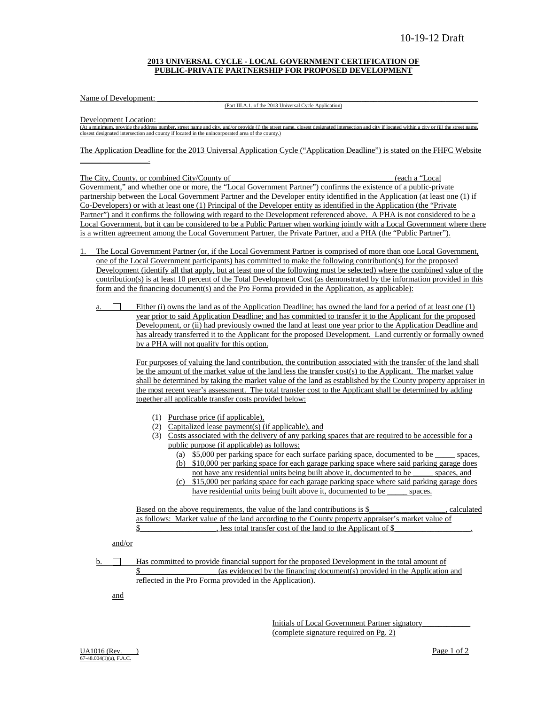#### **2013 UNIVERSAL CYCLE - LOCAL GOVERNMENT CERTIFICATION OF PUBLIC-PRIVATE PARTNERSHIP FOR PROPOSED DEVELOPMENT**

Name of Development:

(Part III.A.1. of the 2013 Universal Cycle Application)

Development Location:

 $\overline{\phantom{a}}$  , and the set of the set of the set of the set of the set of the set of the set of the set of the set of the set of the set of the set of the set of the set of the set of the set of the set of the set of the s

(At a minimum, provide the address number, street name and city, and/or provide (i) the street name, closest designated intersection and city if located within a city or (ii) the street name, closest designated intersection and county if located in the unincorporated area of the county.)

The Application Deadline for the 2013 Universal Application Cycle ("Application Deadline") is stated on the FHFC Website

The City, County, or combined City/County of \_\_\_\_\_\_\_\_\_\_\_\_\_\_\_\_\_\_\_\_\_\_\_\_\_\_\_\_\_\_\_\_\_\_\_\_\_\_\_\_ (each a "Local Government," and whether one or more, the "Local Government Partner") confirms the existence of a public-private partnership between the Local Government Partner and the Developer entity identified in the Application (at least one (1) if Co-Developers) or with at least one (1) Principal of the Developer entity as identified in the Application (the "Private Partner") and it confirms the following with regard to the Development referenced above. A PHA is not considered to be a Local Government, but it can be considered to be a Public Partner when working jointly with a Local Government where there is a written agreement among the Local Government Partner, the Private Partner, and a PHA (the "Public Partner").

- 1. The Local Government Partner (or, if the Local Government Partner is comprised of more than one Local Government, one of the Local Government participants) has committed to make the following contribution(s) for the proposed Development (identify all that apply, but at least one of the following must be selected) where the combined value of the contribution(s) is at least 10 percent of the Total Development Cost (as demonstrated by the information provided in this form and the financing document(s) and the Pro Forma provided in the Application, as applicable):
	- a.  $\Box$  Either (i) owns the land as of the Application Deadline; has owned the land for a period of at least one (1) year prior to said Application Deadline; and has committed to transfer it to the Applicant for the proposed Development, or (ii) had previously owned the land at least one year prior to the Application Deadline and has already transferred it to the Applicant for the proposed Development. Land currently or formally owned by a PHA will not qualify for this option.

For purposes of valuing the land contribution, the contribution associated with the transfer of the land shall be the amount of the market value of the land less the transfer cost(s) to the Applicant. The market value shall be determined by taking the market value of the land as established by the County property appraiser in the most recent year's assessment. The total transfer cost to the Applicant shall be determined by adding together all applicable transfer costs provided below:

- (1) Purchase price (if applicable),
- (2) Capitalized lease payment(s) (if applicable), and
- (3) Costs associated with the delivery of any parking spaces that are required to be accessible for a public purpose (if applicable) as follows:
	- (a) \$5,000 per parking space for each surface parking space, documented to be \_\_\_\_\_ spaces, (b) \$10,000 per parking space for each garage parking space where said parking garage does
	- not have any residential units being built above it, documented to be \_\_\_\_\_ spaces, and
	- (c) \$15,000 per parking space for each garage parking space where said parking garage does have residential units being built above it, documented to be \_\_\_\_\_\_ spaces.

Based on the above requirements, the value of the land contributions is \$\_\_\_\_\_\_\_\_\_\_\_\_\_\_\_\_\_\_\_, calculated as follows: Market value of the land according to the County property appraiser's market value of \$

#### and/or

 $\mathbf{b}$ .  $\Box$  Has committed to provide financial support for the proposed Development in the total amount of \$\_\_\_\_\_\_\_\_\_\_\_\_\_\_\_\_\_\_\_ (as evidenced by the financing document(s) provided in the Application and reflected in the Pro Forma provided in the Application).

and

Initials of Local Government Partner signatory\_\_\_\_\_\_\_\_\_\_\_\_ (complete signature required on Pg. 2)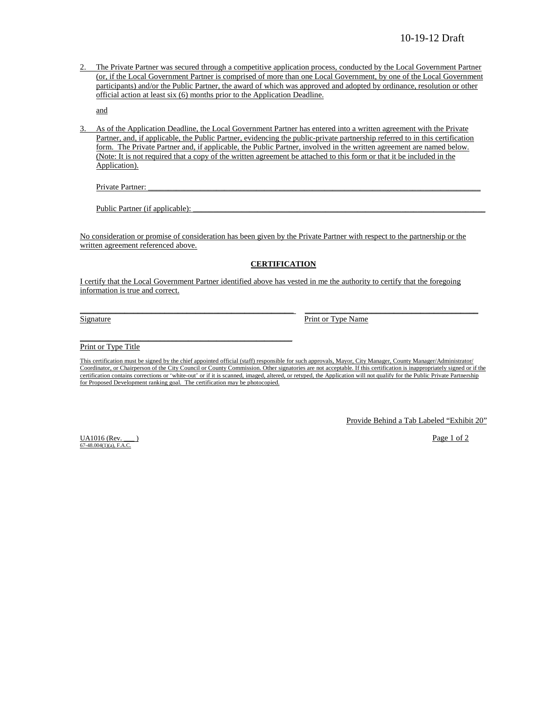2. The Private Partner was secured through a competitive application process, conducted by the Local Government Partner (or, if the Local Government Partner is comprised of more than one Local Government, by one of the Local Government participants) and/or the Public Partner, the award of which was approved and adopted by ordinance, resolution or other official action at least six (6) months prior to the Application Deadline.

and

3. As of the Application Deadline, the Local Government Partner has entered into a written agreement with the Private Partner, and, if applicable, the Public Partner, evidencing the public-private partnership referred to in this certification form. The Private Partner and, if applicable, the Public Partner, involved in the written agreement are named below. (Note: It is not required that a copy of the written agreement be attached to this form or that it be included in the Application).

Private Partner:

Public Partner (if applicable):

 $\overline{\phantom{a}}$  , and the contract of the contract of the contract of the contract of the contract of the contract of the contract of the contract of the contract of the contract of the contract of the contract of the contrac

No consideration or promise of consideration has been given by the Private Partner with respect to the partnership or the written agreement referenced above.

#### **CERTIFICATION**

I certify that the Local Government Partner identified above has vested in me the authority to certify that the foregoing information is true and correct.

\_\_\_\_\_\_\_\_\_\_\_\_\_\_\_\_\_\_\_\_\_\_\_\_\_\_\_\_\_\_\_\_\_\_\_\_\_\_\_\_\_\_\_\_\_\_\_\_ \_\_\_\_\_\_\_\_\_\_\_\_\_\_\_\_\_\_\_\_\_\_\_\_\_\_\_\_\_\_\_\_\_\_\_\_\_\_\_

Signature Print or Type Name

Print or Type Title

This certification must be signed by the chief appointed official (staff) responsible for such approvals, Mayor, City Manager, County Manager/Administrator/ Coordinator, or Chairperson of the City Council or County Commission. Other signatories are not acceptable. If this certification is inappropriately signed or if the certification contains corrections or 'white-out' or if it is scanned, imaged, altered, or retyped, the Application will not qualify for the Public Private Partnership for Proposed Development ranking goal. The certification may be photocopied.

Provide Behind a Tab Labeled "Exhibit 20"

 $\frac{U\{1016 \text{ (Rev.)}\}}{P\{208 \text{ (Dev.)}\}}$ 67-48.004(1)(a), F.A.C.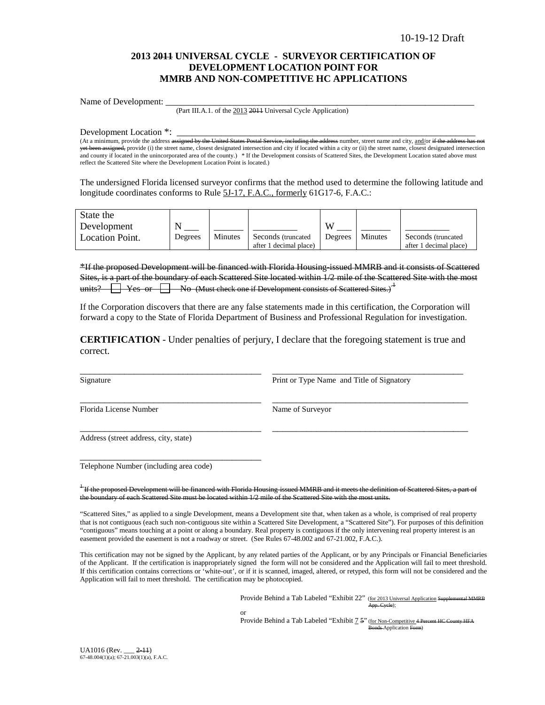## **2013 2011 UNIVERSAL CYCLE - SURVEYOR CERTIFICATION OF DEVELOPMENT LOCATION POINT FOR MMRB AND NON-COMPETITIVE HC APPLICATIONS**

Name of Development:

(Part III.A.1. of the 2013 2011 Universal Cycle Application)

Development Location \*: \_\_\_\_\_\_\_\_\_\_\_\_\_\_\_\_\_\_\_\_\_\_\_\_\_\_\_\_\_\_\_\_\_\_\_\_\_\_\_\_\_\_\_\_\_\_\_\_\_\_\_\_\_\_\_\_\_\_\_\_\_

(At a minimum, provide the address <del>assigned by the United States Postal Service, including the address</del> number, street name and city, and/or if the address has not yet been assigned, provide (i) the street name, closest designated intersection and city if located within a city or (ii) the street name, closest designated intersection and county if located in the unincorporated area of the county.) \* If the Development consists of Scattered Sites, the Development Location stated above must reflect the Scattered Site where the Development Location Point is located.)

The undersigned Florida licensed surveyor confirms that the method used to determine the following latitude and longitude coordinates conforms to Rule 5J-17, F.A.C., formerly 61G17-6, F.A.C.:

| State the<br>Development |         |         |                                               | VY.     |         |                                               |
|--------------------------|---------|---------|-----------------------------------------------|---------|---------|-----------------------------------------------|
| Location Point.          | Degrees | Minutes | Seconds (truncated)<br>after 1 decimal place) | Degrees | Minutes | Seconds (truncated)<br>after 1 decimal place) |

\*If the proposed Development will be financed with Florida Housing-issued MMRB and it consists of Scattered Sites, is a part of the boundary of each Scattered Site located within  $1/2$  mile of the Scattered Site with the most units?  $\Box$  Yes or  $\Box$  No (Must check one if Development consists of Scattered Sites.)<sup>4</sup> units?  $\Box$  Yes or  $\Box$  No (Must check one if Development consists of Scattered Sites.)<sup> $\pm$ </sup>

If the Corporation discovers that there are any false statements made in this certification, the Corporation will forward a copy to the State of Florida Department of Business and Professional Regulation for investigation.

**CERTIFICATION** - Under penalties of perjury, I declare that the foregoing statement is true and correct.

\_\_\_\_\_\_\_\_\_\_\_\_\_\_\_\_\_\_\_\_\_\_\_\_\_\_\_\_\_\_\_\_\_\_\_\_\_ \_\_\_\_\_\_\_\_\_\_\_\_\_\_\_\_\_\_\_\_\_\_\_\_\_\_\_\_\_\_\_\_\_\_\_\_\_\_\_

\_\_\_\_\_\_\_\_\_\_\_\_\_\_\_\_\_\_\_\_\_\_\_\_\_\_\_\_\_\_\_\_\_\_\_\_\_ \_\_\_\_\_\_\_\_\_\_\_\_\_\_\_\_\_\_\_\_\_\_\_\_\_\_\_\_\_\_\_\_\_\_\_\_\_\_\_\_

\_\_\_\_\_\_\_\_\_\_\_\_\_\_\_\_\_\_\_\_\_\_\_\_\_\_\_\_\_\_\_\_\_\_\_\_\_ \_\_\_\_\_\_\_\_\_\_\_\_\_\_\_\_\_\_\_\_\_\_\_\_\_\_\_\_\_\_\_\_\_\_\_\_\_\_\_\_

Signature Print or Type Name and Title of Signatory

Florida License Number Name of Surveyor

Address (street address, city, state)

Telephone Number (including area code)

\_\_\_\_\_\_\_\_\_\_\_\_\_\_\_\_\_\_\_\_\_\_\_\_\_\_\_\_\_\_\_\_\_\_\_\_\_

 $+$ If the proposed Development will be financed with Florida Housing-issued MMRB and it meets the definition of Scattered Sites, a part of the boundary of each Scattered Site must be located within 1/2 mile of the Scattered Site with the most units.

"Scattered Sites," as applied to a single Development, means a Development site that, when taken as a whole, is comprised of real property that is not contiguous (each such non-contiguous site within a Scattered Site Development, a "Scattered Site"). For purposes of this definition "contiguous" means touching at a point or along a boundary. Real property is contiguous if the only intervening real property interest is an easement provided the easement is not a roadway or street. (See Rules 67-48.002 and 67-21.002, F.A.C.).

This certification may not be signed by the Applicant, by any related parties of the Applicant, or by any Principals or Financial Beneficiaries of the Applicant. If the certification is inappropriately signed the form will not be considered and the Application will fail to meet threshold. If this certification contains corrections or 'white-out', or if it is scanned, imaged, altered, or retyped, this form will not be considered and the Application will fail to meet threshold. The certification may be photocopied.

> Provide Behind a Tab Labeled "Exhibit 22" (for 2013 Universal Application Suppl App. Cycle);

or Provide Behind a Tab Labeled "Exhibit 7 5" (for Non-Competitive 4 Percent HC County HFA onds-Application Form)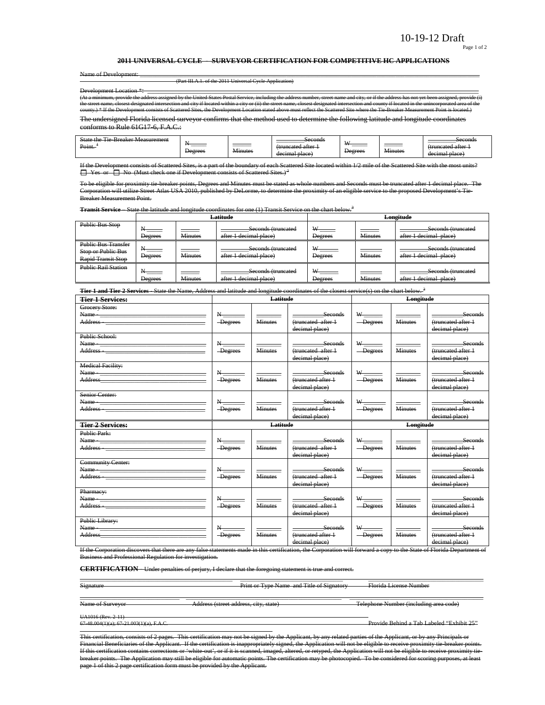#### Page 1 of 2

#### **2011 UNIVERSAL CYCLE - SURVEYOR CERTIFICATION FOR COMPETITIVE HC APPLICATIONS**

| Name of Development:-                                                                                                                                                                               |
|-----------------------------------------------------------------------------------------------------------------------------------------------------------------------------------------------------|
| (Part III.A.1. of the 2011 Universal Cycle Application)                                                                                                                                             |
| <b>Development Location *:</b>                                                                                                                                                                      |
| (At a minimum, provide the address assigned by the United States Postal Service, including the address number, street name and city, or if the address has not yet been assigned, provide (i)       |
| the street name, closest designated intersection and city if located within a city or (ii) the street name, closest designated intersection and county if located in the unincorporated area of the |
| county.) * If the Development consists of Scattered Sites, the Development Location stated above must reflect the Scattered Site where the Tie Breaker Measurement Point is located.)               |
|                                                                                                                                                                                                     |

The undersigned Florida licensed surveyor confirms that the method used to determine the following latitude and longitude coordinates conforms to Rule 61G17-6, F.A.C.:

| --<br>$\sim$ .<br>State<br>$+n$<br><b>Measurement</b><br>tragtar<br>$\mathbf{1}\Delta$<br><del>внешке</del><br>. .<br>--<br>Point. | ________<br><b>Degrees</b> | _______<br>$\mathbf{v}$<br><del>Minutes</del> | Seconds<br>. attar<br>$m$ nncotac $\sigma$<br><del>uuncatou arter</del><br>decimal place | XX.<br><br><del>Degrees</del> | <b>Minutes</b> | Seconds<br>a attar<br>truncotod.<br><del>ununcatou anor</del><br>decimal place<br><del>- viitt</del> . |
|------------------------------------------------------------------------------------------------------------------------------------|----------------------------|-----------------------------------------------|------------------------------------------------------------------------------------------|-------------------------------|----------------|--------------------------------------------------------------------------------------------------------|
|------------------------------------------------------------------------------------------------------------------------------------|----------------------------|-----------------------------------------------|------------------------------------------------------------------------------------------|-------------------------------|----------------|--------------------------------------------------------------------------------------------------------|

If the Development consists of Scattered Sites, is a part of the boundary of each Scattered Site located within 1/2 mile of the Se  $\Box$  Yes or  $\Box$  No (Must check one if Development consists of Scattered Sites.)<sup>2</sup>

To be eligible for proximity tie-breaker points, Degrees and Minutes must be stated as whole numbers and Seconds must be truncated after 1 decimal place. The Corporation will utilize Street Atlas USA 2010, published by DeLorme, to determine the proximity of an eligible service to the proposed Development's Tie-Breaker Measurement Point.

**Transit Service** – State the latitude and longitude coordinates for one (1) Transit Service on the chart below.<sup>3</sup>

|                                                                               |                               |                                     | Latitude                                     |                      |                | Longitude                                    |
|-------------------------------------------------------------------------------|-------------------------------|-------------------------------------|----------------------------------------------|----------------------|----------------|----------------------------------------------|
| <b>Public Bus Stop</b>                                                        | <b>Degrees</b>                | <b>Minutes</b>                      | Seconds (truncated<br>after 1 decimal place) | <b>Degrees</b>       | <b>Minutes</b> | Seconds (truncated<br>after 1 decimal place) |
| <b>Public Bus Transfer</b><br>Stop or Public Bus<br><b>Rapid Transit Stop</b> | Degrees                       | <b>Contract Contract</b><br>Minutes | Seconds (truncated<br>after 1 decimal place) | W-<br><b>Degrees</b> | <b>Minutes</b> | Seconds (truncated<br>after 1 decimal place) |
| <b>Public Rail Station</b>                                                    | $\mathbf +$<br><b>Degrees</b> | <b>Minutes</b>                      | Seconds (truncated<br>after 1 decimal place) | <b>Degrees</b>       | <b>Minutes</b> | Seconds (truncated<br>after 1 decimal place) |

**Tier 1 and Tier 2 Services** - State the Name, Address and latitude and longitude coordinates of the closest service(s) on the chart below. <sup>3</sup>

| <b>Tier 1 Services:</b>                                                                                                                                                                                                                                                                                                                                                                                                                                                           |                                                         | Latitude       |                                                        |                                       | Longitude      |                                                        |
|-----------------------------------------------------------------------------------------------------------------------------------------------------------------------------------------------------------------------------------------------------------------------------------------------------------------------------------------------------------------------------------------------------------------------------------------------------------------------------------|---------------------------------------------------------|----------------|--------------------------------------------------------|---------------------------------------|----------------|--------------------------------------------------------|
| Grocery Store:<br>Name - Name - Name - Name - Name - Name - Name - Name - Name - Name - Name - Name - Name - Name - Name - Name - Name - Name - Name - Name - Name - Name - Name - Name - Name - Name - Name - Name - Name - Name - Name - Name<br>Address - The Commission of the Commission of the Commission of the Commission of the Commission of the Commission of the Commission of the Commission of the Commission of the Commission of the Commission of the Commission | $N_{\frac{1}{2}}$<br>-Degrees                           | <b>Minutes</b> | Seconds<br>(truncated after 1<br>decimal place)        | -Degrees                              | <b>Minutes</b> | Seconds<br>(truncated after 1<br>decimal place)        |
| Public School:                                                                                                                                                                                                                                                                                                                                                                                                                                                                    | $N-$<br>-Degrees                                        | <b>Minutes</b> | -Seconds<br>(truncated after 1<br>decimal place)       | -Degrees                              | <b>Minutes</b> | <b>Seconds</b><br>(truncated after 1<br>decimal place) |
| <b>Medical Facility:</b><br>Address and the contract of the contract of the contract of the contract of the contract of the contract of the                                                                                                                                                                                                                                                                                                                                       | $\mathbf{N}_{\text{max}}$<br>-Degrees                   | <b>Minutes</b> | Seconds<br>(truncated after +<br>decimal place)        | $\mathbf{w}_{\text{max}}$<br>-Degrees | <b>Minutes</b> | Seconds<br>(truncated after 1<br>decimal place)        |
| Senior Center:<br>Name - The Commission of the Commission of the Commission of the Commission of the Commission of the Commission of the Commission of the Commission of the Commission of the Commission of the Commission of the Commission of                                                                                                                                                                                                                                  | $\mathbf{N}_{\text{max}}$<br>-Degrees                   | <b>Minutes</b> | $-$ Seconds<br>(truncated after 1<br>decimal place)    | $W$ <sub>1</sub><br>-Degrees          | <b>Minutes</b> | Seconds<br>(truncated after 1<br>decimal place)        |
|                                                                                                                                                                                                                                                                                                                                                                                                                                                                                   |                                                         |                |                                                        |                                       |                |                                                        |
| <b>Tier 2 Services:</b>                                                                                                                                                                                                                                                                                                                                                                                                                                                           |                                                         | Latitude       |                                                        |                                       | Longitude      |                                                        |
| Public Park:<br>Address - 2008 - 2009 - 2010 - 2010 - 2010 - 2010 - 2010 - 2010 - 2010 - 2010 - 2010 - 2010 - 2010 - 2010 - 20                                                                                                                                                                                                                                                                                                                                                    | $\mathbf{N}_{\text{max}}$<br>-Degrees                   | <b>Minutes</b> | <b>Seconds</b><br>(truncated after 1<br>decimal place) | -Degrees                              | <b>Minutes</b> | Seconds<br>(truncated after 1<br>decimal place)        |
| <b>Community Center:</b>                                                                                                                                                                                                                                                                                                                                                                                                                                                          | $N_{\overline{\phantom{a}}}\hspace{0.05cm}$<br>-Degrees | <b>Minutes</b> | seconds<br>(truncated after 1<br>decimal place)        | $\mathbf{w}_{\text{max}}$<br>-Degrees | <b>Minutes</b> | seconds<br>(truncated after 1<br>decimal place)        |
| Pharmacy:<br>Name - The Commission of the Commission of the Commission of the Commission of the Commission of the Commission<br>Address - The Committee of the Committee of the Committee of the Committee of the Committee of the Committee o                                                                                                                                                                                                                                    | $\mathbf{N}_{\text{max}}$<br>-Degrees                   | <b>Minutes</b> | Seconds<br>(truncated after 1<br>decimal place)        | $W$ and $W$<br>-Degrees               | <b>Minutes</b> | Seconds<br>(truncated after 1<br>decimal place)        |

If the Corporation discovers that there are any false statements made in this certification, the Corporation will forward a copy to the State of Florida Department of<br>Business and Professional Regulation for investigation .<br>and Professional Regulation for investigation.

\_\_\_\_\_\_\_\_\_\_\_\_\_\_\_\_\_\_\_\_\_\_\_\_\_\_\_\_\_\_\_\_\_\_\_\_\_\_\_\_\_\_\_\_\_\_\_\_\_ \_\_\_\_\_\_\_\_\_\_\_\_\_\_\_\_\_\_\_\_\_\_\_\_\_\_\_\_\_\_\_\_\_ \_\_\_\_\_\_\_\_\_\_\_\_\_\_\_\_\_\_\_\_\_\_\_\_\_\_\_\_\_\_\_\_\_\_\_\_\_

**CERTIFICATION** - Under penalties of perjury, I declare that the foregoing statement is true and correct.

Signature **Print or Type Name and Title of Signatory** Florida License Number

\_\_\_\_\_\_\_\_\_\_\_\_\_\_\_\_\_\_\_\_\_\_\_\_\_\_\_\_\_\_\_\_ \_\_\_\_\_\_\_\_\_\_\_\_\_\_\_\_\_\_\_\_\_\_\_\_\_\_\_\_\_\_\_\_\_\_\_\_\_\_\_\_\_\_\_\_\_\_\_\_\_\_ \_\_\_\_\_\_\_\_\_\_\_\_\_\_\_\_\_\_\_\_\_\_\_\_\_\_\_\_\_\_\_\_\_\_\_\_\_\_\_\_\_\_\_ Name of Surveyor Address (street address, city, state) Telephone Number (including area code)

UA1016 (Rev. 2-11)<br>67-48.004(1)(a); 67-21.003(1)(a), F.A.C.

Provide Behind a Tab Labeled "Exhibit 25"

This certification, consists of 2 pages. This certification may not be signed by the Applicant, by any related parties of the Applicant, or by any Principals or Financial Beneficiaries of the Applicant. If the certification is inappropriately signed, the Application will not be eligible to receive proximity tie-breaker points.<br>If this certification contains corrections or 'white-o ed, imaged, altered, or retyped, the Application will not be eligible to receive proximity tiebreaker points. The Application may still be eligible for automatic points. The certification may be photocopied. To be considered for scoring purposes, at least page 1 of this 2 page certification form must be provided by the Applicant.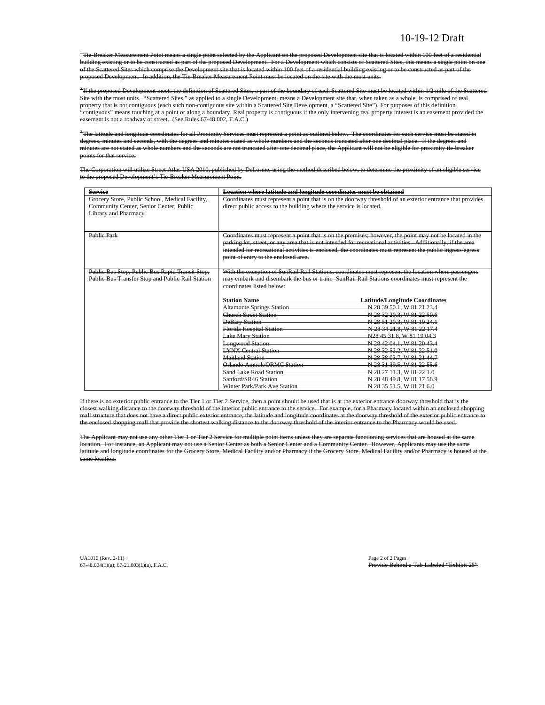<sup>+</sup>Tie-Breaker Measurement Point means a single point selected by the Applicant on the proposed Development site that is located within 100 feet of a residential building existing or to be constructed as part of the proposed Development. For a Development which consists of Scattered Sites, this means a single point on one of the Scattered Sites which comprise the Development site that is located within 100 feet of a residential building existing or to be constructed as part of the proposed Development. In addition, the Tie-Breaker Measurement Point must be located on the site with the most units.

<sup>2</sup>If the proposed Development meets the definition of Scattered Sites, a part of the boundary of each Scattered Site must be located within 1/2 mile of the Scattered Site with the most units. "Scattered Sites," as applied to a single Development, means a Development site that, when taken as a whole, is comprised of real property that is not contiguous (each such non-contiguous site within a Scattered Site Development, a "Scattered Site"). For purposes of this definition "contiguous" means touching at a point or along a boundary. Real property is contiguous if the only intervening real property interest is an easement provided the ent is not a roadway or street. (See Rules 67-48.002, F.A.C.)

 $^3$ The latitude and longitude coordinates for all Proximity Services must represent a point as outlined below. The coordinates for each service must be stated in degrees, minutes and seconds, with the degrees and minutes stated as whole numbers and the seconds truncated after one decimal place. If the degrees and minutes are not stated as whole numbers and the seconds are not truncated after one decimal place, the Applicant will not be eligible for proximity tie-breaker points for that service.

The Corporation will utilize Street Atlas USA 2010, published by DeLorme, using the method described below, to determine the proximity of an eligible service to the proposed Development's Tie-Breaker Measurement Point.

| <b>Service</b>                                                         | Location where latitude and longitude coordinates must be obtained |                                                                                                              |  |  |  |  |
|------------------------------------------------------------------------|--------------------------------------------------------------------|--------------------------------------------------------------------------------------------------------------|--|--|--|--|
| Grocery Store, Public School, Medical Facility,                        |                                                                    | Coordinates must represent a point that is on the doorway threshold of an exterior entrance that provides    |  |  |  |  |
| Community Center, Senior Center, Public<br><b>Library and Pharmacy</b> | direct public access to the building where the service is located. |                                                                                                              |  |  |  |  |
|                                                                        |                                                                    |                                                                                                              |  |  |  |  |
|                                                                        |                                                                    |                                                                                                              |  |  |  |  |
| <b>Public Park</b>                                                     |                                                                    | Coordinates must represent a point that is on the premises; however, the point may not be located in the     |  |  |  |  |
|                                                                        |                                                                    | parking lot, street, or any area that is not intended for recreational activities. Additionally, if the area |  |  |  |  |
|                                                                        |                                                                    | intended for recreational activities is enclosed, the coordinates must represent the public ingress/egress   |  |  |  |  |
|                                                                        | point of entry to the enclosed area.                               |                                                                                                              |  |  |  |  |
|                                                                        |                                                                    |                                                                                                              |  |  |  |  |
| Public Bus Stop, Public Bus Rapid Transit Stop,                        |                                                                    | With the exception of SunRail Rail Stations, coordinates must represent the location where passengers        |  |  |  |  |
| Public Bus Transfer Stop and Public Rail Station                       |                                                                    | may embark and disembark the bus or train. SunRail Rail Stations coordinates must represent the              |  |  |  |  |
|                                                                        | coordinates listed below:                                          |                                                                                                              |  |  |  |  |
|                                                                        | <b>Station Name</b>                                                | Latitude/Longitude Coordinates                                                                               |  |  |  |  |
|                                                                        | <b>Altamonte Springs Station</b>                                   | N 28 39 50.1, W 81 21 23.4                                                                                   |  |  |  |  |
|                                                                        | <b>Church Street Station</b>                                       | N 28 32 20.3, W 81 22 50.6                                                                                   |  |  |  |  |
|                                                                        | <b>DeBary Station</b>                                              | N 28 51 20.3, W 81 19 24.1                                                                                   |  |  |  |  |
|                                                                        | Florida Hospital Station                                           | N 28 34 21 8, W 81 22 17.4                                                                                   |  |  |  |  |
|                                                                        | <b>Lake Mary Station</b>                                           | N28 45 31.8, W 81 19 04.3                                                                                    |  |  |  |  |
|                                                                        | <b>Longwood Station</b>                                            | N 28 42 04.1, W 81 20 43.4                                                                                   |  |  |  |  |
|                                                                        | <b>LYNX Central Station</b>                                        | N 28 32 52.2, W 81 22 51.0                                                                                   |  |  |  |  |
|                                                                        | <b>Maitland Station</b>                                            | N 28 38 03.7, W 81 21 44.7                                                                                   |  |  |  |  |
|                                                                        | Orlando Amtrak/ORMC Station                                        | N 28 31 39.5, W 81 22 55.6                                                                                   |  |  |  |  |
|                                                                        | Sand Lake Road Station                                             | N 28 27 11.3, W 81 22 1.0                                                                                    |  |  |  |  |
|                                                                        | Sanford/SR46 Station                                               | N 28 48 49.8, W 81 17 56.9                                                                                   |  |  |  |  |
|                                                                        | Winter Park/Park Ave Station                                       | N 28 35 51.5, W 81 21 6.0                                                                                    |  |  |  |  |

If there is no exterior public entrance to the Tier 1 or Tier 2 Service, then a point should be used that is at the exterior entrance doorway threshold that is the closest walking distance to the doorway threshold of the interior public entrance to the service. For example, for a Pharmacy located within an enclosed shopping mall structure that does not have a direct public exterior entrance, the latitude and longitude coordinates at the doorway threshold of the exterior public entrance the enclosed shopping mall that provide the shortest walking distance to the doorway threshold of the interior entrance to the Pharmacy would be used.

The Applicant may not use any other Tier 1 or Tier 2 Service for multiple point items unless they are separate functioning services that are housed at the same location. For instance, an Applicant may not use a Senior Center as both a Senior Center and a Community Center. However, Applicants may use the same latitude and longitude coordinates for the Grocery Store, Medical Facility and/or Pharmacy if the Grocery Store, Medical Facility and/or Pharmacy is housed at the same location.

UA1016 (Rev. 2-11)<br>67-48.004(1)(a); 67-21.003(1)(a), F.A.C. Provide Behind a Tab Labeled "Exhibit 25"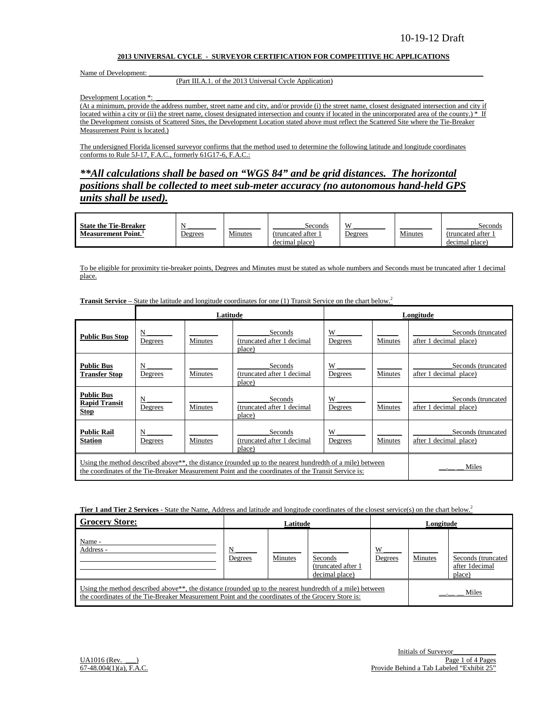#### **2013 UNIVERSAL CYCLE - SURVEYOR CERTIFICATION FOR COMPETITIVE HC APPLICATIONS**

Name of Development:

#### (Part III.A.1. of the 2013 Universal Cycle Application)

Development Location \*:

(At a minimum, provide the address number, street name and city, and/or provide (i) the street name, closest designated intersection and city if located within a city or (ii) the street name, closest designated intersection and county if located in the unincorporated area of the county.) \* If the Development consists of Scattered Sites, the Development Location stated above must reflect the Scattered Site where the Tie-Breaker Measurement Point is located.)

The undersigned Florida licensed surveyor confirms that the method used to determine the following latitude and longitude coordinates conforms to Rule 5J-17, F.A.C., formerly 61G17-6, F.A.C.:

*\*\*All calculations shall be based on "WGS 84" and be grid distances. The horizontal positions shall be collected to meet sub-meter accuracy (no autonomous hand-held GPS units shall be used).*

| <b>State the Tie-Breaker</b> |         |         | Seconds           | X              |         | Seconds           |
|------------------------------|---------|---------|-------------------|----------------|---------|-------------------|
| <b>Measurement Point.</b>    | Degrees | Minutes | (truncated after) | <u>Jegrees</u> | Minutes | (truncated after) |
|                              |         |         | decimal place)    |                |         | decimal place)    |

To be eligible for proximity tie-breaker points, Degrees and Minutes must be stated as whole numbers and Seconds must be truncated after 1 decimal place.

**Transit Service** – State the latitude and longitude coordinates for one (1) Transit Service on the chart below.<sup>2</sup>

|                                                          |              | Latitude       |                                                                                                                                                                                                                              |              |         | Longitude                                    |
|----------------------------------------------------------|--------------|----------------|------------------------------------------------------------------------------------------------------------------------------------------------------------------------------------------------------------------------------|--------------|---------|----------------------------------------------|
| <b>Public Bus Stop</b>                                   | N<br>Degrees | Minutes        | Seconds<br>(truncated after 1 decimal<br>place)                                                                                                                                                                              | W<br>Degrees | Minutes | Seconds (truncated<br>after 1 decimal place) |
| <b>Public Bus</b><br><b>Transfer Stop</b>                | N<br>Degrees | Minutes        | Seconds<br>(truncated after 1 decimal<br>place)                                                                                                                                                                              | W<br>Degrees | Minutes | Seconds (truncated<br>after 1 decimal place) |
| <b>Public Bus</b><br><b>Rapid Transit</b><br><b>Stop</b> | N<br>Degrees | Minutes        | Seconds<br>(truncated after 1 decimal<br>place)                                                                                                                                                                              | W<br>Degrees | Minutes | Seconds (truncated<br>after 1 decimal place) |
| <b>Public Rail</b><br><b>Station</b>                     | N<br>Degrees | <b>Minutes</b> | Seconds<br>(truncated after 1 decimal<br>place)                                                                                                                                                                              | W<br>Degrees | Minutes | Seconds (truncated<br>after 1 decimal place) |
|                                                          |              |                | Using the method described above <sup>**</sup> , the distance (rounded up to the nearest hundredth of a mile) between<br>the coordinates of the Tie-Breaker Measurement Point and the coordinates of the Transit Service is: |              |         | Miles                                        |

**Tier 1 and Tier 2 Services** - State the Name, Address and latitude and longitude coordinates of the closest service(s) on the chart below.<sup>2</sup>

| <b>Grocery Store:</b>                                                                                                                                                                                                      | Latitude     |         |                                                 | Longitude    |         |                                                |
|----------------------------------------------------------------------------------------------------------------------------------------------------------------------------------------------------------------------------|--------------|---------|-------------------------------------------------|--------------|---------|------------------------------------------------|
| Name -<br>Address -                                                                                                                                                                                                        | N<br>Degrees | Minutes | Seconds<br>(truncated after 1<br>decimal place) | W<br>Degrees | Minutes | Seconds (truncated<br>after 1decimal<br>place) |
| Using the method described above <sup>**</sup> , the distance (rounded up to the nearest hundredth of a mile) between<br>the coordinates of the Tie-Breaker Measurement Point and the coordinates of the Grocery Store is: |              |         |                                                 |              |         | Miles                                          |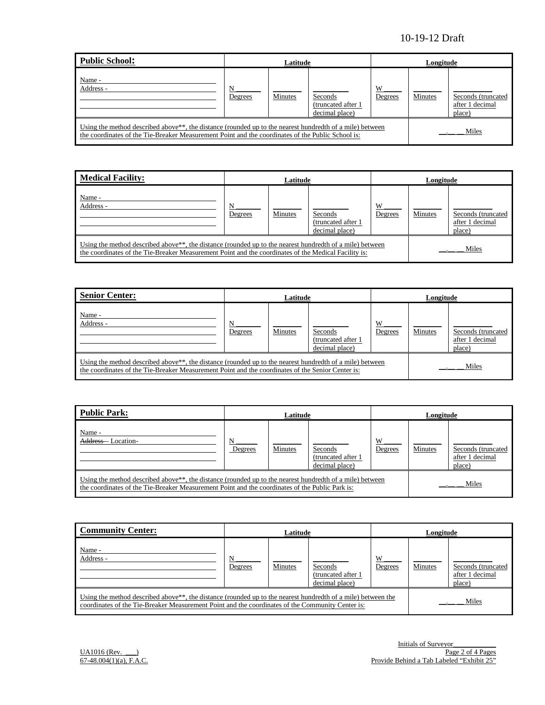| Public School:                                                                                                                                                                                                             | Latitude     |         |                                                  | Longitude    |         |                                                 |
|----------------------------------------------------------------------------------------------------------------------------------------------------------------------------------------------------------------------------|--------------|---------|--------------------------------------------------|--------------|---------|-------------------------------------------------|
| Name -<br>Address -                                                                                                                                                                                                        | N<br>Degrees | Minutes | Seconds<br>(truncated after 1)<br>decimal place) | W<br>Degrees | Minutes | Seconds (truncated<br>after 1 decimal<br>place) |
| Using the method described above <sup>**</sup> , the distance (rounded up to the nearest hundredth of a mile) between<br>the coordinates of the Tie-Breaker Measurement Point and the coordinates of the Public School is: |              |         |                                                  |              |         | Miles                                           |

| <b>Medical Facility:</b>                                                                                                                                                                                                      | Latitude     |         |                                                 | Longitude    |         |                                                 |
|-------------------------------------------------------------------------------------------------------------------------------------------------------------------------------------------------------------------------------|--------------|---------|-------------------------------------------------|--------------|---------|-------------------------------------------------|
| Name -<br>Address -                                                                                                                                                                                                           | N<br>Degrees | Minutes | Seconds<br>(truncated after 1<br>decimal place) | W<br>Degrees | Minutes | Seconds (truncated<br>after 1 decimal<br>place) |
| Using the method described above <sup>**</sup> , the distance (rounded up to the nearest hundredth of a mile) between<br>the coordinates of the Tie-Breaker Measurement Point and the coordinates of the Medical Facility is: |              |         |                                                 |              |         | Miles                                           |

| <b>Senior Center:</b>                                                                                                                                                                                                      | Latitude     |         |                                                  | Longitude    |         |                                                 |
|----------------------------------------------------------------------------------------------------------------------------------------------------------------------------------------------------------------------------|--------------|---------|--------------------------------------------------|--------------|---------|-------------------------------------------------|
| Name -<br>Address -                                                                                                                                                                                                        | N<br>Degrees | Minutes | Seconds<br>(truncated after 1)<br>decimal place) | W<br>Degrees | Minutes | Seconds (truncated<br>after 1 decimal<br>place) |
| Using the method described above <sup>**</sup> , the distance (rounded up to the nearest hundredth of a mile) between<br>the coordinates of the Tie-Breaker Measurement Point and the coordinates of the Senior Center is: |              |         |                                                  |              |         | Miles                                           |

| Public Park:                                                                                                                                                                                                             | Latitude     |         |                                                 | Longitude    |         |                                                 |
|--------------------------------------------------------------------------------------------------------------------------------------------------------------------------------------------------------------------------|--------------|---------|-------------------------------------------------|--------------|---------|-------------------------------------------------|
| Name -<br>Address-<br>Location-                                                                                                                                                                                          | N<br>Degrees | Minutes | Seconds<br>(truncated after 1<br>decimal place) | W<br>Degrees | Minutes | Seconds (truncated<br>after 1 decimal<br>place) |
| Using the method described above <sup>**</sup> , the distance (rounded up to the nearest hundredth of a mile) between<br>the coordinates of the Tie-Breaker Measurement Point and the coordinates of the Public Park is: |              |         |                                                 |              |         | Miles                                           |

| <b>Community Center:</b>                                                                                                                                                                                                      | Latitude     |         |                                                  | Longitude    |         |                                                  |
|-------------------------------------------------------------------------------------------------------------------------------------------------------------------------------------------------------------------------------|--------------|---------|--------------------------------------------------|--------------|---------|--------------------------------------------------|
| Name -<br>Address -                                                                                                                                                                                                           | N<br>Degrees | Minutes | Seconds<br>(truncated after 1)<br>decimal place) | W<br>Degrees | Minutes | Seconds (truncated)<br>after 1 decimal<br>place) |
| Using the method described above <sup>**</sup> , the distance (rounded up to the nearest hundredth of a mile) between the<br>coordinates of the Tie-Breaker Measurement Point and the coordinates of the Community Center is: |              |         |                                                  |              | Miles   |                                                  |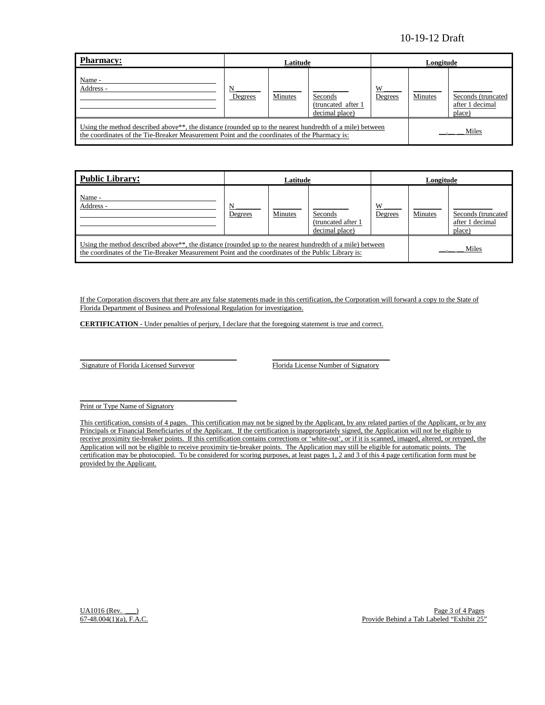| Pharmacy:                                                                                                                                                                                                             | Latitude     |         |                                                 |              | Longitude |                                                 |  |
|-----------------------------------------------------------------------------------------------------------------------------------------------------------------------------------------------------------------------|--------------|---------|-------------------------------------------------|--------------|-----------|-------------------------------------------------|--|
| Name -<br>Address -                                                                                                                                                                                                   | N<br>Degrees | Minutes | Seconds<br>(truncated after 1<br>decimal place) | W<br>Degrees | Minutes   | Seconds (truncated<br>after 1 decimal<br>place) |  |
| Using the method described above <sup>**</sup> , the distance (rounded up to the nearest hundredth of a mile) between<br>the coordinates of the Tie-Breaker Measurement Point and the coordinates of the Pharmacy is: |              |         |                                                 |              |           | Miles                                           |  |

| <b>Public Library:</b>                                                                                                                                                                                                      | Latitude |                |                                                  | Longitude    |                |                                                 |
|-----------------------------------------------------------------------------------------------------------------------------------------------------------------------------------------------------------------------------|----------|----------------|--------------------------------------------------|--------------|----------------|-------------------------------------------------|
| Name -<br>Address -                                                                                                                                                                                                         | Degrees  | <b>Minutes</b> | Seconds<br>(truncated after 1)<br>decimal place) | W<br>Degrees | <b>Minutes</b> | Seconds (truncated<br>after 1 decimal<br>place) |
| Using the method described above <sup>**</sup> , the distance (rounded up to the nearest hundredth of a mile) between<br>the coordinates of the Tie-Breaker Measurement Point and the coordinates of the Public Library is: |          |                |                                                  |              |                | Miles                                           |

If the Corporation discovers that there are any false statements made in this certification, the Corporation will forward a copy to the State of Florida Department of Business and Professional Regulation for investigation.

**CERTIFICATION** - Under penalties of perjury, I declare that the foregoing statement is true and correct.

Signature of Florida Licensed Surveyor Florida License Number of Signatory

 $\mathcal{L} = \{ \mathcal{L}^{\mathcal{L}} \mathcal{L}^{\mathcal{L}} \mathcal{L}^{\mathcal{L}} \mathcal{L}^{\mathcal{L}} \mathcal{L}^{\mathcal{L}} \mathcal{L}^{\mathcal{L}} \mathcal{L}^{\mathcal{L}} \mathcal{L}^{\mathcal{L}} \mathcal{L}^{\mathcal{L}} \mathcal{L}^{\mathcal{L}} \mathcal{L}^{\mathcal{L}} \mathcal{L}^{\mathcal{L}} \mathcal{L}^{\mathcal{L}} \mathcal{L}^{\mathcal{L}} \mathcal{L}^{\mathcal{L}} \mathcal{L}^{\mathcal{L}} \mathcal$ 

\_\_\_\_\_\_\_\_\_\_\_\_\_\_\_\_\_\_\_\_\_\_\_\_\_\_\_\_\_\_\_\_\_\_\_\_\_\_\_\_\_\_\_\_ \_\_\_\_\_\_\_\_\_\_\_\_\_\_\_\_\_\_\_\_\_\_\_\_\_\_\_\_\_\_\_\_\_

Print or Type Name of Signatory

This certification, consists of 4 pages. This certification may not be signed by the Applicant, by any related parties of the Applicant, or by any Principals or Financial Beneficiaries of the Applicant. If the certification is inappropriately signed, the Application will not be eligible to receive proximity tie-breaker points. If this certification contains corrections or 'white-out', or if it is scanned, imaged, altered, or retyped, the Application will not be eligible to receive proximity tie-breaker points. The Application may still be eligible for automatic points. The certification may be photocopied. To be considered for scoring purposes, at least pages 1, 2 and 3 of this 4 page certification form must be provided by the Applicant.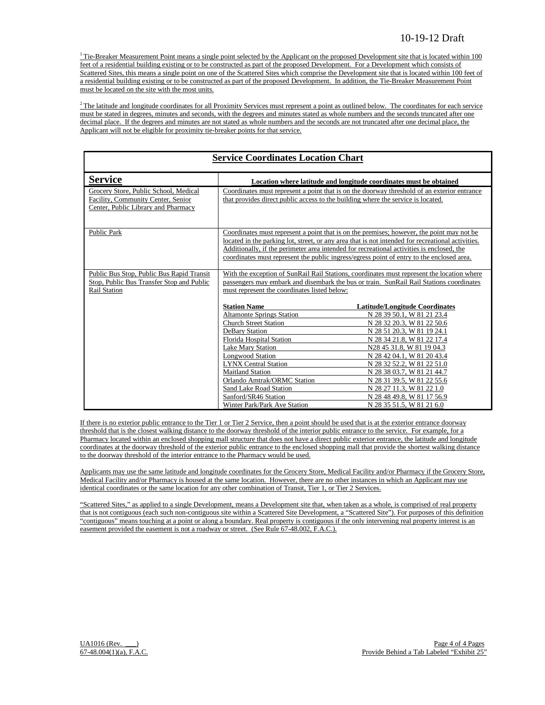$1$ <sup>1</sup> Tie-Breaker Measurement Point means a single point selected by the Applicant on the proposed Development site that is located within 100 feet of a residential building existing or to be constructed as part of the proposed Development. For a Development which consists of Scattered Sites, this means a single point on one of the Scattered Sites which comprise the Development site that is located within 100 feet of a residential building existing or to be constructed as part of the proposed Development. In addition, the Tie-Breaker Measurement Point must be located on the site with the most units.

 $2$  The latitude and longitude coordinates for all Proximity Services must represent a point as outlined below. The coordinates for each service must be stated in degrees, minutes and seconds, with the degrees and minutes stated as whole numbers and the seconds truncated after one decimal place. If the degrees and minutes are not stated as whole numbers and the seconds are not truncated after one decimal place, the Applicant will not be eligible for proximity tie-breaker points for that service.

| <b>Service Coordinates Location Chart</b>                                                                          |                                                                                                                                                                                                                                                                                                                                                                                                                         |                                                                                                                                                                                                                                                                                                                                                                                                                                                                                                                                                                                                     |  |  |  |
|--------------------------------------------------------------------------------------------------------------------|-------------------------------------------------------------------------------------------------------------------------------------------------------------------------------------------------------------------------------------------------------------------------------------------------------------------------------------------------------------------------------------------------------------------------|-----------------------------------------------------------------------------------------------------------------------------------------------------------------------------------------------------------------------------------------------------------------------------------------------------------------------------------------------------------------------------------------------------------------------------------------------------------------------------------------------------------------------------------------------------------------------------------------------------|--|--|--|
| <b>Service</b>                                                                                                     | Location where latitude and longitude coordinates must be obtained<br>Coordinates must represent a point that is on the doorway threshold of an exterior entrance<br>that provides direct public access to the building where the service is located.                                                                                                                                                                   |                                                                                                                                                                                                                                                                                                                                                                                                                                                                                                                                                                                                     |  |  |  |
| Grocery Store, Public School, Medical<br>Facility, Community Center, Senior<br>Center, Public Library and Pharmacy |                                                                                                                                                                                                                                                                                                                                                                                                                         |                                                                                                                                                                                                                                                                                                                                                                                                                                                                                                                                                                                                     |  |  |  |
| <b>Public Park</b>                                                                                                 | Coordinates must represent a point that is on the premises; however, the point may not be<br>located in the parking lot, street, or any area that is not intended for recreational activities.<br>Additionally, if the perimeter area intended for recreational activities is enclosed, the<br>coordinates must represent the public ingress/egress point of entry to the enclosed area.                                |                                                                                                                                                                                                                                                                                                                                                                                                                                                                                                                                                                                                     |  |  |  |
| Public Bus Stop, Public Bus Rapid Transit<br>Stop, Public Bus Transfer Stop and Public<br><b>Rail Station</b>      | must represent the coordinates listed below:<br><b>Station Name</b><br><b>Altamonte Springs Station</b><br><b>Church Street Station</b><br><b>DeBary Station</b><br>Florida Hospital Station<br>Lake Mary Station<br><b>Longwood Station</b><br><b>LYNX Central Station</b><br><b>Maitland Station</b><br>Orlando Amtrak/ORMC Station<br>Sand Lake Road Station<br>Sanford/SR46 Station<br>Winter Park/Park Ave Station | With the exception of SunRail Rail Stations, coordinates must represent the location where<br>passengers may embark and disembark the bus or train. SunRail Rail Stations coordinates<br><b>Latitude/Longitude Coordinates</b><br>N 28 39 50.1, W 81 21 23.4<br>N 28 32 20.3, W 81 22 50.6<br>N 28 51 20.3, W 81 19 24.1<br>N 28 34 21.8, W 81 22 17.4<br>N28 45 31.8, W 81 19 04.3<br>N 28 42 04.1, W 81 20 43.4<br>N 28 32 52.2, W 81 22 51.0<br>N 28 38 03.7, W 81 21 44.7<br>N 28 31 39.5, W 81 22 55.6<br>N 28 27 11.3, W 81 22 1.0<br>N 28 48 49.8, W 81 17 56.9<br>N 28 35 51.5, W 81 21 6.0 |  |  |  |

If there is no exterior public entrance to the Tier 1 or Tier 2 Service, then a point should be used that is at the exterior entrance doorway threshold that is the closest walking distance to the doorway threshold of the interior public entrance to the service. For example, for a Pharmacy located within an enclosed shopping mall structure that does not have a direct public exterior entrance, the latitude and longitude coordinates at the doorway threshold of the exterior public entrance to the enclosed shopping mall that provide the shortest walking distance to the doorway threshold of the interior entrance to the Pharmacy would be used.

Applicants may use the same latitude and longitude coordinates for the Grocery Store, Medical Facility and/or Pharmacy if the Grocery Store, Medical Facility and/or Pharmacy is housed at the same location. However, there are no other instances in which an Applicant may use identical coordinates or the same location for any other combination of Transit, Tier 1, or Tier 2 Services.

"Scattered Sites," as applied to a single Development, means a Development site that, when taken as a whole, is comprised of real property that is not contiguous (each such non-contiguous site within a Scattered Site Development, a "Scattered Site"). For purposes of this definition "contiguous" means touching at a point or along a boundary. Real property is contiguous if the only intervening real property interest is an easement provided the easement is not a roadway or street. (See Rule 67-48.002, F.A.C.).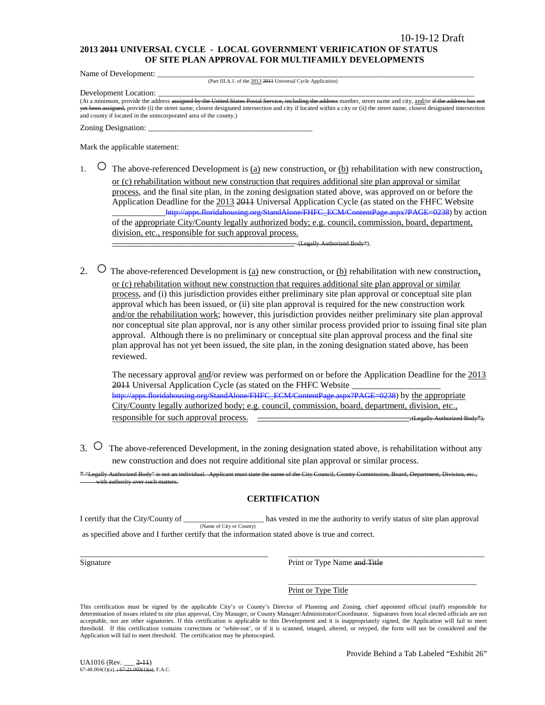### **2013 2011 UNIVERSAL CYCLE - LOCAL GOVERNMENT VERIFICATION OF STATUS OF SITE PLAN APPROVAL FOR MULTIFAMILY DEVELOPMENTS**

Name of Development:

(Part III.A.1. of the 2013 2011 Universal Cycle Application)

Development Location:

(At a minimum, provide the address assigned by the United States Postal Service, including the address number, street name and city, and/or if the address has een assigned, provide (i) the street name, closest designated intersection and city if located within a city or (ii) the street name, closest designated intersection and county if located in the unincorporated area of the county.)

Zoning Designation:

Mark the applicable statement:

1.  $\circ$  The above-referenced Development is <u>(a)</u> new construction, or <u>(b)</u> rehabilitation with new construction, or (c) rehabilitation without new construction that requires additional site plan approval or similar process, and the final site plan, in the zoning designation stated above, was approved on or before the Application Deadline for the 2013 2011 Universal Application Cycle (as stated on the FHFC Website \_\_\_\_\_\_\_\_\_\_\_[\\_http://apps.floridahousing.org/StandAlone/FHFC\\_ECM/ContentPage.aspx?PAGE=0238\)](http://apps.floridahousing.org/StandAlone/FHFC_ECM/ContentPage.aspx?PAGE=0238) by action of the appropriate City/County legally authorized body; e.g. council, commission, board, department, division, etc., responsible for such approval process.

\_\_\_\_\_\_\_\_\_\_\_\_\_\_\_\_\_\_\_\_\_\_\_\_\_\_\_\_\_\_\_\_\_\_\_\_\_\_\_\_\_ (Legally Authorized Body\*).

2.  $\circ$  The above-referenced Development is (a) new construction, or (b) rehabilitation with new construction, or (c) rehabilitation without new construction that requires additional site plan approval or similar process, and (i) this jurisdiction provides either preliminary site plan approval or conceptual site plan approval which has been issued, or (ii) site plan approval is required for the new construction work and/or the rehabilitation work; however, this jurisdiction provides neither preliminary site plan approval nor conceptual site plan approval, nor is any other similar process provided prior to issuing final site plan approval. Although there is no preliminary or conceptual site plan approval process and the final site plan approval has not yet been issued, the site plan, in the zoning designation stated above, has been reviewed.

The necessary approval and/or review was performed on or before the Application Deadline for the 2013 2011 Universal Application Cycle (as stated on the FHFC Website [http://apps.floridahousing.org/StandAlone/FHFC\\_ECM/ContentPage.aspx?PAGE=0238\)](http://apps.floridahousing.org/StandAlone/FHFC_ECM/ContentPage.aspx?PAGE=0238) by the appropriate City/County legally authorized body; e.g. council, commission, board, department, division, etc., responsible for such approval process. \_\_\_\_\_\_\_\_\_\_\_\_\_\_\_\_\_\_\_\_\_\_\_\_\_\_\_\_\_\_\_.(Legally Authorized Body\*).

3. ○ The above-referenced Development, in the zoning designation stated above, is rehabilitation without any new construction and does not require additional site plan approval or similar process.

\* "Legally Authorized Body" is not an individual. Applicant must state the name of the City Council, County Commission, Board, Department, Division, etc., ith authority over

## **CERTIFICATION**

I certify that the City/County of \_\_\_\_\_\_\_\_\_\_\_\_\_\_\_\_\_\_\_\_ has vested in me the authority to verify status of site plan approval (Name of City or County) as specified above and I further certify that the information stated above is true and correct.

\_\_\_\_\_\_\_\_\_\_\_\_\_\_\_\_\_\_\_\_\_\_\_\_\_\_\_\_\_\_\_\_\_\_\_\_\_\_\_\_\_\_\_\_\_\_\_ \_\_\_\_\_\_\_\_\_\_\_\_\_\_\_\_\_\_\_\_\_\_\_\_\_\_\_\_\_\_\_\_\_\_\_\_\_\_\_\_\_\_\_\_\_\_\_\_\_ Signature **Print or Type Name and Title** 

> \_\_\_\_\_\_\_\_\_\_\_\_\_\_\_\_\_\_\_\_\_\_\_\_\_\_\_\_\_\_\_\_\_\_\_\_\_\_\_\_\_\_\_\_\_\_\_ Print or Type Title

This certification must be signed by the applicable City's or County's Director of Planning and Zoning, chief appointed official (staff) responsible for determination of issues related to site plan approval, City Manager, or County Manager/Administrator/Coordinator. Signatures from local elected officials are not acceptable, nor are other signatories. If this certification is applicable to this Development and it is inappropriately signed, the Application will fail to meet threshold. If this certification contains corrections or 'white-out', or if it is scanned, imaged, altered, or retyped, the form will not be considered and the Application will fail to meet threshold. The certification may be photocopied.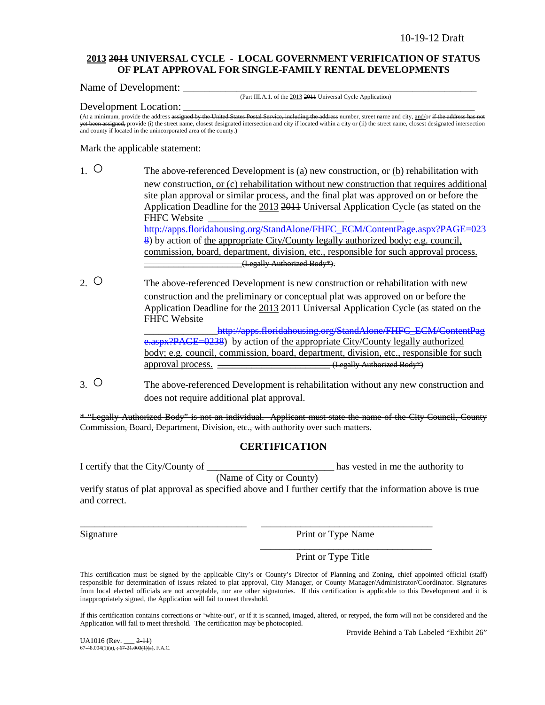### **2013 2011 UNIVERSAL CYCLE - LOCAL GOVERNMENT VERIFICATION OF STATUS OF PLAT APPROVAL FOR SINGLE-FAMILY RENTAL DEVELOPMENTS**

Name of Development:

(Part III.A.1. of the 2013 2011 Universal Cycle Application)

Development Location:

(At a minimum, provide the address assigned by the United States Postal Service, including the address number, street name and city, and/or if the addr ssigned, provide (i) the street name, closest designated intersection and city if located within a city or (ii) the street name, closest designated intersection and county if located in the unincorporated area of the county.)

Mark the applicable statement:

- 1. The above-referenced Development is (a) new construction, or (b) rehabilitation with new construction, or (c) rehabilitation without new construction that requires additional site plan approval or similar process, and the final plat was approved on or before the Application Deadline for the 2013 2011 Universal Application Cycle (as stated on the FHFC Website [http://apps.floridahousing.org/StandAlone/FHFC\\_ECM/ContentPage.aspx?PAGE=023](http://apps.floridahousing.org/StandAlone/FHFC_ECM/ContentPage.aspx?PAGE=0238) [8\)](http://apps.floridahousing.org/StandAlone/FHFC_ECM/ContentPage.aspx?PAGE=0238) by action of the appropriate City/County legally authorized body; e.g. council, commission, board, department, division, etc., responsible for such approval process. \_\_\_\_\_\_\_\_\_\_\_\_\_\_\_\_\_\_\_\_(Legally Authorized Body\*).
- 2. O The above-referenced Development is new construction or rehabilitation with new construction and the preliminary or conceptual plat was approved on or before the Application Deadline for the 2013 2011 Universal Application Cycle (as stated on the FHFC Website http://apps.floridahousing.org/StandAlone/FHFC\_ECM/ContentPag

[e.aspx?PAGE=0238\)](http://apps.floridahousing.org/StandAlone/FHFC_ECM/ContentPage.aspx?PAGE=0238) by action of the appropriate City/County legally authorized body; e.g. council, commission, board, department, division, etc., responsible for such approval process.  $\overline{\phantom{a}}$  (Legally Authorized Body\*)

3. ○ The above-referenced Development is rehabilitation without any new construction and does not require additional plat approval.

\* "Legally Authorized Body" is not an individual. Applicant must state the name of the City Council, County Commission, Board, Department, Division, etc., with authority over such matters.

## **CERTIFICATION**

I certify that the City/County of \_\_\_\_\_\_\_\_\_\_\_\_\_\_\_\_\_\_\_\_\_\_\_\_\_\_ has vested in me the authority to

(Name of City or County)

\_\_\_\_\_\_\_\_\_\_\_\_\_\_\_\_\_\_\_\_\_\_\_\_\_\_\_\_\_\_\_\_\_\_ \_\_\_\_\_\_\_\_\_\_\_\_\_\_\_\_\_\_\_\_\_\_\_\_\_\_\_\_\_\_\_\_\_\_\_

verify status of plat approval as specified above and I further certify that the information above is true and correct.

Signature Print or Type Name

\_\_\_\_\_\_\_\_\_\_\_\_\_\_\_\_\_\_\_\_\_\_\_\_\_\_\_\_\_\_\_\_\_\_\_

Print or Type Title

This certification must be signed by the applicable City's or County's Director of Planning and Zoning, chief appointed official (staff) responsible for determination of issues related to plat approval, City Manager, or County Manager/Administrator/Coordinator. Signatures from local elected officials are not acceptable, nor are other signatories. If this certification is applicable to this Development and it is inappropriately signed, the Application will fail to meet threshold.

If this certification contains corrections or 'white-out', or if it is scanned, imaged, altered, or retyped, the form will not be considered and the Application will fail to meet threshold. The certification may be photocopied.

Provide Behind a Tab Labeled "Exhibit 26"

UA1016 (Rev. \_\_\_ 2-11)  $67-48.004(1)(a)$ ,  $\div 67-21.003(1)(a)$ , F.A.C.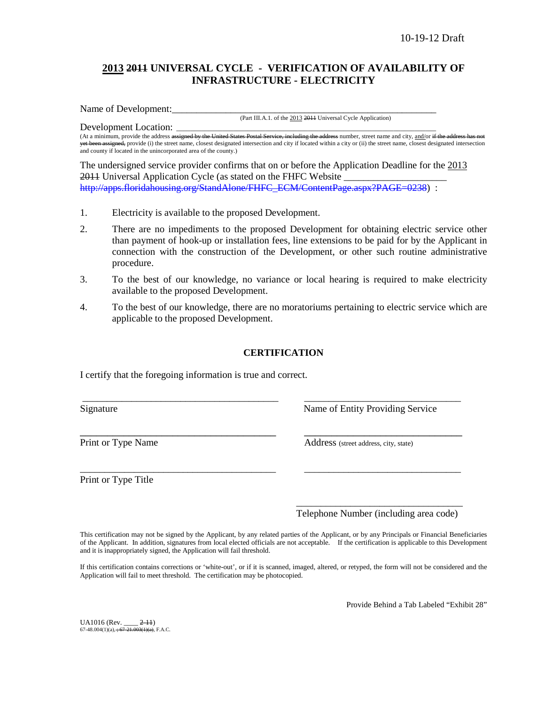## **2013 2011 UNIVERSAL CYCLE - VERIFICATION OF AVAILABILITY OF INFRASTRUCTURE - ELECTRICITY**

Name of Development:

(Part III.A.1. of the 2013 2011 Universal Cycle Application)

Development Location: (At a minimum, provide the address assigned by the United States Postal Service, including the address number, street name and city, and/or if the address h yet been assigned, provide (i) the street name, closest designated intersection and city if located within a city or (ii) the street name, closest designated intersection and county if located in the unincorporated area of the county.)

The undersigned service provider confirms that on or before the Application Deadline for the 2013 2011 Universal Application Cycle (as stated on the FHFC Website \_ [http://apps.floridahousing.org/StandAlone/FHFC\\_ECM/ContentPage.aspx?PAGE=0238\)](http://apps.floridahousing.org/StandAlone/FHFC_ECM/ContentPage.aspx?PAGE=0238) :

- 1. Electricity is available to the proposed Development.
- 2. There are no impediments to the proposed Development for obtaining electric service other than payment of hook-up or installation fees, line extensions to be paid for by the Applicant in connection with the construction of the Development, or other such routine administrative procedure.
- 3. To the best of our knowledge, no variance or local hearing is required to make electricity available to the proposed Development.
- 4. To the best of our knowledge, there are no moratoriums pertaining to electric service which are applicable to the proposed Development.

## **CERTIFICATION**

\_\_\_\_\_\_\_\_\_\_\_\_\_\_\_\_\_\_\_\_\_\_\_\_\_\_\_\_\_\_\_\_\_\_\_\_\_\_\_\_ \_\_\_\_\_\_\_\_\_\_\_\_\_\_\_\_\_\_\_\_\_\_\_\_\_\_\_\_\_\_\_\_

\_\_\_\_\_\_\_\_\_\_\_\_\_\_\_\_\_\_\_\_\_\_\_\_\_\_\_\_\_\_\_\_\_\_\_\_ \_\_\_\_\_\_\_\_\_\_\_\_\_\_\_\_\_\_\_\_\_\_\_\_\_\_\_\_\_

\_\_\_\_\_\_\_\_\_\_\_\_\_\_\_\_\_\_\_\_\_\_\_\_\_\_\_\_\_\_\_\_\_\_\_\_\_\_\_\_ \_\_\_\_\_\_\_\_\_\_\_\_\_\_\_\_\_\_\_\_\_\_\_\_\_\_\_\_\_\_\_\_

I certify that the foregoing information is true and correct.

Signature Name of Entity Providing Service

Print or Type Name Address (street address, city, state)

Print or Type Title

\_\_\_\_\_\_\_\_\_\_\_\_\_\_\_\_\_\_\_\_\_\_\_\_\_\_\_\_\_\_\_\_\_\_ Telephone Number (including area code)

This certification may not be signed by the Applicant, by any related parties of the Applicant, or by any Principals or Financial Beneficiaries of the Applicant. In addition, signatures from local elected officials are not acceptable. If the certification is applicable to this Development and it is inappropriately signed, the Application will fail threshold.

If this certification contains corrections or 'white-out', or if it is scanned, imaged, altered, or retyped, the form will not be considered and the Application will fail to meet threshold. The certification may be photocopied.

Provide Behind a Tab Labeled "Exhibit 28"

UA1016 (Rev. \_\_\_\_ 2-11)  $67-48.004(1)(a)$ ,  $\div 67-21.003(1)(a)$ , F.A.C.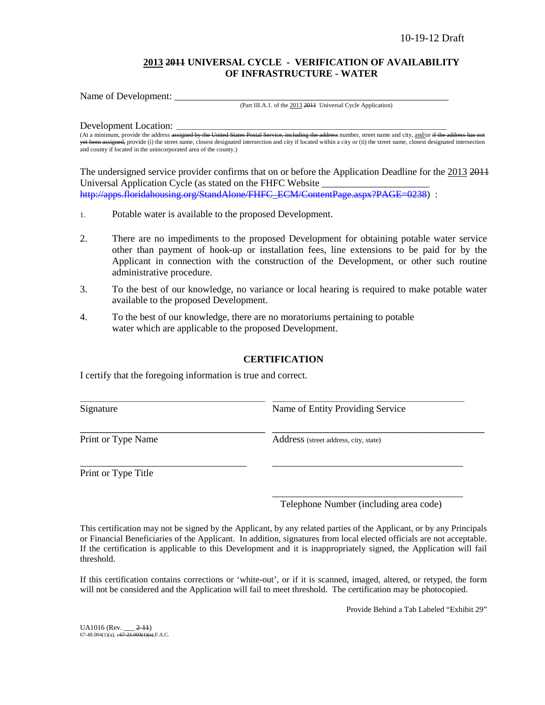## **2013 2011 UNIVERSAL CYCLE - VERIFICATION OF AVAILABILITY OF INFRASTRUCTURE - WATER**

Name of Development: \_\_\_\_\_\_\_\_\_\_\_\_\_\_\_\_\_\_\_\_\_\_\_\_\_\_\_\_\_\_\_\_\_\_\_\_\_\_\_\_\_\_\_\_\_\_\_\_\_\_\_\_\_\_\_\_

(Part III.A.1. of the 2013 2011 Universal Cycle Application)

Development Location:

(At a minimum, provide the address assigned by the United States Postal Service, including the address number, street name and city, and/or if the addre yet been assigned, provide (i) the street name, closest designated intersection and city if located within a city or (ii) the street name, closest designated intersection and county if located in the unincorporated area of the county.)

The undersigned service provider confirms that on or before the Application Deadline for the 2013 2011 Universal Application Cycle (as stated on the FHFC Website \_\_\_\_\_\_\_\_\_\_\_\_\_\_\_\_\_\_\_\_\_\_ [http://apps.floridahousing.org/StandAlone/FHFC\\_ECM/ContentPage.aspx?PAGE=0238\)](http://apps.floridahousing.org/StandAlone/FHFC_ECM/ContentPage.aspx?PAGE=0238) :

- 1. Potable water is available to the proposed Development.
- 2. There are no impediments to the proposed Development for obtaining potable water service other than payment of hook-up or installation fees, line extensions to be paid for by the Applicant in connection with the construction of the Development, or other such routine administrative procedure.
- 3. To the best of our knowledge, no variance or local hearing is required to make potable water available to the proposed Development.
- 4. To the best of our knowledge, there are no moratoriums pertaining to potable water which are applicable to the proposed Development.

## **CERTIFICATION**

I certify that the foregoing information is true and correct.

| Signature          | Name of Entity Providing Service      |
|--------------------|---------------------------------------|
| Print or Type Name | Address (street address, city, state) |
|                    |                                       |

Print or Type Title

\_\_\_\_\_\_\_\_\_\_\_\_\_\_\_\_\_\_\_\_\_\_\_\_\_\_\_\_\_\_\_\_\_\_\_\_\_\_\_ Telephone Number (including area code)

This certification may not be signed by the Applicant, by any related parties of the Applicant, or by any Principals or Financial Beneficiaries of the Applicant. In addition, signatures from local elected officials are not acceptable. If the certification is applicable to this Development and it is inappropriately signed, the Application will fail threshold.

If this certification contains corrections or 'white-out', or if it is scanned, imaged, altered, or retyped, the form will not be considered and the Application will fail to meet threshold. The certification may be photocopied.

Provide Behind a Tab Labeled "Exhibit 29"

UA1016 (Rev. \_\_\_ 2-11)<br>67-48.004(1)(a), <del>; 67-21.003(1)(a),</del>F.A.C.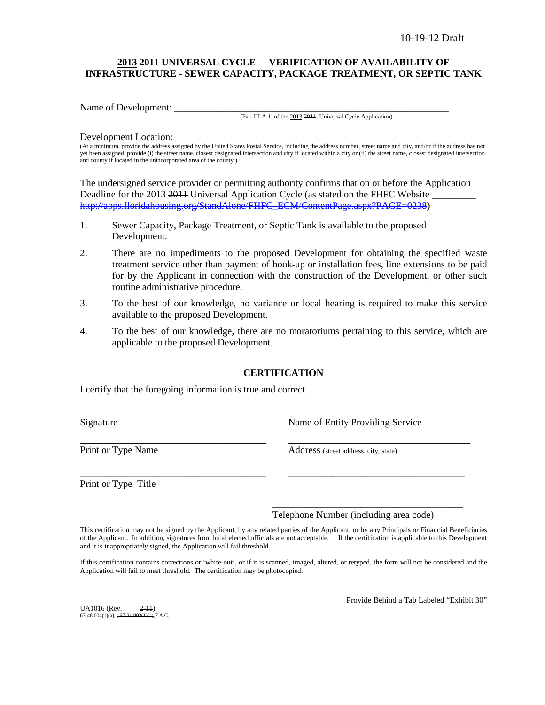## **2013 2011 UNIVERSAL CYCLE - VERIFICATION OF AVAILABILITY OF INFRASTRUCTURE - SEWER CAPACITY, PACKAGE TREATMENT, OR SEPTIC TANK**

Name of Development:

(Part III.A.1. of the 2013 2011 Universal Cycle Application)

### Development Location:

(At a minimum, provide the address assigned by the United States Postal Service, including the address number, street name and city, and/or if the yet been assigned, provide (i) the street name, closest designated intersection and city if located within a city or (ii) the street name, closest designated intersection and county if located in the unincorporated area of the county.)

The undersigned service provider or permitting authority confirms that on or before the Application Deadline for the 2013 2014 Universal Application Cycle (as stated on the FHFC Website [http://apps.floridahousing.org/StandAlone/FHFC\\_ECM/ContentPage.aspx?PAGE=0238\)](http://apps.floridahousing.org/StandAlone/FHFC_ECM/ContentPage.aspx?PAGE=0238)

- 1. Sewer Capacity, Package Treatment, or Septic Tank is available to the proposed Development.
- 2. There are no impediments to the proposed Development for obtaining the specified waste treatment service other than payment of hook-up or installation fees, line extensions to be paid for by the Applicant in connection with the construction of the Development, or other such routine administrative procedure.
- 3. To the best of our knowledge, no variance or local hearing is required to make this service available to the proposed Development.
- 4. To the best of our knowledge, there are no moratoriums pertaining to this service, which are applicable to the proposed Development.

## **CERTIFICATION**

\_\_\_\_\_\_\_\_\_\_\_\_\_\_\_\_\_\_\_\_\_\_\_\_\_\_\_\_\_\_\_\_\_\_\_\_\_\_\_\_\_\_\_\_\_\_\_\_\_\_\_\_ \_\_\_\_\_\_\_\_\_\_\_\_\_\_\_\_\_\_\_\_\_\_\_\_\_\_\_\_\_\_\_\_\_\_\_\_\_\_\_\_\_\_\_\_\_\_

\_\_\_\_\_\_\_\_\_\_\_\_\_\_\_\_\_\_\_\_\_\_\_\_\_\_\_\_\_\_\_\_\_\_\_\_\_\_\_\_\_\_\_\_\_\_\_ \_\_\_\_\_\_\_\_\_\_\_\_\_\_\_\_\_\_\_\_\_\_\_\_\_\_\_\_\_\_\_\_\_\_\_\_\_\_\_\_\_\_\_\_\_\_

\_\_\_\_\_\_\_\_\_\_\_\_\_\_\_\_\_\_\_\_\_\_\_\_\_\_\_\_\_\_\_\_\_\_\_\_\_\_ \_\_\_\_\_\_\_\_\_\_\_\_\_\_\_\_\_\_\_\_\_\_\_\_\_\_\_\_\_\_\_\_\_\_\_\_

I certify that the foregoing information is true and correct.

Signature **Name of Entity Providing Service** Research Name of Entity Providing Service

Print or Type Name<br>
Address (street address, city, state)

Print or Type Title

Telephone Number (including area code)

\_\_\_\_\_\_\_\_\_\_\_\_\_\_\_\_\_\_\_\_\_\_\_\_\_\_\_\_\_\_\_\_\_\_\_\_\_\_\_

This certification may not be signed by the Applicant, by any related parties of the Applicant, or by any Principals or Financial Beneficiaries of the Applicant. In addition, signatures from local elected officials are not acceptable. If the certification is applicable to this Development and it is inappropriately signed, the Application will fail threshold.

If this certification contains corrections or 'white-out', or if it is scanned, imaged, altered, or retyped, the form will not be considered and the Application will fail to meet threshold. The certification may be photocopied.

UA1016 (Rev. 2-11)  $67-48.004(1)(a)$ ,  $\div 67-21.003(1)(a)$ , F.A.C. Provide Behind a Tab Labeled "Exhibit 30"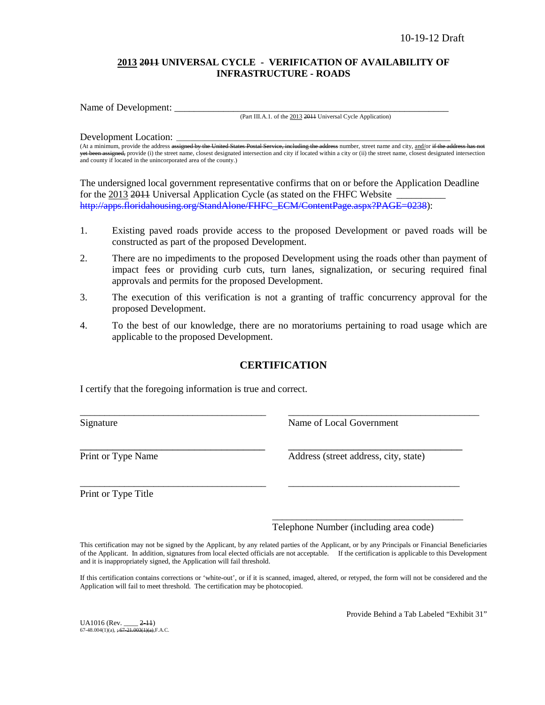## **2013 2011 UNIVERSAL CYCLE - VERIFICATION OF AVAILABILITY OF INFRASTRUCTURE - ROADS**

Name of Development:

(Part III.A.1. of the 2013 2011 Universal Cycle Application)

### Development Location:

(At a minimum, provide the address assigned by the United States Postal Service, including the address number, street name and city, and/or if the yet been assigned, provide (i) the street name, closest designated intersection and city if located within a city or (ii) the street name, closest designated intersection and county if located in the unincorporated area of the county.)

The undersigned local government representative confirms that on or before the Application Deadline for the 2013 2014 Universal Application Cycle (as stated on the FHFC Website [http://apps.floridahousing.org/StandAlone/FHFC\\_ECM/ContentPage.aspx?PAGE=0238\)](http://apps.floridahousing.org/StandAlone/FHFC_ECM/ContentPage.aspx?PAGE=0238):

- 1. Existing paved roads provide access to the proposed Development or paved roads will be constructed as part of the proposed Development.
- 2. There are no impediments to the proposed Development using the roads other than payment of impact fees or providing curb cuts, turn lanes, signalization, or securing required final approvals and permits for the proposed Development.
- 3. The execution of this verification is not a granting of traffic concurrency approval for the proposed Development.
- 4. To the best of our knowledge, there are no moratoriums pertaining to road usage which are applicable to the proposed Development.

## **CERTIFICATION**

\_\_\_\_\_\_\_\_\_\_\_\_\_\_\_\_\_\_\_\_\_\_\_\_\_\_\_\_\_\_\_\_\_\_\_\_\_\_ \_\_\_\_\_\_\_\_\_\_\_\_\_\_\_\_\_\_\_\_\_\_\_\_\_\_\_\_\_\_\_\_\_\_\_\_\_\_\_

\_\_\_\_\_\_\_\_\_\_\_\_\_\_\_\_\_\_\_\_\_\_\_\_\_\_\_\_\_\_\_\_\_\_\_\_\_\_ \_\_\_\_\_\_\_\_\_\_\_\_\_\_\_\_\_\_\_\_\_\_\_\_\_\_\_\_\_\_\_\_\_\_\_

I certify that the foregoing information is true and correct.

Signature Name of Local Government

\_\_\_\_\_\_\_\_\_\_\_\_\_\_\_\_\_\_\_\_\_\_\_\_\_\_\_\_\_\_\_\_\_\_ \_\_\_\_\_\_\_\_\_\_\_\_\_\_\_\_\_\_\_\_\_\_\_\_\_\_\_\_\_\_\_\_ Print or Type Name Address (street address, city, state)

Print or Type Title

\_\_\_\_\_\_\_\_\_\_\_\_\_\_\_\_\_\_\_\_\_\_\_\_\_\_\_\_\_\_\_\_\_\_\_\_\_\_\_ Telephone Number (including area code)

This certification may not be signed by the Applicant, by any related parties of the Applicant, or by any Principals or Financial Beneficiaries of the Applicant. In addition, signatures from local elected officials are not acceptable. If the certification is applicable to this Development and it is inappropriately signed, the Application will fail threshold.

If this certification contains corrections or 'white-out', or if it is scanned, imaged, altered, or retyped, the form will not be considered and the Application will fail to meet threshold. The certification may be photocopied.

UA1016 (Rev. \_\_\_\_ 2-11)  $67-48.004(1)(a)$ ,  $\div 67-21.003(1)(a)$ , F.A.C. Provide Behind a Tab Labeled "Exhibit 31"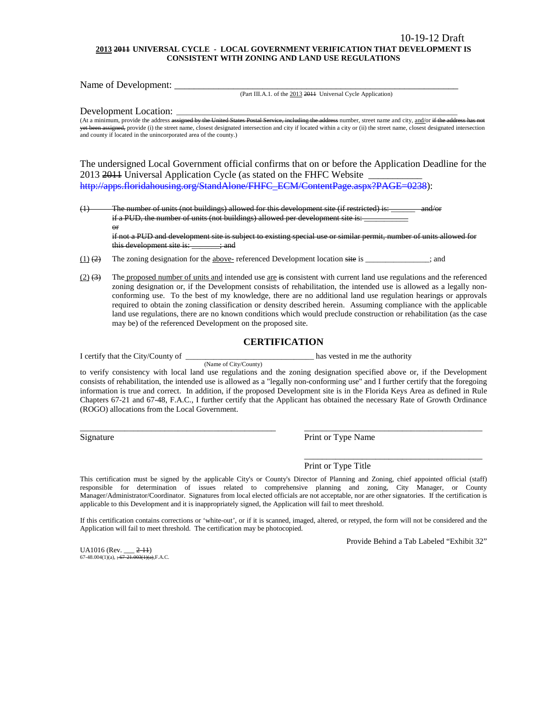#### **2013 2011 UNIVERSAL CYCLE - LOCAL GOVERNMENT VERIFICATION THAT DEVELOPMENT IS CONSISTENT WITH ZONING AND LAND USE REGULATIONS**

Name of Development: \_\_\_\_\_\_\_\_\_\_\_\_\_\_\_\_\_\_\_\_\_\_\_\_\_\_\_\_\_\_\_\_\_\_\_\_\_\_\_\_\_\_\_\_\_\_\_\_\_\_\_\_\_\_\_\_\_\_

(Part III.A.1. of the 2013 2011 Universal Cycle Application)

Development Location:

(At a minimum, provide the address assigned by the United States Postal Service, including the address number, street name and city,  $\frac{and}{or}$  if the address has not not if the address has not been allowed to the address yet been assigned, provide (i) the street name, closest designated intersection and city if located within a city or (ii) the street name, closest designated intersection and county if located in the unincorporated area of the county.)

The undersigned Local Government official confirms that on or before the Application Deadline for the 2013 2014 Universal Application Cycle (as stated on the FHFC Website [http://apps.floridahousing.org/StandAlone/FHFC\\_ECM/ContentPage.aspx?PAGE=0238\)](http://apps.floridahousing.org/StandAlone/FHFC_ECM/ContentPage.aspx?PAGE=0238):

 $(1)$  The number of units (not buildings) allowed for this development site (if restricted) is: if a PUD, the number of units (not buildings) allowed per development site is: or

if not a PUD and development site is subject to existing special use or similar permit, number of units allowed for this development site is: \_\_\_\_\_\_; and

 $(1)$  (2) The zoning designation for the above- referenced Development location site is \_\_\_\_\_\_\_\_\_\_\_; and

(Name of City/County)

 $(2)$   $(3)$  The proposed number of units and intended use are is consistent with current land use regulations and the referenced zoning designation or, if the Development consists of rehabilitation, the intended use is allowed as a legally nonconforming use. To the best of my knowledge, there are no additional land use regulation hearings or approvals required to obtain the zoning classification or density described herein. Assuming compliance with the applicable land use regulations, there are no known conditions which would preclude construction or rehabilitation (as the case may be) of the referenced Development on the proposed site.

### **CERTIFICATION**

I certify that the City/County of \_\_\_\_\_\_\_\_\_\_\_\_\_\_\_\_\_\_\_\_\_\_\_\_\_\_\_\_\_\_\_\_ has vested in me the authority

to verify consistency with local land use regulations and the zoning designation specified above or, if the Development consists of rehabilitation, the intended use is allowed as a "legally non-conforming use" and I further certify that the foregoing information is true and correct. In addition, if the proposed Development site is in the Florida Keys Area as defined in Rule Chapters 67-21 and 67-48, F.A.C., I further certify that the Applicant has obtained the necessary Rate of Growth Ordinance (ROGO) allocations from the Local Government.

\_\_\_\_\_\_\_\_\_\_\_\_\_\_\_\_\_\_\_\_\_\_\_\_\_\_\_\_\_\_\_\_\_\_\_\_\_\_\_\_\_\_\_\_ \_\_\_\_\_\_\_\_\_\_\_\_\_\_\_\_\_\_\_\_\_\_\_\_\_\_\_\_\_\_\_\_\_\_\_\_\_\_\_\_

Signature Print or Type Name

Print or Type Title

This certification must be signed by the applicable City's or County's Director of Planning and Zoning, chief appointed official (staff) responsible for determination of issues related to comprehensive planning and zoning, City Manager, or County Manager/Administrator/Coordinator. Signatures from local elected officials are not acceptable, nor are other signatories. If the certification is applicable to this Development and it is inappropriately signed, the Application will fail to meet threshold.

If this certification contains corrections or 'white-out', or if it is scanned, imaged, altered, or retyped, the form will not be considered and the Application will fail to meet threshold. The certification may be photocopied.

Provide Behind a Tab Labeled "Exhibit 32"

\_\_\_\_\_\_\_\_\_\_\_\_\_\_\_\_\_\_\_\_\_\_\_\_\_\_\_\_\_\_\_\_\_\_\_\_\_\_\_\_

UA1016 (Rev. \_\_\_ 2-11) 67-48.004(1)(a),  $\div 67 - 21.003(1)(a)$ , F.A.C.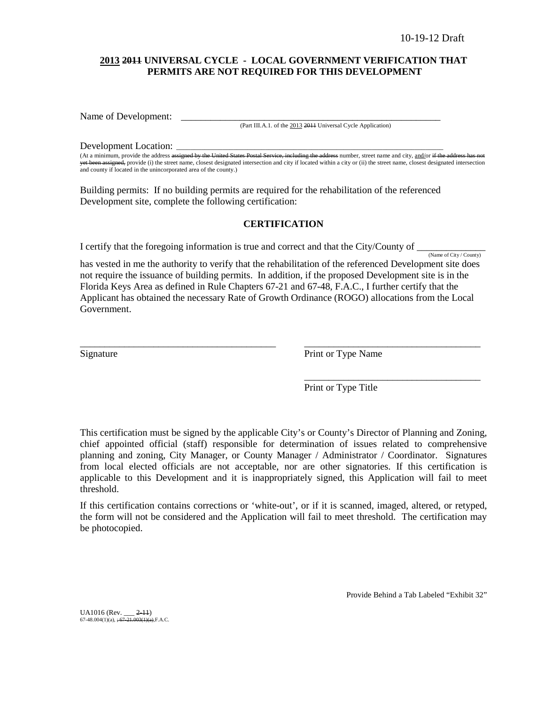## **2013 2011 UNIVERSAL CYCLE - LOCAL GOVERNMENT VERIFICATION THAT PERMITS ARE NOT REQUIRED FOR THIS DEVELOPMENT**

Name of Development:

(Part III.A.1. of the 2013 2011 Universal Cycle Application)

Development Location:

(At a minimum, provide the address assigned by the United States Postal Service, including the address number, street name and city, and/or if the yet been assigned, provide (i) the street name, closest designated intersection and city if located within a city or (ii) the street name, closest designated intersection and county if located in the unincorporated area of the county.)

Building permits: If no building permits are required for the rehabilitation of the referenced Development site, complete the following certification:

## **CERTIFICATION**

I certify that the foregoing information is true and correct and that the City/County of  $\frac{N_{\text{ame of City}/\text{Country}}}{N_{\text{amp of City}/\text{Country}}}$ 

has vested in me the authority to verify that the rehabilitation of the referenced Development site does not require the issuance of building permits. In addition, if the proposed Development site is in the Florida Keys Area as defined in Rule Chapters 67-21 and 67-48, F.A.C., I further certify that the Applicant has obtained the necessary Rate of Growth Ordinance (ROGO) allocations from the Local Government.

\_\_\_\_\_\_\_\_\_\_\_\_\_\_\_\_\_\_\_\_\_\_\_\_\_\_\_\_\_\_\_\_\_\_\_\_\_\_\_\_ \_\_\_\_\_\_\_\_\_\_\_\_\_\_\_\_\_\_\_\_\_\_\_\_\_\_\_\_\_\_\_\_\_\_\_\_

Signature Print or Type Name

Print or Type Title

\_\_\_\_\_\_\_\_\_\_\_\_\_\_\_\_\_\_\_\_\_\_\_\_\_\_\_\_\_\_\_\_\_\_\_\_

This certification must be signed by the applicable City's or County's Director of Planning and Zoning, chief appointed official (staff) responsible for determination of issues related to comprehensive planning and zoning, City Manager, or County Manager / Administrator / Coordinator. Signatures from local elected officials are not acceptable, nor are other signatories. If this certification is applicable to this Development and it is inappropriately signed, this Application will fail to meet threshold.

If this certification contains corrections or 'white-out', or if it is scanned, imaged, altered, or retyped, the form will not be considered and the Application will fail to meet threshold. The certification may be photocopied.

Provide Behind a Tab Labeled "Exhibit 32"

UA1016 (Rev. \_\_\_ 2-11)<br>67-48.004(1)(a), <del>; 67-21.003(1)(a),</del>F.A.C.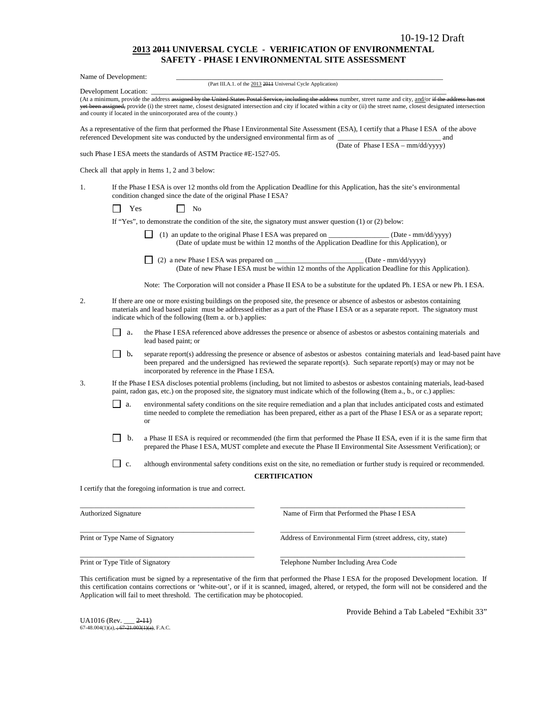#### **2013 2011 UNIVERSAL CYCLE - VERIFICATION OF ENVIRONMENTAL SAFETY - PHASE I ENVIRONMENTAL SITE ASSESSMENT**

|                                                                                                                                                                                                  | Name of Development:                                                                                                                                                                                                                                                                                                        |                                                                                                              |                                                              |                      |                                                                                                                                                                                                                                                                                                                                                  |  |
|--------------------------------------------------------------------------------------------------------------------------------------------------------------------------------------------------|-----------------------------------------------------------------------------------------------------------------------------------------------------------------------------------------------------------------------------------------------------------------------------------------------------------------------------|--------------------------------------------------------------------------------------------------------------|--------------------------------------------------------------|----------------------|--------------------------------------------------------------------------------------------------------------------------------------------------------------------------------------------------------------------------------------------------------------------------------------------------------------------------------------------------|--|
|                                                                                                                                                                                                  | Development Location:                                                                                                                                                                                                                                                                                                       |                                                                                                              | (Part III.A.1. of the 2013 2011 Universal Cycle Application) |                      |                                                                                                                                                                                                                                                                                                                                                  |  |
|                                                                                                                                                                                                  |                                                                                                                                                                                                                                                                                                                             | and county if located in the unincorporated area of the county.)                                             |                                                              |                      | (At a minimum, provide the address assigned by the United States Postal Service, including the address number, street name and city, and/or if the address has not<br>yet been assigned, provide (i) the street name, closest designated intersection and city if located within a city or (ii) the street name, closest designated intersection |  |
|                                                                                                                                                                                                  |                                                                                                                                                                                                                                                                                                                             | referenced Development site was conducted by the undersigned environmental firm as of                        |                                                              |                      | As a representative of the firm that performed the Phase I Environmental Site Assessment (ESA), I certify that a Phase I ESA of the above<br><u> 1989 - Johann John Stone, markin film fan it ferstjer fan it ferstjer fan it ferstjer fan it ferstjer fan it f</u><br>and                                                                       |  |
|                                                                                                                                                                                                  |                                                                                                                                                                                                                                                                                                                             | such Phase I ESA meets the standards of ASTM Practice #E-1527-05.                                            |                                                              |                      | (Date of Phase I ESA - mm/dd/yyyy)                                                                                                                                                                                                                                                                                                               |  |
|                                                                                                                                                                                                  |                                                                                                                                                                                                                                                                                                                             | Check all that apply in Items 1, 2 and 3 below:                                                              |                                                              |                      |                                                                                                                                                                                                                                                                                                                                                  |  |
| If the Phase I ESA is over 12 months old from the Application Deadline for this Application, has the site's environmental<br>1.<br>condition changed since the date of the original Phase I ESA? |                                                                                                                                                                                                                                                                                                                             |                                                                                                              |                                                              |                      |                                                                                                                                                                                                                                                                                                                                                  |  |
|                                                                                                                                                                                                  | Yes                                                                                                                                                                                                                                                                                                                         | N <sub>0</sub>                                                                                               |                                                              |                      |                                                                                                                                                                                                                                                                                                                                                  |  |
|                                                                                                                                                                                                  |                                                                                                                                                                                                                                                                                                                             | If "Yes", to demonstrate the condition of the site, the signatory must answer question $(1)$ or $(2)$ below: |                                                              |                      |                                                                                                                                                                                                                                                                                                                                                  |  |
|                                                                                                                                                                                                  |                                                                                                                                                                                                                                                                                                                             |                                                                                                              |                                                              |                      | (1) an update to the original Phase I ESA was prepared on ____________________ (Date - mm/dd/yyyy)<br>(Date of update must be within 12 months of the Application Deadline for this Application), or                                                                                                                                             |  |
|                                                                                                                                                                                                  |                                                                                                                                                                                                                                                                                                                             |                                                                                                              |                                                              |                      | (2) a new Phase I ESA was prepared on _____________________________(Date - mm/dd/yyyy)<br>(Date of new Phase I ESA must be within 12 months of the Application Deadline for this Application).                                                                                                                                                   |  |
|                                                                                                                                                                                                  |                                                                                                                                                                                                                                                                                                                             |                                                                                                              |                                                              |                      | Note: The Corporation will not consider a Phase II ESA to be a substitute for the updated Ph. I ESA or new Ph. I ESA.                                                                                                                                                                                                                            |  |
| 2.                                                                                                                                                                                               | If there are one or more existing buildings on the proposed site, the presence or absence of asbestos or asbestos containing<br>materials and lead based paint must be addressed either as a part of the Phase IESA or as a separate report. The signatory must<br>indicate which of the following (Item a. or b.) applies: |                                                                                                              |                                                              |                      |                                                                                                                                                                                                                                                                                                                                                  |  |
|                                                                                                                                                                                                  | $\Box$<br>а.                                                                                                                                                                                                                                                                                                                | lead based paint; or                                                                                         |                                                              |                      | the Phase I ESA referenced above addresses the presence or absence of asbestos or asbestos containing materials and                                                                                                                                                                                                                              |  |
|                                                                                                                                                                                                  | $\mathbf{b}$ .                                                                                                                                                                                                                                                                                                              | incorporated by reference in the Phase I ESA.                                                                |                                                              |                      | separate report(s) addressing the presence or absence of asbestos or asbestos containing materials and lead-based paint have<br>been prepared and the undersigned has reviewed the separate report(s). Such separate report(s) may or may not be                                                                                                 |  |
| 3.                                                                                                                                                                                               |                                                                                                                                                                                                                                                                                                                             |                                                                                                              |                                                              |                      | If the Phase I ESA discloses potential problems (including, but not limited to asbestos or asbestos containing materials, lead-based<br>paint, radon gas, etc.) on the proposed site, the signatory must indicate which of the following (Item a., b., or c.) applies:                                                                           |  |
|                                                                                                                                                                                                  | $\Box$<br>a.                                                                                                                                                                                                                                                                                                                | <b>or</b>                                                                                                    |                                                              |                      | environmental safety conditions on the site require remediation and a plan that includes anticipated costs and estimated<br>time needed to complete the remediation has been prepared, either as a part of the Phase I ESA or as a separate report;                                                                                              |  |
|                                                                                                                                                                                                  | b.                                                                                                                                                                                                                                                                                                                          |                                                                                                              |                                                              |                      | a Phase II ESA is required or recommended (the firm that performed the Phase II ESA, even if it is the same firm that<br>prepared the Phase I ESA, MUST complete and execute the Phase II Environmental Site Assessment Verification); or                                                                                                        |  |
|                                                                                                                                                                                                  | c.                                                                                                                                                                                                                                                                                                                          |                                                                                                              |                                                              |                      | although environmental safety conditions exist on the site, no remediation or further study is required or recommended.                                                                                                                                                                                                                          |  |
|                                                                                                                                                                                                  |                                                                                                                                                                                                                                                                                                                             |                                                                                                              |                                                              | <b>CERTIFICATION</b> |                                                                                                                                                                                                                                                                                                                                                  |  |
|                                                                                                                                                                                                  |                                                                                                                                                                                                                                                                                                                             | I certify that the foregoing information is true and correct.                                                |                                                              |                      |                                                                                                                                                                                                                                                                                                                                                  |  |
|                                                                                                                                                                                                  | <b>Authorized Signature</b>                                                                                                                                                                                                                                                                                                 |                                                                                                              |                                                              |                      | Name of Firm that Performed the Phase I ESA                                                                                                                                                                                                                                                                                                      |  |
|                                                                                                                                                                                                  |                                                                                                                                                                                                                                                                                                                             | Print or Type Name of Signatory                                                                              |                                                              |                      | Address of Environmental Firm (street address, city, state)                                                                                                                                                                                                                                                                                      |  |

Print or Type Title of Signatory Telephone Number Including Area Code

This certification must be signed by a representative of the firm that performed the Phase I ESA for the proposed Development location.If this certification contains corrections or 'white-out', or if it is scanned, imaged, altered, or retyped, the form will not be considered and the Application will fail to meet threshold. The certification may be photocopied.

\_\_\_\_\_\_\_\_\_\_\_\_\_\_\_\_\_\_\_\_\_\_\_\_\_\_\_\_\_\_\_\_\_\_\_\_\_\_\_\_\_\_\_\_\_\_\_\_\_ \_\_\_\_\_\_\_\_\_\_\_\_\_\_\_\_\_\_\_\_\_\_\_\_\_\_\_\_\_\_\_\_\_\_\_\_\_\_\_\_\_\_\_\_\_\_\_\_\_\_\_\_

UA1016 (Rev. \_\_\_ <del>2-11</del>)<br>67-48.004(1)(a), <del>; 67-21.003(1)(a)</del>, F.A.C.

Provide Behind a Tab Labeled "Exhibit 33"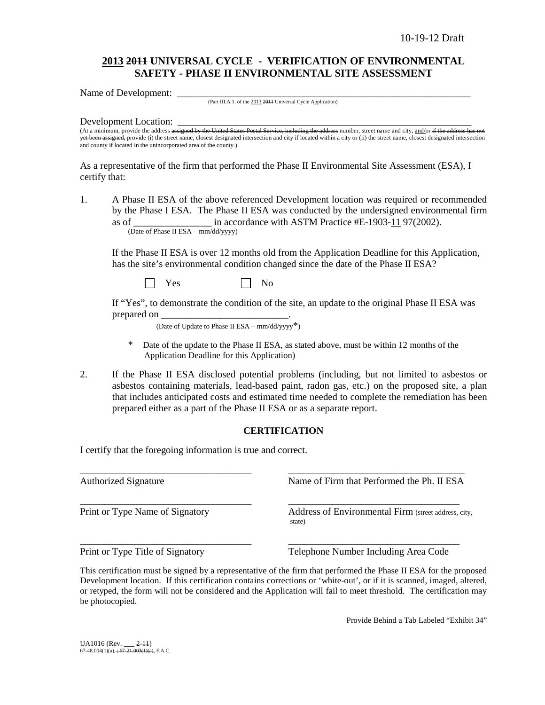## **2013 2011 UNIVERSAL CYCLE - VERIFICATION OF ENVIRONMENTAL SAFETY - PHASE II ENVIRONMENTAL SITE ASSESSMENT**

Name of Development: \_

(Part III.A.1. of the 2013 2011 Universal Cycle Application)

Development Location:

(At a minimum, provide the address assigned by the United States Postal Service, including the address number, street name and city, and/or if the address h signed, provide (i) the street name, closest designated intersection and city if located within a city or (ii) the street name, closest designated intersection yet been assigned, provide (i) the street name, closest designate and county if located in the unincorporated area of the county.)

As a representative of the firm that performed the Phase II Environmental Site Assessment (ESA), I certify that:

1. A Phase II ESA of the above referenced Development location was required or recommended by the Phase I ESA. The Phase II ESA was conducted by the undersigned environmental firm as of  $\frac{1}{2}$  in accordance with ASTM Practice #E-1903-11 97(2002). (Date of Phase II ESA – mm/dd/yyyy)

If the Phase II ESA is over 12 months old from the Application Deadline for this Application, has the site's environmental condition changed since the date of the Phase II ESA?

 $Yes \t\t \Box No$ 

If "Yes", to demonstrate the condition of the site, an update to the original Phase II ESA was prepared on

(Date of Update to Phase II ESA –  $mm/dd/yyyy^*$ )

- Date of the update to the Phase II ESA, as stated above, must be within 12 months of the Application Deadline for this Application)
- 2. If the Phase II ESA disclosed potential problems (including, but not limited to asbestos or asbestos containing materials, lead-based paint, radon gas, etc.) on the proposed site, a plan that includes anticipated costs and estimated time needed to complete the remediation has been prepared either as a part of the Phase II ESA or as a separate report.

## **CERTIFICATION**

I certify that the foregoing information is true and correct.

\_\_\_\_\_\_\_\_\_\_\_\_\_\_\_\_\_\_\_\_\_\_\_\_\_\_\_\_\_\_\_\_\_\_\_ \_\_\_\_\_\_\_\_\_\_\_\_\_\_\_\_\_\_\_\_\_\_\_\_\_\_\_\_\_\_\_\_\_\_\_\_ Authorized Signature Name of Firm that Performed the Ph. II ESA \_\_\_\_\_\_\_\_\_\_\_\_\_\_\_\_\_\_\_\_\_\_\_\_\_\_\_\_\_\_\_\_\_\_\_ \_\_\_\_\_\_\_\_\_\_\_\_\_\_\_\_\_\_\_\_\_\_\_\_\_\_\_\_\_\_\_\_\_\_\_ Print or Type Name of Signatory **Address of Environmental Firm** (street address, city, state) \_\_\_\_\_\_\_\_\_\_\_\_\_\_\_\_\_\_\_\_\_\_\_\_\_\_\_\_\_\_\_\_\_\_\_ \_\_\_\_\_\_\_\_\_\_\_\_\_\_\_\_\_\_\_\_\_\_\_\_\_\_\_\_\_\_\_\_\_\_\_ Print or Type Title of Signatory Telephone Number Including Area Code

This certification must be signed by a representative of the firm that performed the Phase II ESA for the proposed Development location.If this certification contains corrections or 'white-out', or if it is scanned, imaged, altered, or retyped, the form will not be considered and the Application will fail to meet threshold. The certification may be photocopied.

Provide Behind a Tab Labeled "Exhibit 34"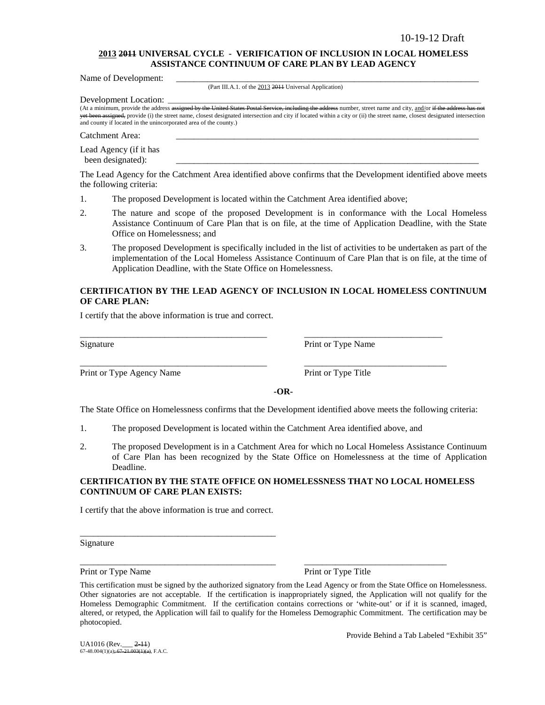### **2013 2011 UNIVERSAL CYCLE - VERIFICATION OF INCLUSION IN LOCAL HOMELESS ASSISTANCE CONTINUUM OF CARE PLAN BY LEAD AGENCY**

Name of Development:

(Part III.A.1. of the 2013 2011 Universal Application)

Development Location:

(At a minimum, provide the address assigned by the United States Postal Service, including the address number, street name and city, and/or if the address has yet been assigned, provide (i) the street name, closest designated intersection and city if located within a city or (ii) the street name, closest designated intersection and county if located in the unincorporated area of the county.)

Catchment Area:

Lead Agency (if it has been designated):

The Lead Agency for the Catchment Area identified above confirms that the Development identified above meets the following criteria:

- 1. The proposed Development is located within the Catchment Area identified above;
- 2. The nature and scope of the proposed Development is in conformance with the Local Homeless Assistance Continuum of Care Plan that is on file, at the time of Application Deadline, with the State Office on Homelessness; and
- 3. The proposed Development is specifically included in the list of activities to be undertaken as part of the implementation of the Local Homeless Assistance Continuum of Care Plan that is on file, at the time of Application Deadline, with the State Office on Homelessness.

### **CERTIFICATION BY THE LEAD AGENCY OF INCLUSION IN LOCAL HOMELESS CONTINUUM OF CARE PLAN:**

I certify that the above information is true and correct.

Print or Type Agency Name Print or Type Title

Signature Print or Type Name

**-OR-**

The State Office on Homelessness confirms that the Development identified above meets the following criteria:

1. The proposed Development is located within the Catchment Area identified above, and

\_\_\_\_\_\_\_\_\_\_\_\_\_\_\_\_\_\_\_\_\_\_\_\_\_\_\_\_\_\_\_\_\_\_\_\_\_\_\_\_\_\_ \_\_\_\_\_\_\_\_\_\_\_\_\_\_\_\_\_\_\_\_\_\_\_\_\_\_\_\_\_\_\_

\_\_\_\_\_\_\_\_\_\_\_\_\_\_\_\_\_\_\_\_\_\_\_\_\_\_\_\_\_\_\_\_\_\_\_\_\_\_\_\_\_\_ \_\_\_\_\_\_\_\_\_\_\_\_\_\_\_\_\_\_\_\_\_\_\_\_\_\_\_\_\_\_\_\_

2. The proposed Development is in a Catchment Area for which no Local Homeless Assistance Continuum of Care Plan has been recognized by the State Office on Homelessness at the time of Application Deadline.

### **CERTIFICATION BY THE STATE OFFICE ON HOMELESSNESS THAT NO LOCAL HOMELESS CONTINUUM OF CARE PLAN EXISTS:**

I certify that the above information is true and correct.

\_\_\_\_\_\_\_\_\_\_\_\_\_\_\_\_\_\_\_\_\_\_\_\_\_\_\_\_\_\_\_\_\_\_\_\_\_\_\_\_\_\_\_\_

Signature

Print or Type Name Print or Type Title

\_\_\_\_\_\_\_\_\_\_\_\_\_\_\_\_\_\_\_\_\_\_\_\_\_\_\_\_\_\_\_\_\_\_\_\_\_\_\_\_\_\_\_\_ \_\_\_\_\_\_\_\_\_\_\_\_\_\_\_\_\_\_\_\_\_\_\_\_\_\_\_\_\_\_\_\_

Provide Behind a Tab Labeled "Exhibit 35"

This certification must be signed by the authorized signatory from the Lead Agency or from the State Office on Homelessness. Other signatories are not acceptable. If the certification is inappropriately signed, the Application will not qualify for the Homeless Demographic Commitment. If the certification contains corrections or 'white-out' or if it is scanned, imaged, altered, or retyped, the Application will fail to qualify for the Homeless Demographic Commitment. The certification may be photocopied.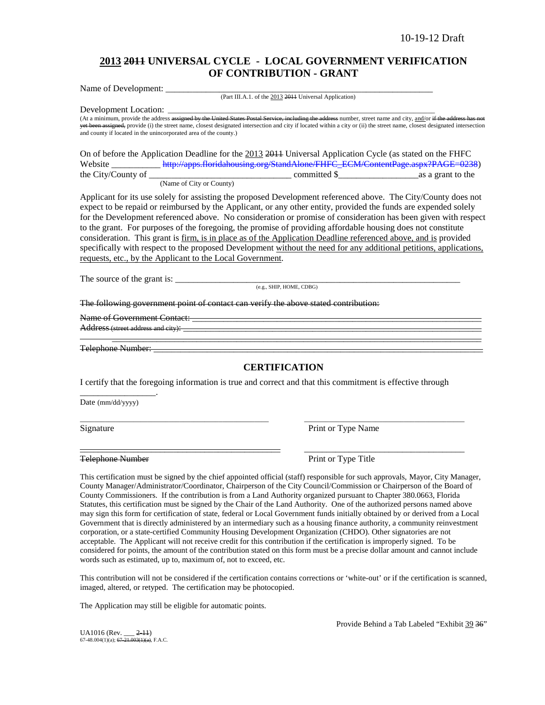## **2013 2011 UNIVERSAL CYCLE - LOCAL GOVERNMENT VERIFICATION OF CONTRIBUTION - GRANT**

Name of Development: (Part III.A.1. of the 2013 2011 Universal Application)

Development Location: \_\_\_\_\_\_\_\_\_\_\_\_\_\_\_\_\_\_\_\_\_\_\_\_\_\_\_\_\_\_\_\_\_\_\_\_\_\_\_\_\_\_\_\_\_\_\_\_\_\_\_\_\_\_\_\_\_\_\_\_\_\_\_\_\_\_\_\_\_\_\_\_\_\_\_

(At a minimum, provide the address <del>assigned by the United States Postal Service, including the address</del> number, street name and city, and/or if the address has not yet been assigned, provide (i) the street name, closest designated intersection and city if located within a city or (ii) the street name, closest designated intersection and county if located in the unincorporated area of the county.)

On of before the Application Deadline for the 2013 2011 Universal Application Cycle (as stated on the FHFC Website \_\_\_\_\_\_\_\_\_\_\_\_\_\_ [http://apps.floridahousing.org/StandAlone/FHFC\\_ECM/ContentPage.aspx?PAGE=0238\)](http://apps.floridahousing.org/StandAlone/FHFC_ECM/ContentPage.aspx?PAGE=0238)<br>committed \$ as a grant to the  $\begin{array}{c} \hline \text{1} & \text{1} & \text{1} \\ \text{2} & \text{2} & \text{2} \\ \text{3} & \text{3} & \text{4} & \text{5} \end{array}$  as a grant to the (Name of City or County)

Applicant for its use solely for assisting the proposed Development referenced above. The City/County does not expect to be repaid or reimbursed by the Applicant, or any other entity, provided the funds are expended solely for the Development referenced above. No consideration or promise of consideration has been given with respect to the grant. For purposes of the foregoing, the promise of providing affordable housing does not constitute consideration. This grant is firm, is in place as of the Application Deadline referenced above, and is provided specifically with respect to the proposed Development without the need for any additional petitions, applications, requests, etc., by the Applicant to the Local Government.

The source of the grant is: \_\_\_\_\_\_\_\_\_\_\_\_\_\_\_\_\_\_\_\_\_\_\_\_\_\_\_\_\_\_\_\_\_\_\_\_\_\_\_\_\_\_\_\_\_\_\_\_\_\_\_\_\_\_\_\_\_\_\_\_\_\_\_\_

(e.g., SHIP, HOME, CDBG)

The following government point of contact can verify the above stated contribution:

Name of Government Contact:

Address (street address and city):

Telephone Number:

\_\_\_\_\_\_\_\_\_\_\_\_\_\_\_\_\_.

## **CERTIFICATION**

\_\_\_\_\_\_\_\_\_\_\_\_\_\_\_\_\_\_\_\_\_\_\_\_\_\_\_\_\_\_\_\_\_\_\_\_\_\_\_\_\_\_\_\_\_\_\_\_\_\_\_\_\_\_\_\_\_\_\_\_\_\_\_\_\_\_\_\_\_\_\_\_\_\_\_\_\_\_\_\_\_\_\_

I certify that the foregoing information is true and correct and that this commitment is effective through

\_\_\_\_\_\_\_\_\_\_\_\_\_\_\_\_\_\_\_\_\_\_\_\_\_\_\_\_\_\_\_\_\_\_\_\_\_\_\_\_\_\_\_\_\_\_\_\_\_\_\_\_\_ \_\_\_\_\_\_\_\_\_\_\_\_\_\_\_\_\_\_\_\_\_\_\_\_\_\_\_\_\_\_\_\_\_\_\_\_\_\_\_\_\_\_\_\_\_

\_\_\_\_\_\_\_\_\_\_\_\_\_\_\_\_\_\_\_\_\_\_\_\_\_\_\_\_\_\_\_\_\_\_\_\_\_\_\_\_\_\_\_\_\_ \_\_\_\_\_\_\_\_\_\_\_\_\_\_\_\_\_\_\_\_\_\_\_\_\_\_\_\_\_\_\_\_\_\_\_\_

Date (mm/dd/yyyy)

Signature Print or Type Name

Telephone Number **Print of Type Title** 

This certification must be signed by the chief appointed official (staff) responsible for such approvals, Mayor, City Manager, County Manager/Administrator/Coordinator, Chairperson of the City Council/Commission or Chairperson of the Board of County Commissioners. If the contribution is from a Land Authority organized pursuant to Chapter 380.0663, Florida Statutes, this certification must be signed by the Chair of the Land Authority. One of the authorized persons named above may sign this form for certification of state, federal or Local Government funds initially obtained by or derived from a Local Government that is directly administered by an intermediary such as a housing finance authority, a community reinvestment corporation, or a state-certified Community Housing Development Organization (CHDO). Other signatories are not acceptable. The Applicant will not receive credit for this contribution if the certification is improperly signed. To be considered for points, the amount of the contribution stated on this form must be a precise dollar amount and cannot include words such as estimated, up to, maximum of, not to exceed, etc.

This contribution will not be considered if the certification contains corrections or 'white-out' or if the certification is scanned, imaged, altered, or retyped. The certification may be photocopied.

The Application may still be eligible for automatic points.

Provide Behind a Tab Labeled "Exhibit 39 36"

UA1016 (Rev. \_\_\_ <del>2-11</del>)<br>67-48.004(1)(a); <del>67-21.003(1)(a)</del>, F.A.C.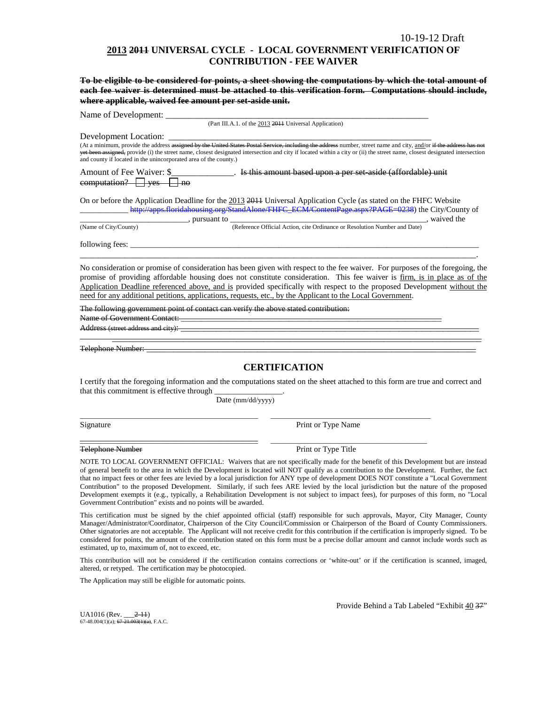### **2013 2011 UNIVERSAL CYCLE - LOCAL GOVERNMENT VERIFICATION OF CONTRIBUTION - FEE WAIVER**

**To be eligible to be considered for points, a sheet showing the computations by which the total amount of each fee waiver is determined must be attached to this verification form. Computations should include, where applicable, waived fee amount per set-aside unit.**

Name of Development: (Part III.A.1. of the 2013 2011 Universal Application) Development Location: \_\_\_\_\_\_\_\_\_\_\_\_\_\_\_\_\_\_\_\_\_\_\_\_\_\_\_\_\_\_\_\_\_\_\_\_\_\_\_\_\_\_\_\_\_\_\_\_\_\_\_\_\_\_\_\_\_\_\_ (At a minimum, provide the address <del>assigned by the United States Postal Service, including the address</del> number, street name and city, and/or if the address has not yet been assigned, provide (i) the street name, closest designated intersection and city if located within a city or (ii) the street name, closest designated intersection and county if located in the unincorporated area of the county.) Amount of Fee Waiver: \$\_\_\_\_\_\_\_\_\_\_\_\_\_\_\_. Is this amount based upon a per set aside (affordable) unit  $computation?$  yes  $\Box$  no On or before the Application Deadline for the 2013 2011 Universal Application Cycle (as stated on the FHFC Website \_\_\_\_\_\_\_\_\_\_\_[\\_ http://apps.floridahousing.org/StandAlone/FHFC\\_ECM/ContentPage.aspx?PAGE=0238\)](http://apps.floridahousing.org/StandAlone/FHFC_ECM/ContentPage.aspx?PAGE=0238) the City/County of  $\overline{\text{(Name of City/Country)}}$ , pursuant to  $\overline{\text{ (Reference Official Action, cite Ordinance or Resolution Number and Date)}}$ , waived the

(Reference Official Action, cite Ordinance or Resolution Number and Date)

following fees:

No consideration or promise of consideration has been given with respect to the fee waiver. For purposes of the foregoing, the promise of providing affordable housing does not constitute consideration. This fee waiver is firm, is in place as of the Application Deadline referenced above, and is provided specifically with respect to the proposed Development without the need for any additional petitions, applications, requests, etc., by the Applicant to the Local Government.

\_\_\_\_\_\_\_\_\_\_\_\_\_\_\_\_\_\_\_\_\_\_\_\_\_\_\_\_\_\_\_\_\_\_\_\_\_\_\_\_\_\_\_\_\_\_\_\_\_\_\_\_\_\_\_\_\_\_\_\_\_\_\_\_\_\_\_\_\_\_\_\_\_\_\_\_\_\_\_\_\_\_\_\_\_\_\_\_\_.

The following government point of contact can verify the above stated contribution:

Name of Government Contact:

Address (street address and city):

Telephone Number:

## **CERTIFICATION**

\_\_\_\_\_\_\_\_\_\_\_\_\_\_\_\_\_\_\_\_\_\_\_\_\_\_\_\_\_\_\_\_\_\_\_\_\_\_\_\_\_\_\_\_\_\_\_\_\_\_\_\_\_\_\_\_\_\_\_\_\_\_\_\_\_\_\_\_\_\_\_\_\_\_\_\_\_\_\_\_\_\_\_

I certify that the foregoing information and the computations stated on the sheet attached to this form are true and correct and that this commitment is effective through

Date (mm/dd/yyyy)

\_\_\_\_\_\_\_\_\_\_\_\_\_\_\_\_\_\_\_\_\_\_\_\_\_\_\_\_\_\_\_\_\_\_\_\_\_\_\_\_\_\_\_\_\_\_\_\_\_\_ \_\_\_\_\_\_\_\_\_\_\_\_\_\_\_\_\_\_\_\_\_\_\_\_\_\_\_\_\_\_\_\_\_\_\_\_\_\_\_\_\_\_\_\_\_

\_\_\_\_\_\_\_\_\_\_\_\_\_\_\_\_\_\_\_\_\_\_\_\_\_\_\_\_\_\_\_\_\_\_\_\_\_\_\_\_\_\_\_\_\_\_\_\_\_\_ \_\_\_\_\_\_\_\_\_\_\_\_\_\_\_\_\_\_\_\_\_\_\_\_\_\_\_\_\_\_\_\_\_\_\_\_\_\_\_\_\_\_\_\_

Signature Print or Type Name

Telephone Number **Print or Type Title** 

NOTE TO LOCAL GOVERNMENT OFFICIAL: Waivers that are not specifically made for the benefit of this Development but are instead of general benefit to the area in which the Development is located will NOT qualify as a contribution to the Development. Further, the fact that no impact fees or other fees are levied by a local jurisdiction for ANY type of development DOES NOT constitute a "Local Government Contribution" to the proposed Development. Similarly, if such fees ARE levied by the local jurisdiction but the nature of the proposed Development exempts it (e.g., typically, a Rehabilitation Development is not subject to impact fees), for purposes of this form, no "Local Government Contribution" exists and no points will be awarded.

This certification must be signed by the chief appointed official (staff) responsible for such approvals, Mayor, City Manager, County Manager/Administrator/Coordinator, Chairperson of the City Council/Commission or Chairperson of the Board of County Commissioners. Other signatories are not acceptable. The Applicant will not receive credit for this contribution if the certification is improperly signed. To be considered for points, the amount of the contribution stated on this form must be a precise dollar amount and cannot include words such as estimated, up to, maximum of, not to exceed, etc.

This contribution will not be considered if the certification contains corrections or 'white-out' or if the certification is scanned, imaged, altered, or retyped. The certification may be photocopied.

The Application may still be eligible for automatic points.

UA1016 (Rev. \_\_\_2-11) 67-48.004(1)(a);  $67-\overline{21.003(1)(a)}$ , F.A.C. Provide Behind a Tab Labeled "Exhibit 40 37"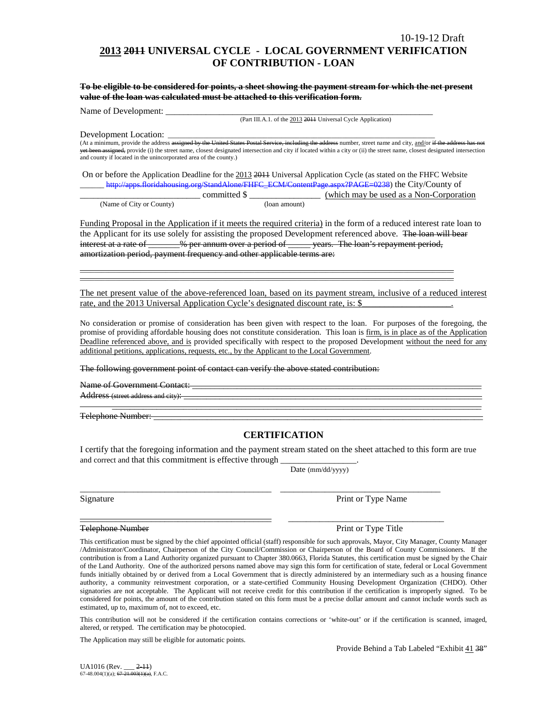## **2013 2011 UNIVERSAL CYCLE - LOCAL GOVERNMENT VERIFICATION OF CONTRIBUTION - LOAN**

**To be eligible to be considered for points, a sheet showing the payment stream for which the net present value of the loan was calculated must be attached to this verification form.** 

Name of Development:

(Part III.A.1. of the 2013 2011 Universal Cycle Application)

Development Location:

(At a minimum, provide the address assigned by the United States Postal Service, including the address number, street name and city, and/or if the address has not yet been assigned, provide (i) the street name, closest designated intersection and city if located within a city or (ii) the street name, closest designated intersection and county if located in the unincorporated area of the county.)

On or before the Application Deadline for the 2013 2014 Universal Application Cycle (as stated on the FHFC Website http://apps.floridahousing.org/StandAlone/FHFC\_ECM/ContentPage.aspx?PAGE=0238) the City/County of

|                          |              | (which may be used as a Non-Corporation) |
|--------------------------|--------------|------------------------------------------|
| (Name of City or County) | (Ioan amount |                                          |

Funding Proposal in the Application if it meets the required criteria) in the form of a reduced interest rate loan to the Applicant for its use solely for assisting the proposed Development referenced above. The loan will bear interest at a rate of \_\_\_\_\_\_% per annum over a period of \_\_\_\_\_ years. The loan's repayment period, amortization period, payment frequency and other applicable terms are:

\_\_\_\_\_\_\_\_\_\_\_\_\_\_\_\_\_\_\_\_\_\_\_\_\_\_\_\_\_\_\_\_\_\_\_\_\_\_\_\_\_\_\_\_\_\_\_\_\_\_\_\_\_\_\_\_\_\_\_\_\_\_\_\_\_\_\_\_\_\_\_\_\_\_\_\_\_\_\_\_\_\_\_\_\_\_\_\_\_\_\_\_\_\_\_\_\_\_\_\_\_\_\_\_\_ \_\_\_\_\_\_\_\_\_\_\_\_\_\_\_\_\_\_\_\_\_\_\_\_\_\_\_\_\_\_\_\_\_\_\_\_\_\_\_\_\_\_\_\_\_\_\_\_\_\_\_\_\_\_\_\_\_\_\_\_\_\_\_\_\_\_\_\_\_\_\_\_\_\_\_\_\_\_\_\_\_\_\_\_\_\_\_\_\_\_\_\_\_\_\_\_\_\_\_\_\_\_\_\_\_

The net present value of the above-referenced loan, based on its payment stream, inclusive of a reduced interest rate, and the 2013 Universal Application Cycle's designated discount rate, is: \$

No consideration or promise of consideration has been given with respect to the loan. For purposes of the foregoing, the promise of providing affordable housing does not constitute consideration. This loan is firm, is in place as of the Application Deadline referenced above, and is provided specifically with respect to the proposed Development without the need for any additional petitions, applications, requests, etc., by the Applicant to the Local Government.

The following government point of contact can verify the above stated contribution:

Name of Government Contact: \_\_\_\_\_\_\_\_\_\_\_\_\_\_\_\_\_\_\_\_\_\_\_\_\_\_\_\_\_\_\_\_\_\_\_\_\_\_\_\_\_\_\_\_\_\_\_\_\_\_\_\_\_\_\_\_\_\_\_\_\_\_\_\_\_

Address (street address and city): \_\_\_\_\_\_\_\_\_\_\_\_\_\_\_\_\_\_\_\_\_\_\_\_\_\_\_\_\_\_\_\_\_\_\_\_\_\_\_\_\_\_\_\_\_\_\_\_\_\_\_\_\_\_\_\_\_\_\_\_\_\_\_\_\_\_\_\_\_\_\_\_\_\_\_\_\_\_\_\_\_\_\_

Telephone Number: \_\_\_\_\_\_\_\_\_\_\_\_\_\_\_\_\_\_\_\_\_\_\_\_\_\_\_\_\_\_\_\_\_\_\_\_\_\_\_\_\_\_\_\_\_\_\_\_\_\_\_\_\_\_\_\_\_\_\_\_\_\_\_\_\_\_\_\_\_\_\_\_\_\_

### **CERTIFICATION**

I certify that the foregoing information and the payment stream stated on the sheet attached to this form are true and correct and that this commitment is effective through

\_\_\_\_\_\_\_\_\_\_\_\_\_\_\_\_\_\_\_\_\_\_\_\_\_\_\_\_\_\_\_\_\_\_\_\_\_\_\_\_\_\_\_ \_\_\_\_\_\_\_\_\_\_\_\_\_\_\_\_\_\_\_\_\_\_\_\_\_\_\_\_\_\_\_\_\_\_\_\_

Date (mm/dd/yyyy)

Signature Print or Type Name

\_\_\_\_\_\_\_\_\_\_\_\_\_\_\_\_\_\_\_\_\_\_\_\_\_\_\_\_\_\_\_\_\_\_\_\_\_\_\_\_\_\_\_ \_\_\_\_\_\_\_\_\_\_\_\_\_\_\_\_\_\_\_\_\_\_\_\_\_\_\_\_\_\_\_\_\_\_\_ Telephone Number **Print of Type Title** Print or Type Title

This certification must be signed by the chief appointed official (staff) responsible for such approvals, Mayor, City Manager, County Manager /Administrator/Coordinator, Chairperson of the City Council/Commission or Chairperson of the Board of County Commissioners. If the contribution is from a Land Authority organized pursuant to Chapter 380.0663, Florida Statutes, this certification must be signed by the Chair of the Land Authority. One of the authorized persons named above may sign this form for certification of state, federal or Local Government funds initially obtained by or derived from a Local Government that is directly administered by an intermediary such as a housing finance authority, a community reinvestment corporation, or a state-certified Community Housing Development Organization (CHDO). Other signatories are not acceptable. The Applicant will not receive credit for this contribution if the certification is improperly signed. To be considered for points, the amount of the contribution stated on this form must be a precise dollar amount and cannot include words such as estimated, up to, maximum of, not to exceed, etc.

This contribution will not be considered if the certification contains corrections or 'white-out' or if the certification is scanned, imaged, altered, or retyped. The certification may be photocopied.

The Application may still be eligible for automatic points.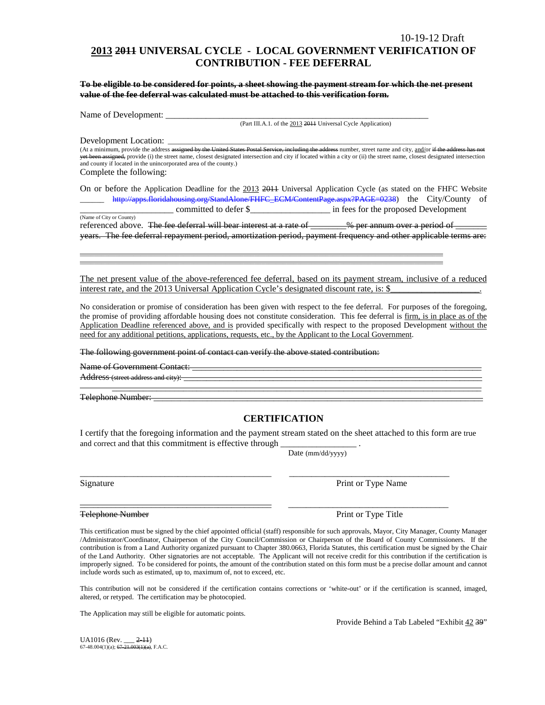## **2013 2011 UNIVERSAL CYCLE - LOCAL GOVERNMENT VERIFICATION OF CONTRIBUTION - FEE DEFERRAL**

**To be eligible to be considered for points, a sheet showing the payment stream for which the net present value of the fee deferral was calculated must be attached to this verification form.**

Name of Development: \_\_\_\_\_\_\_\_\_\_\_\_\_\_\_\_\_\_\_\_\_\_\_\_\_\_\_\_\_\_\_\_\_\_\_\_\_\_\_\_\_\_\_\_\_\_\_\_\_\_\_\_\_\_\_\_\_\_\_

(Part III.A.1. of the 2013 2011 Universal Cycle Application)

Development Location:

(At a minimum, provide the address assigned by the United States Postal Service, including the address number, street name and city, and/or if the addre yet been assigned, provide (i) the street name, closest designated intersection and city if located within a city or (ii) the street name, closest designated intersection and county if located in the unincorporated area of the county.) Complete the following:

On or before the Application Deadline for the 2013 2011 Universal Application Cycle (as stated on the FHFC Website \_\_\_\_\_\_ [http://apps.floridahousing.org/StandAlone/FHFC\\_ECM/ContentPage.aspx?PAGE=0238\)](http://apps.floridahousing.org/StandAlone/FHFC_ECM/ContentPage.aspx?PAGE=0238) the City/County of \_\_\_\_\_\_\_\_\_\_\_\_\_\_\_\_\_\_\_\_\_ committed to defer \$\_\_\_\_\_\_\_\_\_\_\_\_\_\_\_\_\_\_ in fees for the proposed Development

(Name of City or County) referenced above. The fee deferral will bear interest at a rate of \_\_\_\_\_\_\_% per annum over a period of \_ years. The fee deferral repayment period, amortization period, payment frequency and other applicable terms are:

\_\_\_\_\_\_\_\_\_\_\_\_\_\_\_\_\_\_\_\_\_\_\_\_\_\_\_\_\_\_\_\_\_\_\_\_\_\_\_\_\_\_\_\_\_\_\_\_\_\_\_\_\_\_\_\_\_\_\_\_\_\_\_\_\_\_\_\_\_\_\_\_\_\_\_\_\_\_\_\_\_\_\_\_\_\_\_\_\_\_\_\_\_\_\_\_\_\_\_\_\_\_ \_\_\_\_\_\_\_\_\_\_\_\_\_\_\_\_\_\_\_\_\_\_\_\_\_\_\_\_\_\_\_\_\_\_\_\_\_\_\_\_\_\_\_\_\_\_\_\_\_\_\_\_\_\_\_\_\_\_\_\_\_\_\_\_\_\_\_\_\_\_\_\_\_\_\_\_\_\_\_\_\_\_\_\_\_\_\_\_\_\_\_\_\_\_\_\_\_\_\_\_\_\_

The net present value of the above-referenced fee deferral, based on its payment stream, inclusive of a reduced interest rate, and the 2013 Universal Application Cycle's designated discount rate, is: \$

No consideration or promise of consideration has been given with respect to the fee deferral. For purposes of the foregoing, the promise of providing affordable housing does not constitute consideration. This fee deferral is firm, is in place as of the Application Deadline referenced above, and is provided specifically with respect to the proposed Development without the need for any additional petitions, applications, requests, etc., by the Applicant to the Local Government.

The following government point of contact can verify the above stated contribution:

Name of Government Contact:

Address (street address and city):

Telephone Number: \_\_\_\_\_\_\_\_\_\_\_\_\_\_\_\_\_\_\_\_\_\_\_\_\_\_\_\_\_\_\_\_\_\_\_\_\_\_\_\_\_\_\_\_\_\_\_\_\_\_\_\_\_\_\_\_\_\_\_\_\_\_\_\_\_\_\_\_\_\_\_\_\_\_

### **CERTIFICATION**

\_\_\_\_\_\_\_\_\_\_\_\_\_\_\_\_\_\_\_\_\_\_\_\_\_\_\_\_\_\_\_\_\_\_\_\_\_\_\_\_\_\_\_\_\_\_\_\_\_\_\_\_\_\_\_\_\_\_\_\_\_\_\_\_\_\_\_\_\_\_\_\_\_\_\_\_\_\_\_\_\_\_\_

I certify that the foregoing information and the payment stream stated on the sheet attached to this form are true and correct and that this commitment is effective through

\_\_\_\_\_\_\_\_\_\_\_\_\_\_\_\_\_\_\_\_\_\_\_\_\_\_\_\_\_\_\_\_\_\_\_\_\_\_\_\_\_\_\_ \_\_\_\_\_\_\_\_\_\_\_\_\_\_\_\_\_\_\_\_\_\_\_\_\_\_\_\_\_\_\_\_\_\_\_\_

Date (mm/dd/yyyy)

Signature Print or Type Name

Telephone Number **Print of Type Title** Print or Type Title

This certification must be signed by the chief appointed official (staff) responsible for such approvals, Mayor, City Manager, County Manager /Administrator/Coordinator, Chairperson of the City Council/Commission or Chairperson of the Board of County Commissioners. If the contribution is from a Land Authority organized pursuant to Chapter 380.0663, Florida Statutes, this certification must be signed by the Chair of the Land Authority. Other signatories are not acceptable. The Applicant will not receive credit for this contribution if the certification is improperly signed. To be considered for points, the amount of the contribution stated on this form must be a precise dollar amount and cannot include words such as estimated, up to, maximum of, not to exceed, etc.

This contribution will not be considered if the certification contains corrections or 'white-out' or if the certification is scanned, imaged, altered, or retyped. The certification may be photocopied.

The Application may still be eligible for automatic points.

Provide Behind a Tab Labeled "Exhibit 42 39"

 $UA1016$  (Rev.  $2-11$ ) 67-48.004(1)(a); 67-21.003(1)(a), F.A.C.

\_\_\_\_\_\_\_\_\_\_\_\_\_\_\_\_\_\_\_\_\_\_\_\_\_\_\_\_\_\_\_\_\_\_\_\_\_\_\_\_\_\_\_ \_\_\_\_\_\_\_\_\_\_\_\_\_\_\_\_\_\_\_\_\_\_\_\_\_\_\_\_\_\_\_\_\_\_\_\_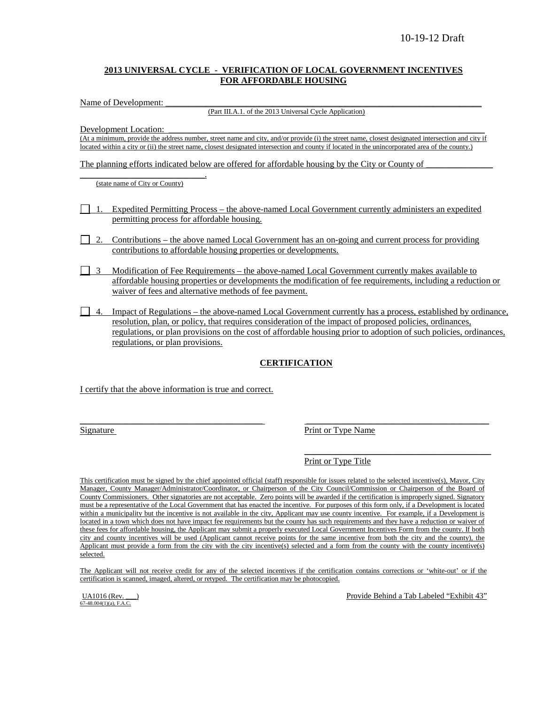### **2013 UNIVERSAL CYCLE - VERIFICATION OF LOCAL GOVERNMENT INCENTIVES FOR AFFORDABLE HOUSING**

Name of Development:

(Part III.A.1. of the 2013 Universal Cycle Application)

Development Location:

(At a minimum, provide the address number, street name and city, and/or provide (i) the street name, closest designated intersection and city if located within a city or (ii) the street name, closest designated intersection and county if located in the unincorporated area of the county.)

The planning efforts indicated below are offered for affordable housing by the City or County of

\_\_\_\_\_\_\_\_\_\_\_\_\_\_\_\_\_\_\_\_\_\_\_\_\_\_\_\_. (state name of City or County)

- 1. Expedited Permitting Process the above-named Local Government currently administers an expedited permitting process for affordable housing.
- 2. Contributions the above named Local Government has an on-going and current process for providing contributions to affordable housing properties or developments.
- 3 Modification of Fee Requirements the above-named Local Government currently makes available to affordable housing properties or developments the modification of fee requirements, including a reduction or waiver of fees and alternative methods of fee payment.
- $\Box$  4. Impact of Regulations the above-named Local Government currently has a process, established by ordinance, resolution, plan, or policy, that requires consideration of the impact of proposed policies, ordinances, regulations, or plan provisions on the cost of affordable housing prior to adoption of such policies, ordinances, regulations, or plan provisions.

## **CERTIFICATION**

I certify that the above information is true and correct.

Signature Print or Type Name

Print or Type Title

This certification must be signed by the chief appointed official (staff) responsible for issues related to the selected incentive(s), Mayor, City Manager, County Manager/Administrator/Coordinator, or Chairperson of the City Council/Commission or Chairperson of the Board of County Commissioners. Other signatories are not acceptable. Zero points will be awarded if the certification is improperly signed. Signatory must be a representative of the Local Government that has enacted the incentive. For purposes of this form only, if a Development is located within a municipality but the incentive is not available in the city, Applicant may use county incentive. For example, if a Development is located in a town which does not have impact fee requirements but the county has such requirements and they have a reduction or waiver of these fees for affordable housing, the Applicant may submit a properly executed Local Government Incentives Form from the county. If both city and county incentives will be used (Applicant cannot receive points for the same incentive from both the city and the county), the Applicant must provide a form from the city with the city incentive(s) selected and a form from the county with the county incentive(s) selected.

\_\_\_\_\_\_\_\_\_\_\_\_\_\_\_\_\_\_\_\_\_\_\_\_\_\_\_\_\_\_\_\_\_\_\_\_\_\_\_\_\_ \_\_\_\_\_\_\_\_\_\_\_\_\_\_\_\_\_\_\_\_\_\_\_\_\_\_\_\_\_\_\_\_\_\_\_\_\_\_\_\_\_

The Applicant will not receive credit for any of the selected incentives if the certification contains corrections or 'white-out' or if the certification is scanned, imaged, altered, or retyped. The certification may be photocopied.

 $67-48.004(1)(a)$ , F.A.C.

UA1016 (Rev.  $\qquad$ ) Provide Behind a Tab Labeled "Exhibit 43"

\_\_\_\_\_\_\_\_\_\_\_\_\_\_\_\_\_\_\_\_\_\_\_\_\_\_\_\_\_\_\_\_\_\_\_\_\_\_\_\_\_\_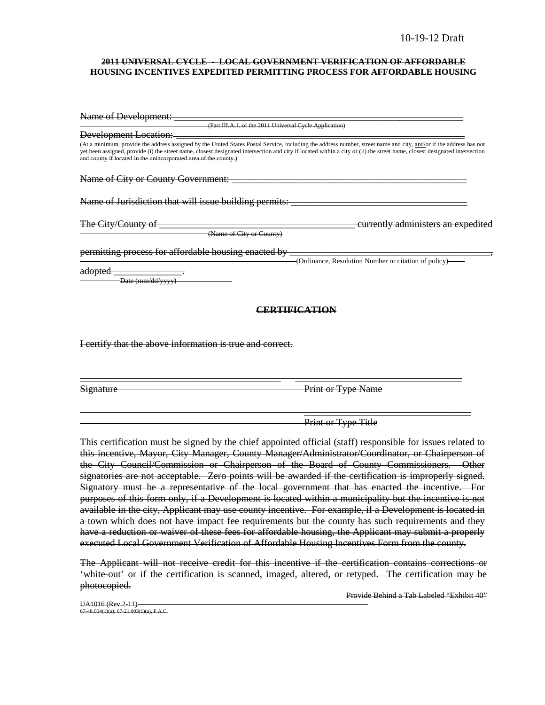#### **2011 UNIVERSAL CYCLE - LOCAL GOVERNMENT VERIFICATION OF AFFORDABLE HOUSING INCENTIVES EXPEDITED PERMITTING PROCESS FOR AFFORDABLE HOUSING**

| Name of Development:                                                                                                                                                                                                                                                                                                                                                                                                         |                                                      |
|------------------------------------------------------------------------------------------------------------------------------------------------------------------------------------------------------------------------------------------------------------------------------------------------------------------------------------------------------------------------------------------------------------------------------|------------------------------------------------------|
| (Part III.A.1. of the 2011 Universal Cycle Application)                                                                                                                                                                                                                                                                                                                                                                      |                                                      |
| Development Location:                                                                                                                                                                                                                                                                                                                                                                                                        |                                                      |
| (At a minimum, provide the address assigned by the United States Postal Service, including the address number, street name and city, <u>and/</u> or if the address has not<br>yet been assigned, provide (i) the street name, closest designated intersection and city if located within a city or (ii) the street name, closest designated intersection<br>and county if located in the unincorporated area of the county.) |                                                      |
| Name of City or County Government:                                                                                                                                                                                                                                                                                                                                                                                           |                                                      |
| Name of Jurisdiction that will issue building permits:                                                                                                                                                                                                                                                                                                                                                                       |                                                      |
| The City/County of<br>(Name of City or County)                                                                                                                                                                                                                                                                                                                                                                               | currently administers an expedited                   |
| permitting process for affordable housing enacted by                                                                                                                                                                                                                                                                                                                                                                         |                                                      |
| <del>adopted</del><br>Date (mm/dd/yyyy)                                                                                                                                                                                                                                                                                                                                                                                      | (Ordinance, Resolution Number or citation of policy) |
|                                                                                                                                                                                                                                                                                                                                                                                                                              | CERTIFICATION                                        |

I certify that the above information is true and correct.

Signature Print or Type Name

Print or Type Title

 $\overline{\phantom{a}}$  , and the contract of the contract of the contract of  $\overline{\phantom{a}}$ 

This certification must be signed by the chief appointed official (staff) responsible for issues related to this incentive, Mayor, City Manager, County Manager/Administrator/Coordinator, or Chairperson of the City Council/Commission or Chairperson of the Board of County Commissioners. Other signatories are not acceptable. Zero points will be awarded if the certification is improperly signed. Signatory must be a representative of the local government that has enacted the incentive. For purposes of this form only, if a Development is located within a municipality but the incentive is not available in the city, Applicant may use county incentive. For example, if a Development is located in a town which does not have impact fee requirements but the county has such requirements and they have a reduction or waiver of these fees for affordable housing, the Applicant may submit a properly executed Local Government Verification of Affordable Housing Incentives Form from the county.

\_\_\_\_\_\_\_\_\_\_\_\_\_\_\_\_\_\_\_\_\_\_\_\_\_\_\_\_\_\_\_\_\_\_\_\_\_\_\_\_\_ \_\_\_\_\_\_\_\_\_\_\_\_\_\_\_\_\_\_\_\_\_\_\_\_\_\_\_\_\_\_\_\_\_\_

The Applicant will not receive credit for this incentive if the certification contains corrections or 'white-out' or if the certification is scanned, imaged, altered, or retyped. The certification may be photocopied.

Provide Behind a Tab Labeled "Exhibit 40"

UA1016 (Rev.2-11)  $67-48.004(1)(a)$ ; 67-21.003(1)(a), F.A.C.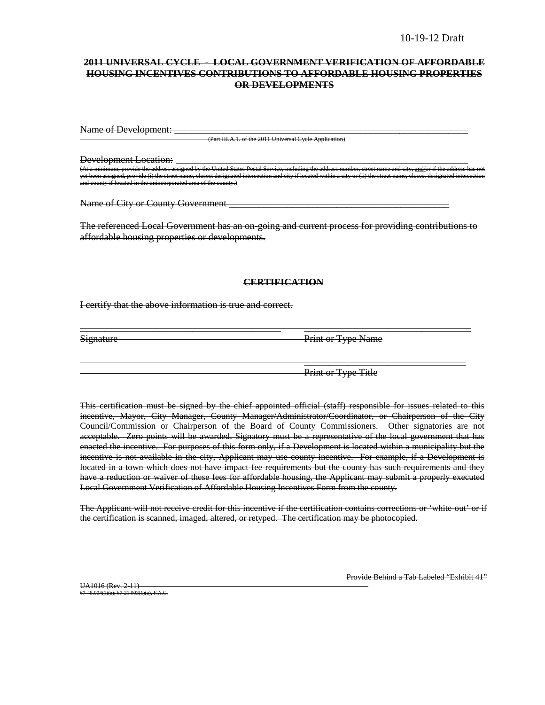### **2011 UNIVERSAL CYCLE - LOCAL GOVERNMENT VERIFICATION OF AFFORDABLE HOUSING INCENTIVES CONTRIBUTIONS TO AFFORDABLE HOUSING PROPERTIES OR DEVELOPMENTS**

Name of Development:

(Part III.A.1. of the 2011 Universal Cycle Application)

Development Location:

d by the United States Postal Service, including the ide (i) the street name, closest designated intersection and city if located within a city or (ii) the and county if located in the unincorporated area of the county.)

Name of City or County Government **Example 2** and 2 and 2 and 2 and 2 and 2 and 2 and 2 and 2 and 2 and 2 and 2 and 2 and 2 and 2 and 2 and 2 and 2 and 2 and 2 and 2 and 2 and 2 and 2 and 2 and 2 and 2 and 2 and 2 and 2 an

The referenced Local Government has an on-going and current process for providing contributions to affordable housing properties or developments.

### **CERTIFICATION**

\_\_\_\_\_\_\_\_\_\_\_\_\_\_\_\_\_\_\_\_\_\_\_\_\_\_\_\_\_\_\_\_\_\_\_\_\_\_\_\_\_ \_\_\_\_\_\_\_\_\_\_\_\_\_\_\_\_\_\_\_\_\_\_\_\_\_\_\_\_\_\_\_\_\_\_

I certify that the above information is true and correct.

Signature Print or Type Name

Print or Type Title

 $\overline{\phantom{a}}$  , which is a set of the set of the set of the set of the set of the set of the set of the set of the set of the set of the set of the set of the set of the set of the set of the set of the set of the set of th

This certification must be signed by the chief appointed official (staff) responsible for issues related to this incentive, Mayor, City Manager, County Manager/Administrator/Coordinator, or Chairperson of the City Council/Commission or Chairperson of the Board of County Commissioners. Other signatories are not acceptable. Zero points will be awarded. Signatory must be a representative of the local government that has enacted the incentive. For purposes of this form only, if a Development is located within a municipality but the incentive is not available in the city, Applicant may use county incentive. For example, if a Development is located in a town which does not have impact fee requirements but the county has such requirements and they have a reduction or waiver of these fees for affordable housing, the Applicant may submit a properly executed Local Government Verification of Affordable Housing Incentives Form from the county.

The Applicant will not receive credit for this incentive if the certification contains corrections or 'white-out' or if the certification is scanned, imaged, altered, or retyped. The certification may be photocopied.

UA1016 (Rev. 2-11) 67-48.004(1)(a); 67-21.003(1)(a), F.A.C. Provide Behind a Tab Labeled "Exhibit 41"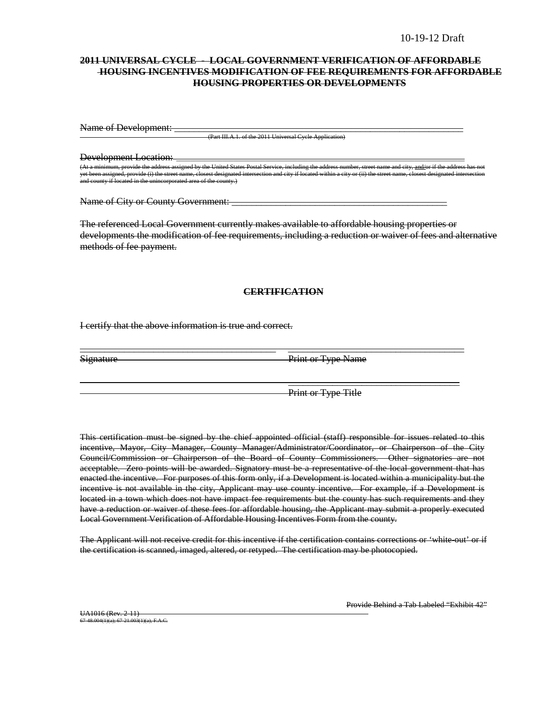### **2011 UNIVERSAL CYCLE - LOCAL GOVERNMENT VERIFICATION OF AFFORDABLE HOUSING INCENTIVES MODIFICATION OF FEE REQUIREMENTS FOR AFFORDABLE HOUSING PROPERTIES OR DEVELOPMENTS**

Name of Development: \_

(Part III.A.1. of the 2011 Universal Cycle Application)

Development Location: \_\_\_\_\_\_\_\_\_\_\_\_\_\_\_\_\_\_\_\_\_\_\_\_\_\_\_\_\_\_\_\_\_\_\_\_\_\_\_\_\_\_\_\_\_\_\_\_\_\_\_\_\_\_\_\_\_\_\_\_\_\_\_\_\_\_\_\_\_\_\_\_\_\_\_\_\_\_\_\_\_ .<br>(At a minimum, provide the address assigned by the United States Postal Service, including the address num<br>and the and city, street name, closest designated intersection and city if located within a city. provide (i) the street name, closest designated inter-<br>ed in the unincorporated area of the county  $m$  in and comporated area of the county.)

Name of City or County Government: \_\_\_\_\_\_\_\_\_\_\_\_\_\_\_\_\_\_\_\_\_\_\_\_\_\_\_\_\_\_\_\_\_\_\_\_\_\_\_\_\_\_\_\_

The referenced Local Government currently makes available to affordable housing properties or developments the modification of fee requirements, including a reduction or waiver of fees and alternative methods of fee payment.

#### **CERTIFICATION**

\_\_\_\_\_\_\_\_\_\_\_\_\_\_\_\_\_\_\_\_\_\_\_\_\_\_\_\_\_\_\_\_\_\_\_\_\_\_\_\_ \_\_\_\_\_\_\_\_\_\_\_\_\_\_\_\_\_\_\_\_\_\_\_\_\_\_\_\_\_\_\_\_\_\_\_\_

I certify that the above information is true and correct.

Signature Print or Type Name

Print or Type Title

 $\overline{\phantom{a}}$  , and the contract of the contract of the contract of the contract of the contract of the contract of the contract of the contract of the contract of the contract of the contract of the contract of the contrac

This certification must be signed by the chief appointed official (staff) responsible for issues related to this incentive, Mayor, City Manager, County Manager/Administrator/Coordinator, or Chairperson of the City Council/Commission or Chairperson of the Board of County Commissioners. Other signatories are not acceptable. Zero points will be awarded. Signatory must be a representative of the local government that has enacted the incentive. For purposes of this form only, if a Development is located within a municipality but the incentive is not available in the city, Applicant may use county incentive. For example, if a Development is located in a town which does not have impact fee requirements but the county has such requirements and they have a reduction or waiver of these fees for affordable housing, the Applicant may submit a properly executed Local Government Verification of Affordable Housing Incentives Form from the county.

The Applicant will not receive credit for this incentive if the certification contains corrections or 'white out' or if the certification is scanned, imaged, altered, or retyped. The certification may be photocopied.

Provide Behind a Tab Labeled "Exhibit 42"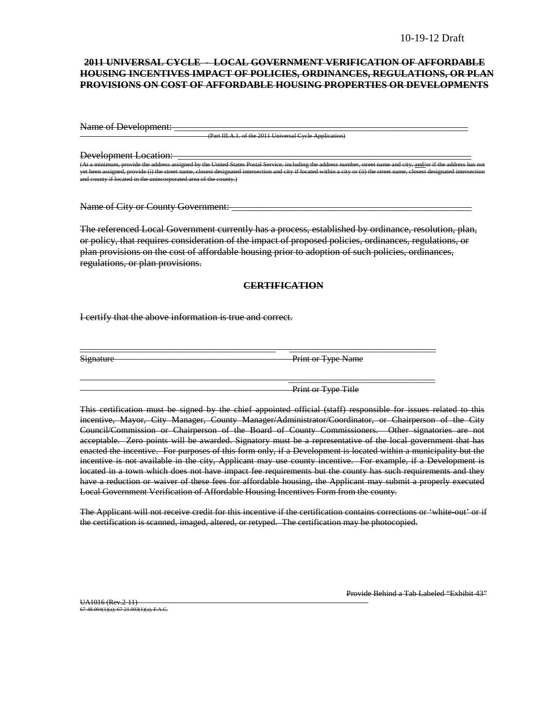### **2011 UNIVERSAL CYCLE - LOCAL GOVERNMENT VERIFICATION OF AFFORDABLE HOUSING INCENTIVES IMPACT OF POLICIES, ORDINANCES, REGULATIONS, OR PLAN PROVISIONS ON COST OF AFFORDABLE HOUSING PROPERTIES OR DEVELOPMENTS**

Name of Development:

(Part III.A.1. of the 2011 Universal Cycle Applic

Development Location:

(At United States Postal Service, including the United States Postal Service, including the address number, street name and city, if the address of the address of the address of the address of the address of the address ha yet been assigned, provide (i) the street name, closest designated intersection and city if located within a city or (ii) the street name, closest designated intersection and county if located in the unincorporated area of the county.)

Name of City or County Government:

The referenced Local Government currently has a process, established by ordinance, resolution, plan, or policy, that requires consideration of the impact of proposed policies, ordinances, regulations, or plan provisions on the cost of affordable housing prior to adoption of such policies, ordinances, regulations, or plan provisions.

### **CERTIFICATION**

\_\_\_\_\_\_\_\_\_\_\_\_\_\_\_\_\_\_\_\_\_\_\_\_\_\_\_\_\_\_\_\_\_\_\_\_\_\_\_\_\_\_\_\_ \_\_\_\_\_\_\_\_\_\_\_\_\_\_\_\_\_\_\_\_\_\_\_\_\_\_\_\_\_\_\_\_\_

I certify that the above information is true and correct.

Signature Print or Type Name

Print or Type Title

\_\_\_\_\_\_\_\_\_\_\_\_\_\_\_\_\_\_\_\_\_\_\_\_\_\_\_\_\_\_\_\_\_

This certification must be signed by the chief appointed official (staff) responsible for issues related to this incentive, Mayor, City Manager, County Manager/Administrator/Coordinator, or Chairperson of the City Council/Commission or Chairperson of the Board of County Commissioners. Other signatories are not acceptable. Zero points will be awarded. Signatory must be a representative of the local government that has enacted the incentive. For purposes of this form only, if a Development is located within a municipality but the incentive is not available in the city, Applicant may use county incentive. For example, if a Development is located in a town which does not have impact fee requirements but the county has such requirements and they have a reduction or waiver of these fees for affordable housing, the Applicant may submit a properly executed Local Government Verification of Affordable Housing Incentives Form from the county.

The Applicant will not receive credit for this incentive if the certification contains corrections or 'white-out' or if the certification is scanned, imaged, altered, or retyped. The certification may be photocopied.

UA1016 (Rev.2-11) 67-48.004(1)(a); 67-21.003(1)(a), F.A.C. Provide Behind a Tab Labeled "Exhibit 43"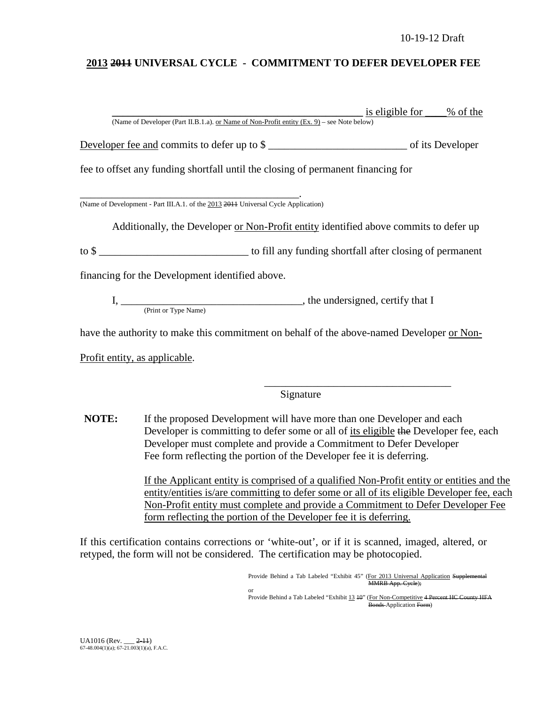## **2013 2011 UNIVERSAL CYCLE - COMMITMENT TO DEFER DEVELOPER FEE**

|                                                                                            | <u>is eligible for ____</u> | $\frac{9}{6}$ of the |
|--------------------------------------------------------------------------------------------|-----------------------------|----------------------|
| (Name of Developer (Part II.B.1.a). or Name of Non-Profit entity (Ex. 9) – see Note below) |                             |                      |
| Developer fee and commits to defer up to \$                                                |                             |                      |
| fee to offset any funding shortfall until the closing of permanent financing for           |                             |                      |
| (Name of Development - Part III.A.1. of the 2013 2014 Universal Cycle Application)         |                             |                      |
| Additionally, the Developer or Non-Profit entity identified above commits to defer up      |                             |                      |
| to \$                                                                                      |                             |                      |
| financing for the Development identified above.                                            |                             |                      |
| (Print or Type Name)                                                                       |                             |                      |
| have the authority to make this commitment on behalf of the above-named Developer or Non-  |                             |                      |
| Profit entity, as applicable.                                                              |                             |                      |

Signature

**NOTE:** If the proposed Development will have more than one Developer and each Developer is committing to defer some or all of its eligible the Developer fee, each Developer must complete and provide a Commitment to Defer Developer Fee form reflecting the portion of the Developer fee it is deferring.

> If the Applicant entity is comprised of a qualified Non-Profit entity or entities and the entity/entities is/are committing to defer some or all of its eligible Developer fee, each Non-Profit entity must complete and provide a Commitment to Defer Developer Fee form reflecting the portion of the Developer fee it is deferring.

If this certification contains corrections or 'white-out', or if it is scanned, imaged, altered, or retyped, the form will not be considered. The certification may be photocopied.

> Provide Behind a Tab Labeled "Exhibit 45" (For 2013 Universal Application Supplemental MMRB App. Cycle); or

\_\_\_\_\_\_\_\_\_\_\_\_\_\_\_\_\_\_\_\_\_\_\_\_\_\_\_\_\_\_\_\_\_\_\_

Provide Behind a Tab Labeled "Exhibit 13 40" (For Non-Competitive 4 Percent HC County HFA Bonds Application Form)

UA1016 (Rev. \_\_\_ 2-11) 67-48.004(1)(a); 67-21.003(1)(a), F.A.C.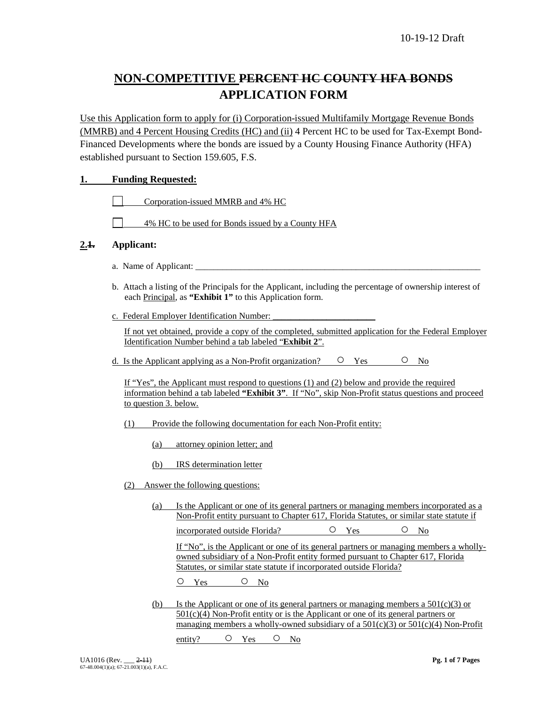# **NON-COMPETITIVE PERCENT HC COUNTY HFA BONDS APPLICATION FORM**

Use this Application form to apply for (i) Corporation-issued Multifamily Mortgage Revenue Bonds (MMRB) and 4 Percent Housing Credits (HC) and (ii) 4 Percent HC to be used for Tax-Exempt Bond-Financed Developments where the bonds are issued by a County Housing Finance Authority (HFA) established pursuant to Section 159.605, F.S.

## **1. Funding Requested:**

Corporation-issued MMRB and 4% HC

4% HC to be used for Bonds issued by a County HFA

## **2.1. Applicant:**

- a. Name of Applicant:
- b. Attach a listing of the Principals for the Applicant, including the percentage of ownership interest of each Principal, as **"Exhibit 1"** to this Application form.
- c. Federal Employer Identification Number:

If not yet obtained, provide a copy of the completed, submitted application for the Federal Employer Identification Number behind a tab labeled "**Exhibit 2**".

d. Is the Applicant applying as a Non-Profit organization?  $\circ$  Yes  $\circ$  No

If "Yes", the Applicant must respond to questions (1) and (2) below and provide the required information behind a tab labeled **"Exhibit 3"**. If "No", skip Non-Profit status questions and proceed to question 3. below.

- (1) Provide the following documentation for each Non-Profit entity:
	- (a) attorney opinion letter; and
	- (b) IRS determination letter
- (2) Answer the following questions:
	- (a) Is the Applicant or one of its general partners or managing members incorporated as a Non-Profit entity pursuant to Chapter 617, Florida Statutes, or similar state statute if

incorporated outside Florida? 
<br>  $O$   $Y_{es}$   $O$   $N_0$ 

If "No", is the Applicant or one of its general partners or managing members a whollyowned subsidiary of a Non-Profit entity formed pursuant to Chapter 617, Florida Statutes, or similar state statute if incorporated outside Florida?

O Yes O No

(b) Is the Applicant or one of its general partners or managing members a  $501(c)(3)$  or  $501(c)(4)$  Non-Profit entity or is the Applicant or one of its general partners or managing members a wholly-owned subsidiary of a  $501(c)(3)$  or  $501(c)(4)$  Non-Profit

entity? O Yes O No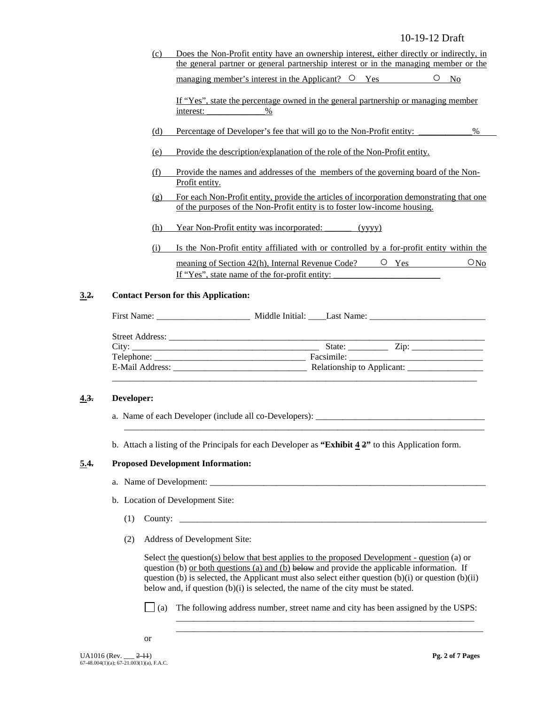(c) Does the Non-Profit entity have an ownership interest, either directly or indirectly, in the general partner or general partnership interest or in the managing member or the managing member's interest in the Applicant?  $\circ$  Yes  $\circ$  No

If "Yes", state the percentage owned in the general partnership or managing member interest:  $\%$ 

- (d) Percentage of Developer's fee that will go to the Non-Profit entity: \_\_\_\_\_\_\_\_\_\_\_\_%
- (e) Provide the description/explanation of the role of the Non-Profit entity.
- (f) Provide the names and addresses of the members of the governing board of the Non-Profit entity.
- (g) For each Non-Profit entity, provide the articles of incorporation demonstrating that one of the purposes of the Non-Profit entity is to foster low-income housing.
- (h) Year Non-Profit entity was incorporated: \_\_\_\_\_\_ (yyyy)
- (i) Is the Non-Profit entity affiliated with or controlled by a for-profit entity within the meaning of Section 42(h), Internal Revenue Code?  $\qquad \qquad \circ$  Yes  $\qquad \qquad \circ$  No If "Yes", state name of the for-profit entity:

### **3.2. Contact Person for this Application:**

| State: $\angle$ Zip: $\angle$ |       |
|-------------------------------|-------|
|                               |       |
|                               |       |
|                               | City: |

### **4.3. Developer:**

- a. Name of each Developer (include all co-Developers): \_\_\_\_\_\_\_\_\_\_\_\_\_\_\_\_\_\_\_\_\_\_\_\_\_\_\_\_\_\_\_\_\_\_\_\_\_\_
- b. Attach a listing of the Principals for each Developer as **"Exhibit 4 2"** to this Application form.

\_\_\_\_\_\_\_\_\_\_\_\_\_\_\_\_\_\_\_\_\_\_\_\_\_\_\_\_\_\_\_\_\_\_\_\_\_\_\_\_\_\_\_\_\_\_\_\_\_\_\_\_\_\_\_\_\_\_\_\_\_\_\_\_\_\_\_\_\_\_\_\_\_\_\_\_\_\_\_\_\_

#### **5.4. Proposed Development Information:**

- a. Name of Development:
- b. Location of Development Site:
	- (1) County: \_\_\_\_\_\_\_\_\_\_\_\_\_\_\_\_\_\_\_\_\_\_\_\_\_\_\_\_\_\_\_\_\_\_\_\_\_\_\_\_\_\_\_\_\_\_\_\_\_\_\_\_\_\_\_\_\_\_\_\_\_\_\_\_\_\_\_\_\_
	- (2) Address of Development Site:

Select the question(s) below that best applies to the proposed Development - question (a) or question (b) or both questions (a) and (b) below and provide the applicable information. If question (b) is selected, the Applicant must also select either question  $(b)(i)$  or question  $(b)(ii)$ below and, if question (b)(i) is selected, the name of the city must be stated.

(a) The following address number, street name and city has been assigned by the USPS:

\_\_\_\_\_\_\_\_\_\_\_\_\_\_\_\_\_\_\_\_\_\_\_\_\_\_\_\_\_\_\_\_\_\_\_\_\_\_\_\_\_\_\_\_\_\_\_\_\_\_\_\_\_\_\_\_\_\_\_\_\_\_\_\_\_\_\_ \_\_\_\_\_\_\_\_\_\_\_\_\_\_\_\_\_\_\_\_\_\_\_\_\_\_\_\_\_\_\_\_\_\_\_\_\_\_\_\_\_\_\_\_\_\_\_\_\_\_\_\_\_\_\_\_\_\_\_\_\_\_\_\_\_\_\_\_\_

or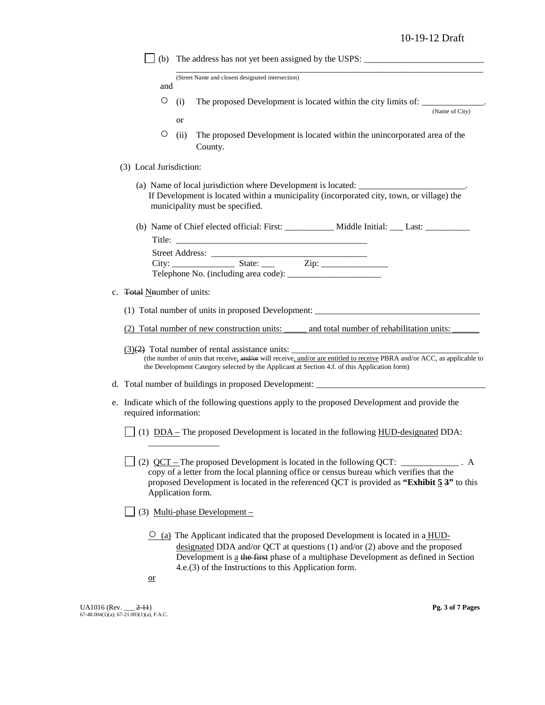|                            | (b) The address has not yet been assigned by the USPS: __________________________                                                                                                                                                                                                                                                |
|----------------------------|----------------------------------------------------------------------------------------------------------------------------------------------------------------------------------------------------------------------------------------------------------------------------------------------------------------------------------|
| and                        | (Street Name and closest designated intersection)                                                                                                                                                                                                                                                                                |
|                            |                                                                                                                                                                                                                                                                                                                                  |
| O                          | The proposed Development is located within the city limits of: __________________<br>(i)<br>(Name of City)                                                                                                                                                                                                                       |
|                            | <sub>or</sub>                                                                                                                                                                                                                                                                                                                    |
| O                          | The proposed Development is located within the unincorporated area of the<br>(ii)<br>County.                                                                                                                                                                                                                                     |
| (3) Local Jurisdiction:    |                                                                                                                                                                                                                                                                                                                                  |
|                            | (a) Name of local jurisdiction where Development is located: ____________________<br>If Development is located within a municipality (incorporated city, town, or village) the<br>municipality must be specified.                                                                                                                |
|                            | (b) Name of Chief elected official: First: ___________ Middle Initial: ___ Last: _________                                                                                                                                                                                                                                       |
|                            |                                                                                                                                                                                                                                                                                                                                  |
|                            |                                                                                                                                                                                                                                                                                                                                  |
|                            |                                                                                                                                                                                                                                                                                                                                  |
|                            |                                                                                                                                                                                                                                                                                                                                  |
| c. Total Nnumber of units: |                                                                                                                                                                                                                                                                                                                                  |
|                            | (1) Total number of units in proposed Development: _____________________________                                                                                                                                                                                                                                                 |
|                            | (2) Total number of new construction units: and total number of rehabilitation units:                                                                                                                                                                                                                                            |
|                            | (the number of units that receive, and/or will receive, and/or are entitled to receive PBRA and/or ACC, as applicable to<br>the Development Category selected by the Applicant at Section 4.f. of this Application form)                                                                                                         |
|                            |                                                                                                                                                                                                                                                                                                                                  |
| required information:      | e. Indicate which of the following questions apply to the proposed Development and provide the                                                                                                                                                                                                                                   |
|                            | (1) $DDA – The proposed Development is located in the following HUD-designed DDA:$                                                                                                                                                                                                                                               |
|                            | (2) $QCT$ – The proposed Development is located in the following QCT: ____________. A<br>copy of a letter from the local planning office or census bureau which verifies that the<br>proposed Development is located in the referenced QCT is provided as "Exhibit $5.3$ " to this<br>Application form.                          |
|                            | $(3)$ Multi-phase Development –                                                                                                                                                                                                                                                                                                  |
| $\overline{\text{or}}$     | $\overline{O}$ (a) The Applicant indicated that the proposed Development is located in a HUD-<br>designated DDA and/or QCT at questions $(1)$ and/or $(2)$ above and the proposed<br>Development is a the first phase of a multiphase Development as defined in Section<br>4.e.(3) of the Instructions to this Application form. |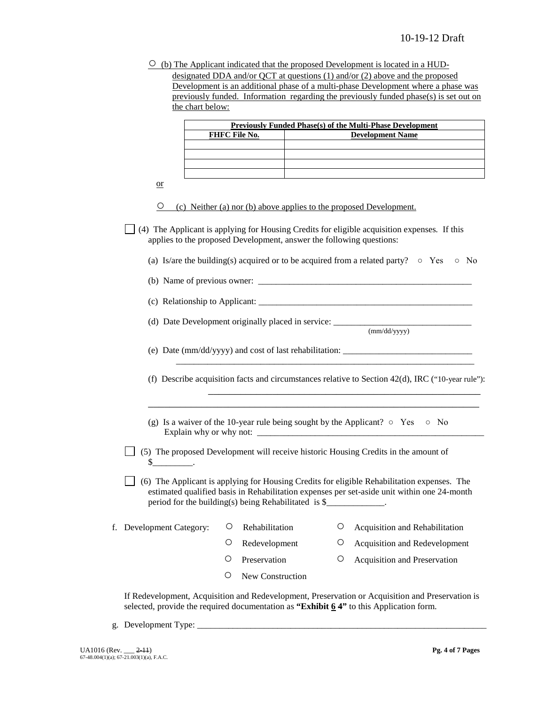$\circ$  (b) The Applicant indicated that the proposed Development is located in a HUDdesignated DDA and/or QCT at questions (1) and/or (2) above and the proposed Development is an additional phase of a multi-phase Development where a phase was previously funded. Information regarding the previously funded phase(s) is set out on

|                          |   | FHFC File No.                                                        |   | <b>Previously Funded Phase(s) of the Multi-Phase Development</b><br><b>Development Name</b>                                                                                                |
|--------------------------|---|----------------------------------------------------------------------|---|--------------------------------------------------------------------------------------------------------------------------------------------------------------------------------------------|
|                          |   |                                                                      |   |                                                                                                                                                                                            |
|                          |   |                                                                      |   |                                                                                                                                                                                            |
|                          |   |                                                                      |   |                                                                                                                                                                                            |
| $\alpha$                 |   |                                                                      |   |                                                                                                                                                                                            |
| $\cup$                   |   | (c) Neither (a) nor (b) above applies to the proposed Development.   |   |                                                                                                                                                                                            |
|                          |   | applies to the proposed Development, answer the following questions: |   | (4) The Applicant is applying for Housing Credits for eligible acquisition expenses. If this                                                                                               |
|                          |   |                                                                      |   | (a) Is/are the building(s) acquired or to be acquired from a related party? $\circ$ Yes<br>$\circ$ No                                                                                      |
|                          |   |                                                                      |   |                                                                                                                                                                                            |
|                          |   |                                                                      |   | (c) Relationship to Applicant:                                                                                                                                                             |
|                          |   |                                                                      |   | (d) Date Development originally placed in service: ______________________________                                                                                                          |
|                          |   |                                                                      |   | (mm/dd/yyyy)                                                                                                                                                                               |
|                          |   |                                                                      |   | (e) Date $\frac{\text{mm}{\text{dd}}\text{yyy}}{\text{and cost of last rehabilitation:}}$                                                                                                  |
|                          |   |                                                                      |   | (f) Describe acquisition facts and circumstances relative to Section $42(d)$ , IRC ("10-year rule"):                                                                                       |
|                          |   |                                                                      |   | (g) Is a waiver of the 10-year rule being sought by the Applicant? $\circ$ Yes $\circ$ No                                                                                                  |
| $s$ _________________.   |   |                                                                      |   | (5) The proposed Development will receive historic Housing Credits in the amount of                                                                                                        |
|                          |   | period for the building(s) being Rehabilitated is \$                 |   | (6) The Applicant is applying for Housing Credits for eligible Rehabilitation expenses. The<br>estimated qualified basis in Rehabilitation expenses per set-aside unit within one 24-month |
| f. Development Category: | O | Rehabilitation                                                       | O | Acquisition and Rehabilitation                                                                                                                                                             |
|                          | O | Redevelopment                                                        | O | Acquisition and Redevelopment                                                                                                                                                              |
|                          | O | Preservation                                                         | O | Acquisition and Preservation                                                                                                                                                               |
|                          |   |                                                                      |   |                                                                                                                                                                                            |

g. Development Type: \_\_\_\_\_\_\_\_\_\_\_\_\_\_\_\_\_\_\_\_\_\_\_\_\_\_\_\_\_\_\_\_\_\_\_\_\_\_\_\_\_\_\_\_\_\_\_\_\_\_\_\_\_\_\_\_\_\_\_\_\_\_\_\_\_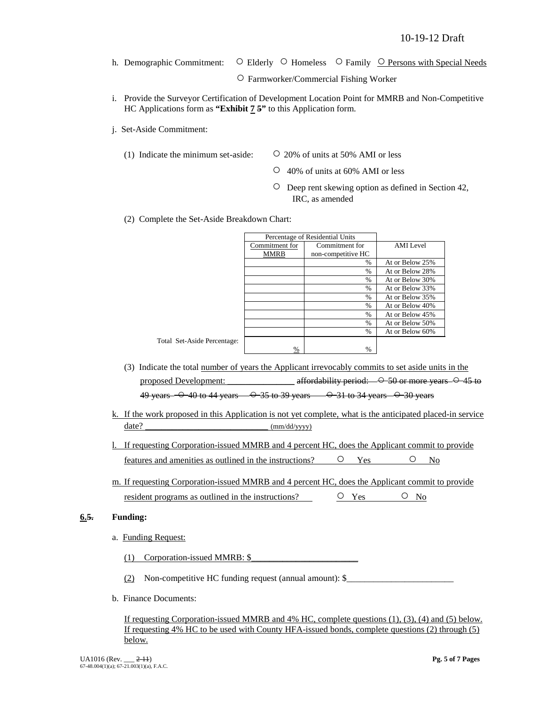h. Demographic Commitment: ○ Elderly ○ Homeless ○ Family ○ Persons with Special Needs

○ Farmworker/Commercial Fishing Worker

- i. Provide the Surveyor Certification of Development Location Point for MMRB and Non-Competitive HC Applications form as **"Exhibit 7 5"** to this Application form.
- j. Set-Aside Commitment:
	- (1) Indicate the minimum set-aside:  $\qquad \qquad \circ$  20% of units at 50% AMI or less

Total Set-Aside Percent

- 
- 40% of units at 60% AMI or less
- Deep rent skewing option as defined in Section 42, IRC, as amended
- (2) Complete the Set-Aside Breakdown Chart:

|                | Percentage of Residential Units |                  |
|----------------|---------------------------------|------------------|
| Commitment for | Commitment for                  | <b>AMI</b> Level |
| MMRB           | non-competitive HC              |                  |
|                | $\%$                            | At or Below 25%  |
|                | $\frac{0}{0}$                   | At or Below 28%  |
|                | $\%$                            | At or Below 30%  |
|                | $\frac{0}{0}$                   | At or Below 33%  |
|                | $\frac{0}{0}$                   | At or Below 35%  |
|                | $\%$                            | At or Below 40%  |
|                | $\frac{0}{0}$                   | At or Below 45%  |
|                | $\frac{0}{0}$                   | At or Below 50%  |
|                | $\%$                            | At or Below 60%  |
| tage:          |                                 |                  |
| %              | %                               |                  |

- (3) Indicate the total number of years the Applicant irrevocably commits to set aside units in the proposed Development: \_\_\_\_\_\_\_\_\_\_\_\_\_\_\_ affordability period:  $-$  0-50 or more years  $-$  0-45 to 49 years  $-$  0 40 to 44 years  $-$  0 35 to 39 years  $-$  0 31 to 34 years  $-$  0 30 years
- k. If the work proposed in this Application is not yet complete, what is the anticipated placed-in service date? \_\_\_\_\_\_\_\_\_\_\_\_\_\_\_\_\_\_\_\_\_\_\_ (mm/dd/yyyy)
- l. If requesting Corporation-issued MMRB and 4 percent HC, does the Applicant commit to provide features and amenities as outlined in the instructions?  $\qquad \qquad \circ \qquad \qquad \circ \qquad$  No
- m. If requesting Corporation-issued MMRB and 4 percent HC, does the Applicant commit to provide resident programs as outlined in the instructions?  $\qquad \qquad \circ \qquad \qquad \circ \qquad \circ \qquad \circ \qquad \circ \circ$

### **6.5. Funding:**

a. Funding Request:

(1) Corporation-issued MMRB:  $$$ 

(2) Non-competitive HC funding request (annual amount):  $\$ 

b. Finance Documents:

If requesting Corporation-issued MMRB and 4% HC, complete questions (1), (3), (4) and (5) below. If requesting 4% HC to be used with County HFA-issued bonds, complete questions (2) through (5) below.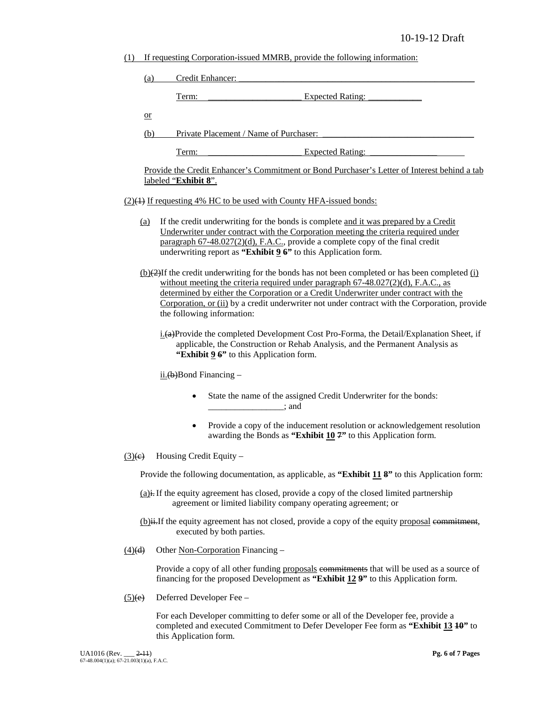(1) If requesting Corporation-issued MMRB, provide the following information:

| (a)                        |                                               | Credit Enhancer:                                                                                                                                                                                                                                                                                                                                                                                                  |
|----------------------------|-----------------------------------------------|-------------------------------------------------------------------------------------------------------------------------------------------------------------------------------------------------------------------------------------------------------------------------------------------------------------------------------------------------------------------------------------------------------------------|
|                            | Term:                                         | <b>Expected Rating:</b>                                                                                                                                                                                                                                                                                                                                                                                           |
| $\overline{\text{or}}$     |                                               |                                                                                                                                                                                                                                                                                                                                                                                                                   |
|                            | Private Placement / Name of Purchaser:<br>(b) |                                                                                                                                                                                                                                                                                                                                                                                                                   |
|                            | Term:                                         | <b>Expected Rating:</b>                                                                                                                                                                                                                                                                                                                                                                                           |
|                            | labeled "Exhibit 8".                          | Provide the Credit Enhancer's Commitment or Bond Purchaser's Letter of Interest behind a tab                                                                                                                                                                                                                                                                                                                      |
|                            |                                               | (2)(1) If requesting 4% HC to be used with County HFA-issued bonds:                                                                                                                                                                                                                                                                                                                                               |
| (a)                        |                                               | If the credit underwriting for the bonds is complete and it was prepared by a Credit<br>Underwriter under contract with the Corporation meeting the criteria required under<br>paragraph 67-48.027(2)(d), F.A.C., provide a complete copy of the final credit<br>underwriting report as "Exhibit $96$ " to this Application form.                                                                                 |
|                            |                                               | $(b)(2)$ If the credit underwriting for the bonds has not been completed or has been completed (i)<br>without meeting the criteria required under paragraph $67-48.027(2)(d)$ , F.A.C., as<br>determined by either the Corporation or a Credit Underwriter under contract with the<br>Corporation, or (ii) by a credit underwriter not under contract with the Corporation, provide<br>the following information: |
|                            |                                               | i.(a)Provide the completed Development Cost Pro-Forma, the Detail/Explanation Sheet, if<br>applicable, the Construction or Rehab Analysis, and the Permanent Analysis as<br>"Exhibit 9 6" to this Application form.                                                                                                                                                                                               |
|                            | $\frac{\text{ii.}(b)}{\text{Bond Finance}}$   |                                                                                                                                                                                                                                                                                                                                                                                                                   |
|                            | $\bullet$                                     | State the name of the assigned Credit Underwriter for the bonds:<br>$\frac{1}{2}$ and $\frac{1}{2}$                                                                                                                                                                                                                                                                                                               |
|                            | ٠                                             | Provide a copy of the inducement resolution or acknowledgement resolution<br>awarding the Bonds as "Exhibit 10 7" to this Application form.                                                                                                                                                                                                                                                                       |
| $\left(\frac{3}{e}\right)$ | Housing Credit Equity -                       |                                                                                                                                                                                                                                                                                                                                                                                                                   |
|                            |                                               | Provide the following documentation, as applicable, as "Exhibit 11 8" to this Application form:                                                                                                                                                                                                                                                                                                                   |
|                            |                                               | $(a)$ i. If the equity agreement has closed, provide a copy of the closed limited partnership<br>agreement or limited liability company operating agreement; or                                                                                                                                                                                                                                                   |
|                            |                                               | (b) ii. If the equity agreement has not closed, provide a copy of the equity proposal commitment,<br>executed by both parties.                                                                                                                                                                                                                                                                                    |

 $(4)$ (d) Other Non-Corporation Financing –

Provide a copy of all other funding proposals commitments that will be used as a source of financing for the proposed Development as **"Exhibit 12 9"** to this Application form.

 $(5)(e)$  Deferred Developer Fee –

For each Developer committing to defer some or all of the Developer fee, provide a completed and executed Commitment to Defer Developer Fee form as **"Exhibit 13 10"** to this Application form.